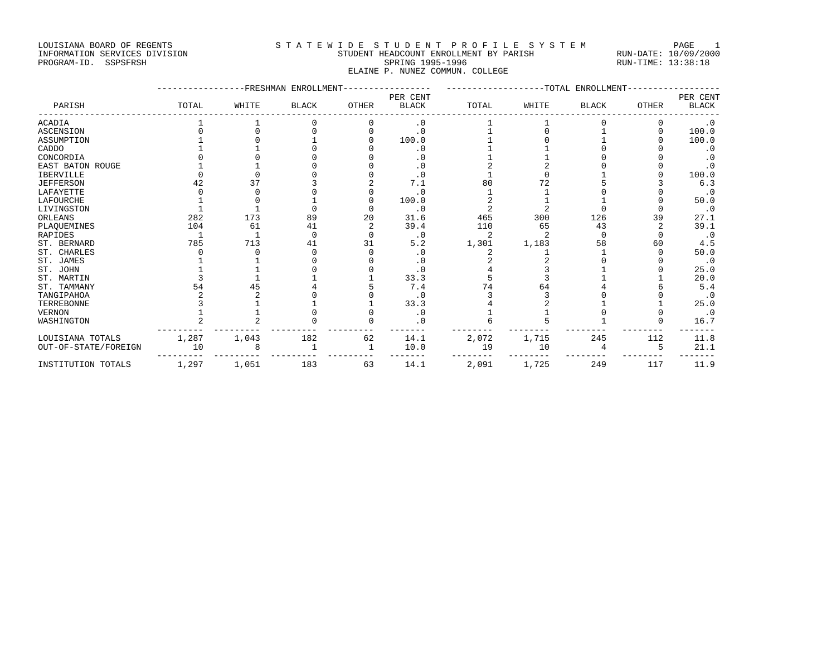## LOUISIANA BOARD OF REGENTS STATEWIDE STUDENT PROFILE SYSTEM PAGE 1 INFORMATION SERVICES DIVISION STUDENT HEADCOUNT ENROLLMENT BY PARISH RUN-DATE: 10/09/2000 PROGRAM-ID. SSPSFRSH SPRING 1995-1996 SPRING 1995-1996 RUN-TIME: 13:38:18

ELAINE P. NUNEZ COMMUN. COLLEGE

|                      |       | <b>FRESHMAN</b> | ENROLLMENT   |       |                          |       | -TOTAL | ENROLLMENT   |          |                          |
|----------------------|-------|-----------------|--------------|-------|--------------------------|-------|--------|--------------|----------|--------------------------|
| PARISH               | TOTAL | WHITE           | <b>BLACK</b> | OTHER | PER CENT<br><b>BLACK</b> | TOTAL | WHITE  | <b>BLACK</b> | OTHER    | PER CENT<br><b>BLACK</b> |
| <b>ACADIA</b>        |       |                 |              | O     | $\cdot$ 0                |       |        |              | 0        | $\cdot$ 0                |
| <b>ASCENSION</b>     |       |                 |              |       | $\cdot$ 0                |       |        |              |          | 100.0                    |
| ASSUMPTION           |       |                 |              |       | 100.0                    |       |        |              |          | 100.0                    |
| CADDO                |       |                 |              |       | $\cdot$ 0                |       |        |              |          | $\cdot$ 0                |
| CONCORDIA            |       |                 |              |       | . 0                      |       |        |              |          | $\cdot$ 0                |
| EAST BATON ROUGE     |       |                 |              |       | . 0                      |       |        |              |          | $\cdot$ 0                |
| <b>IBERVILLE</b>     |       |                 |              |       | $\cdot$ 0                |       |        |              |          | 100.0                    |
| <b>JEFFERSON</b>     | 42    | 37              |              |       | 7.1                      | 80    | 72     |              |          | 6.3                      |
| LAFAYETTE            |       |                 |              |       | $\cdot$ 0                |       |        |              |          | $\cdot$ 0                |
| LAFOURCHE            |       |                 |              |       | 100.0                    |       |        |              |          | 50.0                     |
| LIVINGSTON           |       |                 |              |       | $\cdot$ 0                |       |        |              |          | $\cdot$ 0                |
| ORLEANS              | 282   | 173             | 89           | 20    | 31.6                     | 465   | 300    | 126          | 39       | 27.1                     |
| PLAOUEMINES          | 104   | 61              | 41           |       | 39.4                     | 110   | 65     | 43           |          | 39.1                     |
| RAPIDES              |       |                 |              |       | $\cdot$ 0                | 2     |        |              | $\Omega$ | $\cdot$ 0                |
| ST. BERNARD          | 785   | 713             | 41           | 31    | 5.2                      | 1,301 | 1,183  | 58           | 60       | 4.5                      |
| ST. CHARLES          |       |                 |              |       | $\cdot$ 0                |       |        |              |          | 50.0                     |
| ST. JAMES            |       |                 |              |       | $\cdot$ 0                |       |        |              |          | $\cdot$ 0                |
| ST. JOHN             |       |                 |              |       | $\cdot$ 0                |       |        |              |          | 25.0                     |
| ST. MARTIN           |       |                 |              |       | 33.3                     |       |        |              |          | 20.0                     |
| ST. TAMMANY          | 54    | 45              |              |       | 7.4                      | 74    | 64     |              |          | 5.4                      |
| TANGIPAHOA           |       |                 |              |       | $\cdot$ 0                |       |        |              |          | $\cdot$ 0                |
| TERREBONNE           |       |                 |              |       | 33.3                     |       |        |              |          | 25.0                     |
| <b>VERNON</b>        |       |                 |              |       | $\cdot$ 0                |       |        |              |          | $\cdot$ 0                |
| WASHINGTON           |       |                 |              |       | . 0                      |       |        |              |          | 16.7                     |
| LOUISIANA TOTALS     | 1,287 | 1,043           | 182          | 62    | 14.1                     | 2,072 | 1,715  | 245          | 112      | 11.8                     |
| OUT-OF-STATE/FOREIGN | 10    | 8               |              |       | 10.0                     | 19    | 10     |              | 5        | 21.1                     |
| INSTITUTION TOTALS   | 1,297 | 1,051           | 183          | 63    | 14.1                     | 2,091 | 1,725  | 249          | 117      | 11.9                     |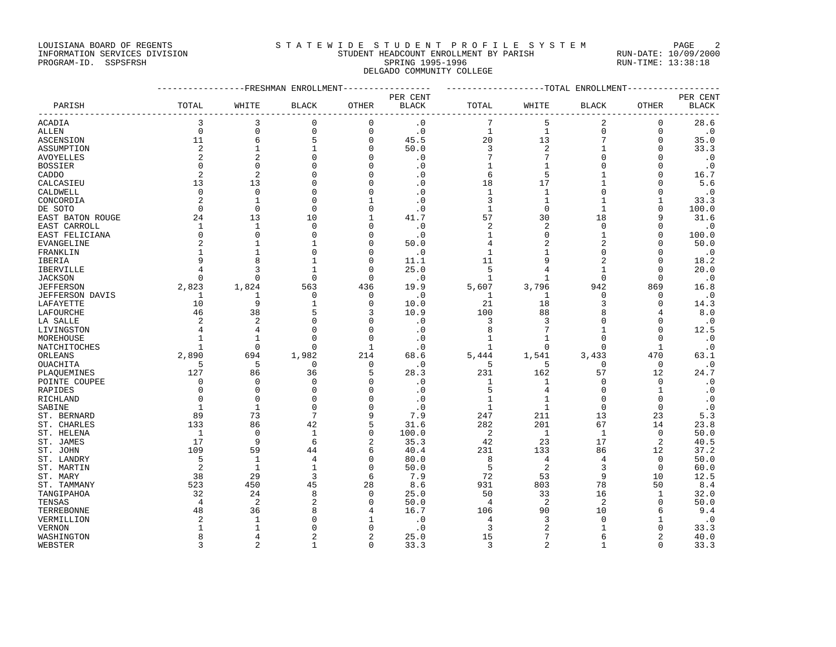## LOUISIANA BOARD OF REGENTS STATEWIDE STUDENT PROFILE SYSTEM PAGE 2 INFORMATION SERVICES DIVISION STUDENT HEADCOUNT ENROLLMENT BY PARISH RUN-DATE: 10/09/2000

PROGRAM-ID. SSPSFRSH SPRING 1995-1996 SPRING 1995-1996 RUN-TIME: 13:38:18 DELGADO COMMUNITY COLLEGE

|                   |                      |                      | ------------FRESHMAN ENROLLMENT |                         | ---------------- | -------------------TOTAL ENROLLMENT-------------- |                   |                          |                      |              |
|-------------------|----------------------|----------------------|---------------------------------|-------------------------|------------------|---------------------------------------------------|-------------------|--------------------------|----------------------|--------------|
|                   |                      |                      |                                 |                         | PER CENT         |                                                   |                   |                          |                      | PER CENT     |
| PARISH            | TOTAL                | WHITE                | <b>BLACK</b>                    | OTHER                   | <b>BLACK</b>     | TOTAL                                             | WHITE             | <b>BLACK</b>             | <b>OTHER</b>         | <b>BLACK</b> |
| ACADIA            | 3                    | 3                    | 0                               | 0                       | $\cdot$ 0        | 7                                                 | 5                 | 2                        | 0                    | 28.6         |
| <b>ALLEN</b>      | $\mathbf 0$          | $\mathbf 0$          | 0                               | 0                       | $\cdot$ 0        | $\mathbf{1}$                                      | $\mathbf{1}$      | $\mathsf 0$              | $\mathbf 0$          | $\cdot$ 0    |
| ASCENSION         | 11                   | 6                    | 5                               | 0                       | 45.5             | 20                                                | 13                | 7                        | 0                    | 35.0         |
| ASSUMPTION        | $\overline{2}$       | $\mathbf{1}$         | $\mathbf{1}$                    | 0                       | 50.0             | 3                                                 | 2                 | $\mathbf{1}$             | 0                    | 33.3         |
| <b>AVOYELLES</b>  | $\overline{c}$       | $\overline{c}$       | $\Omega$                        | $\Omega$                | $\cdot$ 0        | 7                                                 | 7                 | $\Omega$                 | $\Omega$             | $\cdot$ 0    |
| <b>BOSSIER</b>    | $\mathbf 0$          | $\mathbf 0$          | O                               | 0                       | $\cdot$ 0        | 1                                                 | 1                 | 0                        | $\mathbf 0$          | $\cdot$ 0    |
| CADDO             | $\overline{2}$       | $\overline{2}$       |                                 | U                       | $\cdot$ 0        | 6                                                 | 5                 | 1                        | $\Omega$             | 16.7         |
| CALCASIEU         | 13                   | 13                   |                                 | $\Omega$                | $\cdot$ 0        | 18                                                | 17                | $\mathbf{1}$             | $\mathbf 0$          | 5.6          |
| CALDWELL          | $\Omega$             | $\Omega$             | U                               | O                       | $\cdot$ 0        | 1                                                 | 1                 | $\Omega$                 | $\Omega$             | $\cdot$ 0    |
| CONCORDIA         | $\overline{c}$       | $\mathbf{1}$         | Ω                               |                         | $\cdot$ 0        | 3                                                 | $\mathbf{1}$      |                          | 1                    | 33.3         |
| DE SOTO           | $\Omega$             | $\Omega$             | O                               | 0                       | $\cdot$ 0        | 1                                                 | $\mathbf 0$       | $\mathbf{1}$             | $\Omega$             | 100.0        |
| EAST BATON ROUGE  | 24                   | 13                   | 10                              | 1                       | 41.7             | 57                                                | 30                | 18                       | 9                    | 31.6         |
| EAST CARROLL      | 1                    | 1                    | $\Omega$                        | O                       | $\cdot$ 0        | 2                                                 | $\overline{2}$    | $\Omega$                 | $\Omega$             | $\cdot$ 0    |
| EAST FELICIANA    | $\mathbf{0}$         | $\Omega$             | $\Omega$                        | $\mathbf 0$             | $\cdot$ 0        | 1                                                 | 0                 | $\mathbf{1}$             | $\Omega$             | 100.0        |
| <b>EVANGELINE</b> | 2                    | 1                    |                                 | O                       | 50.0             | 4                                                 | $\overline{c}$    | $\overline{2}$           | $\Omega$             | 50.0         |
| FRANKLIN          | 1                    | $\mathbf{1}$         |                                 | 0                       | $\cdot$ 0        | 1                                                 | 1                 | $\Omega$                 | $\Omega$             | $\cdot$ 0    |
|                   | 9                    | 8                    |                                 | $\Omega$                | 11.1             | 11                                                | 9                 | $\overline{2}$           | $\Omega$             | 18.2         |
| IBERIA            | 4                    | 3                    | -1                              | $\mathbf 0$             | 25.0             | 5                                                 | $\overline{4}$    | $\mathbf{1}$             | 0                    |              |
| IBERVILLE         | $\Omega$             | $\mathbf 0$          | $\Omega$                        | $\mathbf 0$             |                  | $\mathbf{1}$                                      | $\mathbf{1}$      | $\mathbf 0$              |                      | 20.0         |
| <b>JACKSON</b>    |                      |                      |                                 |                         | $\cdot$ 0        |                                                   |                   |                          | 0                    | $\cdot$ 0    |
| <b>JEFFERSON</b>  | 2,823                | 1,824                | 563                             | 436                     | 19.9             | 5,607                                             | 3,796             | 942                      | 869                  | 16.8         |
| JEFFERSON DAVIS   | 1                    | 1<br>9               | 0<br>1                          | 0<br>$\mathbf 0$        | $\cdot$ 0        | 1                                                 | 1                 | $\mathbf 0$<br>3         | 0<br>$\mathbf 0$     | $\cdot$ 0    |
| LAFAYETTE         | 10                   |                      |                                 |                         | 10.0             | 21                                                | 18                |                          |                      | 14.3         |
| LAFOURCHE         | 46<br>$\overline{c}$ | 38<br>$\overline{a}$ | 5<br>Ω                          | 3                       | 10.9             | 100                                               | 88                | 8<br>$\Omega$            | 4<br>$\Omega$        | 8.0          |
| LA SALLE          |                      |                      |                                 | $\mathbf 0$             | $\cdot$ 0        | 3                                                 | 3                 |                          |                      | $\cdot$ 0    |
| LIVINGSTON        |                      | 4<br>$\mathbf{1}$    | <sup>0</sup><br>$\Omega$        | $\Omega$<br>$\mathbf 0$ | $\cdot$ 0        | 8                                                 | 7<br>$\mathbf{1}$ | $\mathbf{1}$<br>$\Omega$ | $\Omega$<br>$\Omega$ | 12.5         |
| MOREHOUSE         | 1                    |                      |                                 |                         | $\cdot$ 0        | 1                                                 |                   | $\Omega$                 |                      | $\cdot$ 0    |
| NATCHITOCHES      |                      | $\mathbf 0$          | 0                               | 1                       | $\cdot$ 0        | 1                                                 | $\Omega$          |                          | 1                    | $\cdot$ 0    |
| ORLEANS           | 2,890                | 694                  | 1,982                           | 214                     | 68.6             | 5,444                                             | 1,541             | 3,433                    | 470                  | 63.1         |
| OUACHITA          | 5                    | 5                    | $\mathbf 0$                     | 0                       | $\cdot$ 0        | 5                                                 | 5                 | $\mathbf 0$              | 0                    | $\cdot$ 0    |
| PLAQUEMINES       | 127                  | 86                   | 36                              | 5                       | 28.3             | 231                                               | 162               | 57                       | 12                   | 24.7         |
| POINTE COUPEE     | 0                    | $\mathbf 0$          | $\Omega$                        | $\mathbf 0$             | $\cdot$ 0        | 1                                                 | $\mathbf{1}$      | $\mathbf 0$              | $\mathbf 0$          | $\cdot$ 0    |
| RAPIDES           | $\Omega$             | $\Omega$             | <sup>0</sup>                    | 0                       | $\cdot$ 0        | 5                                                 | 4                 | $\Omega$                 | 1                    | $\cdot$ 0    |
| RICHLAND          | $\Omega$             | $\mathbf 0$          | $\Omega$                        | $\Omega$                | $\cdot$ 0        | 1                                                 | $\mathbf{1}$      | $\Omega$                 | $\mathbf 0$          | $\cdot$ 0    |
| SABINE            | $\mathbf{1}$         | $\mathbf{1}$         | ∩<br>7                          | O                       | $\cdot$ 0        | $\mathbf{1}$                                      | 1                 | $\Omega$                 | $\Omega$             | $\cdot$ 0    |
| ST. BERNARD       | 89                   | 73                   |                                 | 9                       | 7.9              | 247                                               | 211               | 13                       | 23                   | 5.3          |
| ST. CHARLES       | 133                  | 86                   | 42                              | 5                       | 31.6             | 282                                               | 201               | 67                       | 14                   | 23.8         |
| ST. HELENA        | 1                    | $\mathbf 0$          | $\mathbf{1}$                    | 0                       | 100.0            | 2                                                 | $\mathbf{1}$      | $\mathbf{1}$             | $\mathbf 0$          | 50.0         |
| ST. JAMES         | 17                   | 9                    | 6                               | 2                       | 35.3             | 42                                                | 23                | 17                       | $\overline{a}$       | 40.5         |
| ST. JOHN          | 109                  | 59                   | 44                              | 6                       | 40.4             | 231                                               | 133               | 86                       | 12                   | 37.2         |
| ST. LANDRY        | 5                    | $\mathbf{1}$         | 4                               | 0                       | 80.0             | 8                                                 | 4                 | 4                        | $\Omega$             | 50.0         |
| ST. MARTIN        | 2                    | $\mathbf{1}$         | 1                               | $\mathbf 0$             | 50.0             | 5                                                 | $\overline{c}$    | 3                        | 0                    | 60.0         |
| ST. MARY          | 38                   | 29                   | 3                               | 6                       | 7.9              | 72                                                | 53                | 9                        | 10                   | 12.5         |
| ST. TAMMANY       | 523                  | 450                  | 45                              | 28                      | 8.6              | 931                                               | 803               | 78                       | 50                   | 8.4          |
| TANGIPAHOA        | 32                   | 24                   | 8                               | $\Omega$                | 25.0             | 50                                                | 33                | 16                       | 1                    | 32.0         |
| TENSAS            | $\overline{4}$       | $\overline{2}$       | $\overline{c}$                  | 0                       | 50.0             | $\overline{4}$                                    | 2                 | $\overline{2}$           | 0                    | 50.0         |
| TERREBONNE        | 48                   | 36                   | 8                               | 4                       | 16.7             | 106                                               | 90                | 10                       | 6                    | 9.4          |
| VERMILLION        | 2                    | $\mathbf{1}$         |                                 | 1                       | $\cdot$ 0        | 4                                                 | 3                 | $\Omega$                 | 1                    | $\cdot$ 0    |
| VERNON            | -1                   | 1                    | Λ                               | O                       | $\cdot$ 0        | 3                                                 | 2                 | -1                       | $\Omega$             | 33.3         |
| WASHINGTON        | 8                    | $\overline{4}$       | 2                               | $\overline{a}$          | 25.0             | 15                                                | 7                 | 6                        | $\overline{2}$       | 40.0         |
| WEBSTER           | २                    | $\mathfrak{D}$       | $\mathbf{1}$                    | $\Omega$                | 33.3             | 3                                                 | $\overline{a}$    | $\mathbf{1}$             | $\Omega$             | 33.3         |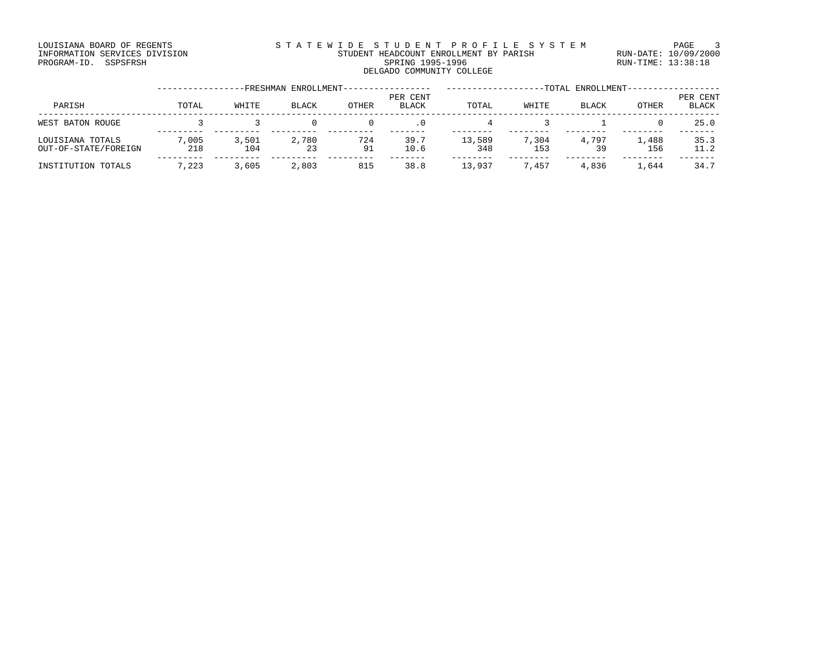### LOUISIANA BOARD OF REGENTS STATEWIDE STUDENT PROFILE SYSTEM PAGE 3 INFORMATION SERVICES DIVISION STUDENT HEADCOUNT ENROLLMENT BY PARISH RUN-DATE: 10/09/2000 PROGRAM-ID. SSPSFRSH SPRING 1995-1996 SPRING 1995-1996 RUN-TIME: 13:38:18 SPRING 1995-1996<br>DELGADO COMMUNITY COLLEGE

|                                          |              |              | -FRESHMAN ENROLLMENT- |           |                          |               |              | -TOTAL ENROLLMENT- |              |                          |
|------------------------------------------|--------------|--------------|-----------------------|-----------|--------------------------|---------------|--------------|--------------------|--------------|--------------------------|
| PARISH                                   | TOTAL        | WHITE        | <b>BLACK</b>          | OTHER     | PER CENT<br><b>BLACK</b> | TOTAL         | WHITE        | <b>BLACK</b>       | <b>OTHER</b> | PER CENT<br><b>BLACK</b> |
| WEST BATON ROUGE                         |              |              |                       |           | . 0                      |               |              |                    |              | 25.0                     |
| LOUISIANA TOTALS<br>OUT-OF-STATE/FOREIGN | 7,005<br>218 | 3,501<br>104 | 2,780<br>23           | 724<br>91 | 39.7<br>10.6             | 13,589<br>348 | 7,304<br>153 | 4,797<br>39        | 1,488<br>156 | 35.3<br>11.2             |
| INSTITUTION TOTALS                       | 7,223        | 3,605        | 2,803                 | 815       | 38.8                     | 13,937        | 7,457        | 4,836              | 1,644        | 34.7                     |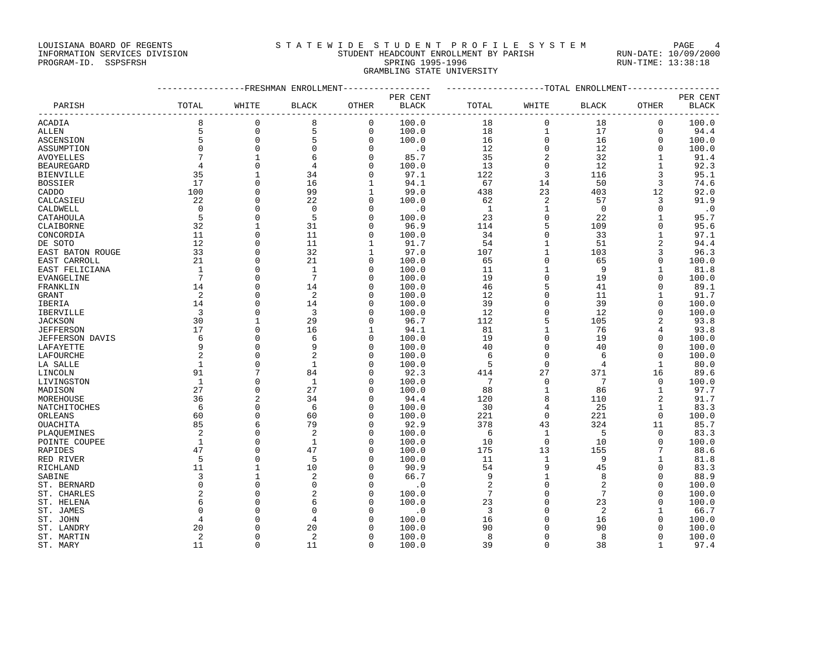## LOUISIANA BOARD OF REGENTS STA TEWIDE STUDENT PROFILE SYSTEM PAGE 4 INFORMATION SERVICES DIVISION STUDENT HEADCOUNT ENROLLMENT BY PARISH RUN-DATE: 10/09/2000

# PROGRAM-ID. SSPSFRSH SPRING 1995-1996 SPRING 1995-1996 RUN-TIME: 13:38:18 GRAMBLING STATE UNIVERSITY

|                   | ----------------FRESHMAN ENROLLMENT---------------- |                |                |              |                             | -------------------TOTAL ENROLLMENT-- |              |                 |                |              |
|-------------------|-----------------------------------------------------|----------------|----------------|--------------|-----------------------------|---------------------------------------|--------------|-----------------|----------------|--------------|
|                   |                                                     |                |                |              | PER CENT                    |                                       |              |                 |                | PER CENT     |
| PARISH            | TOTAL                                               | WHITE          | <b>BLACK</b>   | OTHER        | <b>BLACK</b>                | TOTAL                                 | WHITE        | <b>BLACK</b>    | OTHER          | <b>BLACK</b> |
| ACADIA            | 8                                                   | $\mathbf 0$    | 8              | $\mathbf 0$  | 100.0                       | 18                                    | $\mathbf{0}$ | 18              | $\mathbf 0$    | 100.0        |
| <b>ALLEN</b>      | 5                                                   | $\mathsf 0$    | 5              | $\mathbf 0$  | 100.0                       | 18                                    | $\mathbf{1}$ | 17              | $\Omega$       | 94.4         |
| <b>ASCENSION</b>  | 5                                                   | $\mathbf 0$    | 5              | $\mathbf 0$  | 100.0                       | 16                                    | $\mathbf 0$  | 16              | $\mathbf 0$    | 100.0        |
| ASSUMPTION        | $\mathbf 0$                                         | $\mathbf 0$    | $\mathbf 0$    | $\mathbf 0$  | $\overline{\phantom{0}}$ .0 | 12                                    | $\mathbf 0$  | 12              | $\Omega$       | 100.0        |
| <b>AVOYELLES</b>  | $7\phantom{.0}$                                     | $\mathbf{1}$   |                | $\mathbf 0$  | 85.7                        | 35                                    | $\sqrt{2}$   | 32              | $\mathbf{1}$   | 91.4         |
| <b>BEAUREGARD</b> | $\overline{4}$                                      | $\mathbf 0$    | 4              | $\mathbf 0$  | 100.0                       | 13                                    | $\mathsf{O}$ | 12              | $\mathbf{1}$   | 92.3         |
| <b>BIENVILLE</b>  | 35                                                  | $\mathbf{1}$   | 34             | $\Omega$     | 97.1                        | 122                                   | 3            | 116             | 3              | 95.1         |
| <b>BOSSIER</b>    | 17                                                  | $\Omega$       | 16             | 1            | 94.1                        | 67                                    | 14           | 50              | $\overline{3}$ | 74.6         |
| CADDO             | 100                                                 | $\mathbf 0$    | 99             | 1            | 99.0                        | 438                                   | 23           | 403             | 12             | 92.0         |
| CALCASIEU         | 22                                                  | $\Omega$       | 22             | $\Omega$     | 100.0                       | 62                                    | 2            | 57              | 3              | 91.9         |
| CALDWELL          | $\Omega$                                            | $\mathbf 0$    | $\Omega$       | $\mathbf 0$  | $\cdot$ 0                   | 1                                     | $\mathbf{1}$ | $\overline{0}$  | $\Omega$       | $\cdot$ 0    |
| CATAHOULA         | 5                                                   | $\mathbf 0$    | 5              | $\mathbf 0$  | 100.0                       | 23                                    | $\mathbf 0$  | 22              | $\mathbf{1}$   | 95.7         |
| CLAIBORNE         | 32                                                  | $\mathbf{1}$   | 31             | $\mathbf 0$  | 96.9                        | 114                                   | 5            | 109             | $\Omega$       | 95.6         |
| CONCORDIA         | 11                                                  | $\mathbf{0}$   | 11             | 0            | 100.0                       | 34                                    | $\mathsf 0$  | 33              | 1              | 97.1         |
| DE SOTO           | 12                                                  | $\mathbf 0$    | 11             | $\mathbf{1}$ | 91.7                        | 54                                    | $\mathbf{1}$ | 51              | 2              | 94.4         |
| EAST BATON ROUGE  | 33                                                  | $\mathbf 0$    | 32             | 1            | 97.0                        | 107                                   | $\mathbf{1}$ | 103             | 3              | 96.3         |
| EAST CARROLL      | 21                                                  | $\Omega$       | 21             | $\Omega$     | 100.0                       | 65                                    | $\Omega$     | 65              | $\Omega$       | 100.0        |
| EAST FELICIANA    | $\overline{1}$                                      | $\mathbf 0$    | $\mathbf{1}$   | $\Omega$     | 100.0                       | 11                                    | $\mathbf{1}$ | - 9             | $\mathbf 1$    | 81.8         |
| EVANGELINE        | $7\phantom{.0}$                                     | $\Omega$       | 7              | $\Omega$     | 100.0                       | 19                                    | $\mathbf 0$  | 19              | $\Omega$       | 100.0        |
| FRANKLIN          | 14                                                  | $\Omega$       | 14             | $\Omega$     | 100.0                       | 46                                    | 5            | 41              | $\Omega$       | 89.1         |
| <b>GRANT</b>      | 2                                                   | $\mathbf 0$    | $\overline{2}$ | $\mathbf 0$  | 100.0                       | 12                                    | $\mathbf 0$  | 11              | $\mathbf{1}$   | 91.7         |
| IBERIA            | 14                                                  | $\Omega$       | 14             | 0            | 100.0                       | 39                                    | $\mathbf 0$  | 39              | $\mathbf 0$    | 100.0        |
| IBERVILLE         | $\overline{\mathbf{3}}$                             | $\mathbf 0$    | 3              | $\Omega$     | 100.0                       | 12                                    | $\mathbf 0$  | 12              | $\Omega$       | 100.0        |
| <b>JACKSON</b>    | 30                                                  | $\mathbf{1}$   | 29             | $\Omega$     | 96.7                        | 112                                   | 5            | 105             | 2              | 93.8         |
| <b>JEFFERSON</b>  | 17                                                  | $\Omega$       | 16             | 1            | 94.1                        | 81                                    | $\mathbf{1}$ | 76              | 4              | 93.8         |
| JEFFERSON DAVIS   | 6                                                   | $\mathbf 0$    | 6              | 0            | 100.0                       | 19                                    | $\mathbf 0$  | 19              | $\mathbf 0$    | 100.0        |
|                   | 9                                                   | $\mathbf 0$    | 9              | $\Omega$     | 100.0                       | 40                                    | $\mathsf 0$  | 40              | $\mathbf 0$    | 100.0        |
| LAFAYETTE         | 2                                                   | $\Omega$       |                | $\Omega$     |                             | 6                                     | $\Omega$     | 6               | $\Omega$       | 100.0        |
| LAFOURCHE         | $\mathbf{1}$                                        | $\mathbf 0$    | $\mathbf{1}$   | $\Omega$     | 100.0                       | 5                                     | $\mathbf 0$  |                 |                |              |
| LA SALLE          | 91                                                  | 7              | 84             | 0            | 100.0<br>92.3               | 414                                   | 27           | 4<br>371        | $\mathbf{1}$   | 80.0         |
| LINCOLN           | <sup>1</sup>                                        | $\mathbf 0$    | $\mathbf{1}$   | $\Omega$     |                             | 7                                     | $\mathbf 0$  | $\overline{7}$  | 16<br>$\Omega$ | 89.6         |
| LIVINGSTON        | 27                                                  |                | 27             |              | 100.0                       |                                       |              |                 |                | 100.0        |
| MADISON           |                                                     | $\mathbf 0$    |                | 0            | 100.0                       | 88                                    | $\mathbf{1}$ | 86              | 1              | 97.7         |
| MOREHOUSE         | 36                                                  | $\overline{2}$ | 34             | $\Omega$     | 94.4                        | 120                                   | 8            | 110             | 2              | 91.7         |
| NATCHITOCHES      | 6                                                   | $\mathbf 0$    | 6              | $\Omega$     | 100.0                       | 30                                    | 4            | 25              | $\mathbf{1}$   | 83.3         |
| ORLEANS           | 60                                                  | $\mathbf 0$    | 60             | 0            | 100.0                       | 221                                   | $\mathbf 0$  | 221             | 0              | 100.0        |
| OUACHITA          | 85                                                  | 6              | 79             | $\Omega$     | 92.9                        | 378                                   | 43           | 324             | 11             | 85.7         |
| PLAOUEMINES       | 2                                                   | $\Omega$       | $\overline{2}$ | $\Omega$     | 100.0                       | 6                                     | $\mathbf{1}$ | - 5             | $\Omega$       | 83.3         |
| POINTE COUPEE     | 1                                                   | $\Omega$       | $\mathbf{1}$   | $\Omega$     | 100.0                       | 10                                    | $\Omega$     | 10              | $\Omega$       | 100.0        |
| RAPIDES           | 47                                                  | $\mathbf 0$    | 47             | 0            | 100.0                       | 175                                   | 13           | 155             | 7              | 88.6         |
| RED RIVER         | 5                                                   | $\Omega$       | 5              | $\Omega$     | 100.0                       | 11                                    | $\mathbf{1}$ | 9               | 1              | 81.8         |
| RICHLAND          | 11                                                  | $\mathbf{1}$   | 10             | $\Omega$     | 90.9                        | 54                                    | 9            | 45              | $\Omega$       | 83.3         |
| SABINE            | 3                                                   | $\mathbf{1}$   | $\overline{2}$ | $\Omega$     | 66.7                        | 9                                     | $\mathbf{1}$ | 8               | $\Omega$       | 88.9         |
| ST. BERNARD       | $\Omega$                                            | $\mathbf 0$    | 0              | $\Omega$     | $\cdot$ 0                   | $\overline{c}$                        | $\Omega$     | $\overline{c}$  | $\Omega$       | 100.0        |
| ST. CHARLES       | $\overline{a}$                                      | $\Omega$       |                | $\Omega$     | 100.0                       | $7\phantom{.0}$                       | $\Omega$     | $7\phantom{.0}$ | $\Omega$       | 100.0        |
| ST. HELENA        | 6                                                   | $\mathbf 0$    | 6              | $\Omega$     | 100.0                       | 23                                    | $\Omega$     | 23              | $\Omega$       | 100.0        |
| ST. JAMES         | $\Omega$                                            | $\Omega$       | $\Omega$       | U            | $\cdot$ 0                   | 3                                     | $\Omega$     | 2               | $\mathbf{1}$   | 66.7         |
| ST. JOHN          | 4                                                   | $\Omega$       | 4              | U            | 100.0                       | 16                                    | $\Omega$     | 16              | $\Omega$       | 100.0        |
| ST. LANDRY        | 20                                                  | $\Omega$       | 20             | 0            | 100.0                       | 90                                    | $\Omega$     | 90              | $\Omega$       | 100.0        |
| ST. MARTIN        | 2                                                   | $\Omega$       | $\overline{2}$ | $\Omega$     | 100.0                       | 8                                     | $\Omega$     | 8               | $\Omega$       | 100.0        |
| ST. MARY          | 11                                                  | $\Omega$       | 11             | $\Omega$     | 100.0                       | 39                                    | $\Omega$     | 38              | $\mathbf{1}$   | 97.4         |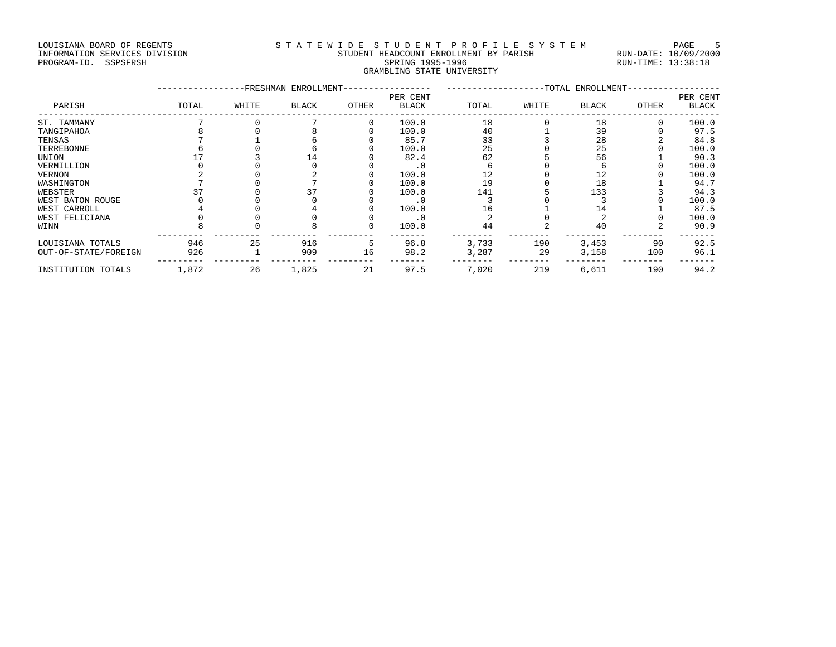## LOUISIANA BOARD OF REGENTS STATEWIDE STUDENT PROFILE SYSTEM PAGE 5 INFORMATION SERVICES DIVISION STUDENT HEADCOUNT ENROLLMENT BY PARISH RUN-DATE: 10/09/2000 PROGRAM-ID. SSPSFRSH SPRING 1995-1996 SPRING 1995-1996 RUN-TIME: 13:38:18 GRAMBLING STATE UNIVERSITY<br>GRAMBLING STATE UNIVERSITY

|                      |       |       | FRESHMAN ENROLLMENT- |       |                          |       |       | -TOTAL ENROLLMENT- |              |                          |
|----------------------|-------|-------|----------------------|-------|--------------------------|-------|-------|--------------------|--------------|--------------------------|
| PARISH               | TOTAL | WHITE | BLACK                | OTHER | PER CENT<br><b>BLACK</b> | TOTAL | WHITE | BLACK              | <b>OTHER</b> | PER CENT<br><b>BLACK</b> |
| ST. TAMMANY          |       |       |                      | O     | 100.0                    | 18    |       | 18                 |              | 100.0                    |
| TANGIPAHOA           |       |       |                      |       | 100.0                    | 40    |       | 39                 |              | 97.5                     |
| TENSAS               |       |       |                      |       | 85.7                     | 33    |       | 28                 |              | 84.8                     |
| TERREBONNE           |       |       |                      |       | 100.0                    | 25    |       | 25                 |              | 100.0                    |
| UNION                |       |       | L 4                  |       | 82.4                     | 62    |       | 56                 |              | 90.3                     |
| VERMILLION           |       |       |                      |       |                          |       |       |                    |              | 100.0                    |
| VERNON               |       |       |                      |       | 100.0                    | 12    |       | 12                 |              | 100.0                    |
| WASHINGTON           |       |       |                      |       | 100.0                    | 19    |       | 18                 |              | 94.7                     |
| WEBSTER              |       |       | 37                   |       | 100.0                    | 141   |       | 133                |              | 94.3                     |
| WEST BATON ROUGE     |       |       |                      |       | $\cdot$ 0                |       |       |                    |              | 100.0                    |
| WEST CARROLL         |       |       |                      |       | 100.0                    | 16    |       | 14                 |              | 87.5                     |
| WEST FELICIANA       |       |       |                      |       |                          |       |       |                    |              | 100.0                    |
| WINN                 |       |       |                      |       | 100.0                    | 44    |       | 40                 |              | 90.9                     |
| LOUISIANA TOTALS     | 946   | 25    | 916                  | 5     | 96.8                     | 3,733 | 190   | 3,453              | 90           | 92.5                     |
| OUT-OF-STATE/FOREIGN | 926   |       | 909                  | 16    | 98.2                     | 3,287 | 29    | 3,158              | 100          | 96.1                     |
| INSTITUTION TOTALS   | 1,872 | 26    | 1,825                | 21    | 97.5                     | 7,020 | 219   | 6,611              | 190          | 94.2                     |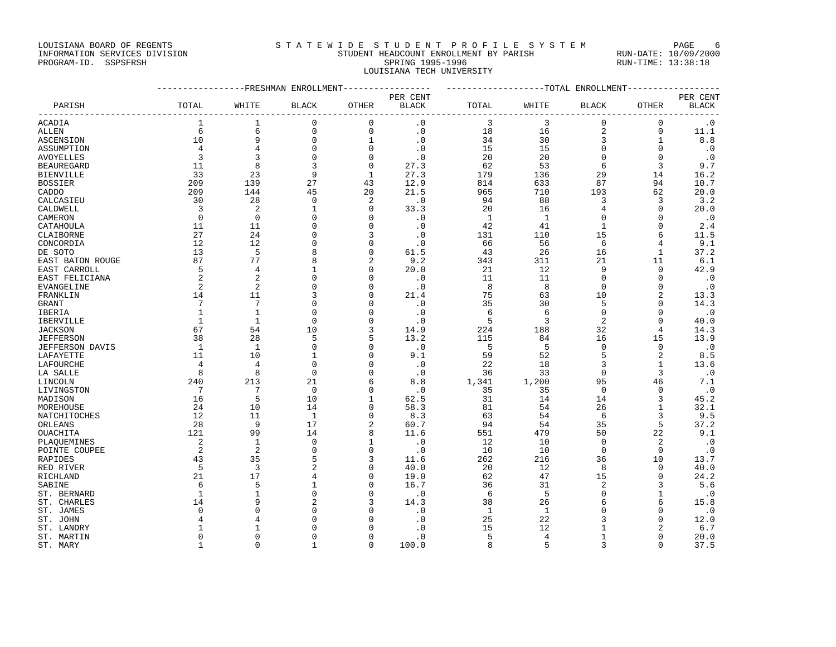## LOUISIANA BOARD OF REGENTS STATEWIDE STUDENT PROFILE SYSTEM PAGE 6 INFORMATION SERVICES DIVISION STUDENT HEADCOUNT ENROLLMENT BY PARISH RUN-DATE: 10/09/2000 PROGRAM-ID. SSPSFRSH SPRING 1995-1996 SPRING 1995-1996 RUN-TIME: 13:38:18

LOUISIANA TECH UNIVERSITY

|                   | ----------------FRESHMAN ENROLLMENT---------------- |                |                |              |                        | ------------------TOTAL ENROLLMENT-------------- |                |                        |                |              |
|-------------------|-----------------------------------------------------|----------------|----------------|--------------|------------------------|--------------------------------------------------|----------------|------------------------|----------------|--------------|
|                   |                                                     |                |                |              | PER CENT               |                                                  |                |                        |                | PER CENT     |
| PARISH            | TOTAL                                               | WHITE          | <b>BLACK</b>   | OTHER        | <b>BLACK</b>           | TOTAL                                            | WHITE          | $\operatorname{BLACK}$ | OTHER          | <b>BLACK</b> |
| ACADIA            | 1                                                   | 1              | $\mathbf{0}$   | $\mathbf 0$  | $\cdot$ 0              | 3                                                | 3              | $\Omega$               | $\mathbf 0$    | $\cdot$ 0    |
| ALLEN             | 6                                                   | $6\,$          | $\mathbf{0}$   | $\mathbf 0$  | $\cdot$ 0              | 18                                               | 16             | $\overline{2}$         | $\mathbf 0$    | 11.1         |
| <b>ASCENSION</b>  | 10                                                  | 9              | $\mathbf 0$    | $\mathbf{1}$ | $\cdot$ 0              | 34                                               | 30             | 3                      | $\mathbf{1}$   | 8.8          |
| ASSUMPTION        | $\overline{4}$                                      | $\overline{4}$ | $\mathbf 0$    | $\Omega$     | $\cdot$ 0              | 15                                               | 15             | $\mathbf 0$            | $\mathbf 0$    | $\cdot$ 0    |
| AVOYELLES         | 3                                                   | 3              | $\mathbf 0$    | 0            | $\cdot$ 0              | 20                                               | 20             | $\mathbf 0$            | $\Omega$       | $\cdot$ 0    |
| <b>BEAUREGARD</b> | 11                                                  | 8              | 3              | $\Omega$     | 27.3                   | 62                                               | 53             | 6                      | 3              | 9.7          |
| BIENVILLE         | 33                                                  | 23             | 9              | 1            | 27.3                   | 179                                              | 136            | 29                     | 14             | 16.2         |
| <b>BOSSIER</b>    | 209                                                 | 139            | 27             | 43           | 12.9                   | 814                                              | 633            | 87                     | 94             | 10.7         |
| CADDO             | 209                                                 | 144            | 45             | 20           | 21.5                   | 965                                              | 710            | 193                    | 62             | 20.0         |
| CALCASIEU         | 30                                                  | 28             | $\mathbf 0$    | 2            | $\cdot$ 0              | 94                                               | 88             | 3                      | 3              | 3.2          |
| CALDWELL          | $\overline{3}$                                      | 2              | $\mathbf{1}$   | $\Omega$     | 33.3                   | 20                                               | 16             | 4                      | $\Omega$       | 20.0         |
| CAMERON           | $\mathbf 0$                                         | $\overline{0}$ | $\Omega$       | 0            | $\cdot$ 0              | 1                                                | $\mathbf{1}$   | $\mathbf 0$            | 0              | $\cdot$ 0    |
| CATAHOULA         | 11                                                  | 11             | $\Omega$       | $\Omega$     | $\cdot$ 0              | 42                                               | 41             | $\mathbf{1}$           | $\Omega$       | $2\,.\,4$    |
| CLAIBORNE         | 27                                                  | 24             | $\Omega$       | 3            | $\cdot$ 0              | 131                                              | 110            | 15                     | 6              | 11.5         |
| CONCORDIA         | 12                                                  | 12             | $\Omega$       | $\Omega$     | $\cdot$ 0              | 66                                               | 56             | 6                      | 4              | 9.1          |
| DE SOTO           | 13                                                  | 5              | 8              | $\Omega$     | 61.5                   | 43                                               | 26             | 16                     | $\mathbf{1}$   | 37.2         |
| EAST BATON ROUGE  | 87                                                  | 77             | 8              | 2            | 9.2                    | 343                                              | 311            | 21                     | 11             | 6.1          |
| EAST CARROLL      | 5                                                   | 4              | 1              | $\Omega$     | 20.0                   | 21                                               | 12             | 9                      | $\mathbf 0$    | 42.9         |
| EAST FELICIANA    | 2                                                   | 2              | $\Omega$       | $\Omega$     | $\cdot$ 0              | 11                                               | 11             | $\Omega$               | $\Omega$       | $\cdot$ 0    |
| EVANGELINE        | 2                                                   | 2              | $\mathbf{0}$   | 0            | $\cdot$ 0              | 8                                                | 8              | $\mathbf 0$            | 0              | $\cdot$ 0    |
| FRANKLIN          | 14                                                  | 11             | 3              | $\Omega$     | 21.4                   | 75                                               | 63             | 10                     | 2              | 13.3         |
| GRANT             | 7                                                   | 7              | $\Omega$       | 0            | $\cdot$ 0              | 35                                               | 30             | 5                      | 0              | 14.3         |
| IBERIA            | 1                                                   | 1              | $\Omega$       | 0            | $\cdot$ 0              | 6                                                | 6              | $\Omega$               | $\Omega$       | $\cdot$ 0    |
| IBERVILLE         | $\mathbf{1}$                                        | $\mathbf{1}$   | $\Omega$       | $\Omega$     | $\boldsymbol{\cdot}$ 0 | 5                                                | 3              | $\sqrt{2}$             | $\Omega$       | 40.0         |
| <b>JACKSON</b>    | 67                                                  | 54             | 10             | 3            | 14.9                   | 224                                              | 188            | 32                     | 4              | 14.3         |
| JEFFERSON         | 38                                                  | 28             | 5              | 5            | 13.2                   | 115                                              | 84             | 16                     | 15             | 13.9         |
| JEFFERSON DAVIS   | $\mathbf{1}$                                        | 1              | $\Omega$       | 0            | $\cdot$ 0              | 5                                                | 5              | $\Omega$               | $\Omega$       | $\cdot$ 0    |
| LAFAYETTE         | 11                                                  | 10             | 1              | $\Omega$     | 9.1                    | 59                                               | 52             | 5                      | 2              | 8.5          |
| LAFOURCHE         | $\overline{4}$                                      | $\overline{4}$ | $\Omega$       | 0            | $\cdot$ 0              | 22                                               | 18             | 3                      | $\mathbf{1}$   | 13.6         |
| LA SALLE          | 8                                                   | 8              | $\Omega$       | 0            | $\cdot$ 0              | 36                                               | 33             | $\Omega$               | 3              | $\cdot$ 0    |
| LINCOLN           | 240                                                 | 213            | 21             | 6            | 8.8                    | 1,341                                            | 1,200          | 95                     | 46             | 7.1          |
| LIVINGSTON        | $\overline{7}$                                      | 7              | $\Omega$       | 0            | $\cdot$ 0              | 35                                               | 35             | $\Omega$               | $\Omega$       | $\cdot$ 0    |
| MADISON           | 16                                                  | 5              | 10             |              | 62.5                   | 31                                               | 14             | 14                     | 3              | 45.2         |
| MOREHOUSE         | 24                                                  | 10             | 14             | 0            | 58.3                   | 81                                               | 54             | 26                     | $\mathbf{1}$   | 32.1         |
| NATCHITOCHES      | 12                                                  | 11             | 1              | 0            | 8.3                    | 63                                               | 54             | -6                     | 3              | 9.5          |
| ORLEANS           | 28                                                  | 9              | 17             | 2            | 60.7                   | 94                                               | 54             | 35                     | 5              | 37.2         |
| OUACHITA          | 121                                                 | 99             | 14             | 8            | 11.6                   | 551                                              | 479            | 50                     | 22             | 9.1          |
| PLAOUEMINES       | 2                                                   | $\mathbf{1}$   | $\mathbf 0$    | 1            | $\cdot$ 0              | 12                                               | 10             | $\Omega$               | $\overline{2}$ | $\cdot$ 0    |
| POINTE COUPEE     | 2                                                   | 2              | $\Omega$       | 0            | $\cdot$ 0              | 10                                               | 10             | $\mathbf 0$            | $\mathbf 0$    | $\cdot$ 0    |
| RAPIDES           | 43                                                  | 35             | 5              | 3            | 11.6                   | 262                                              | 216            | 36                     | 10             | 13.7         |
| RED RIVER         | 5                                                   | $\overline{3}$ | $\overline{2}$ | 0            | 40.0                   | 20                                               | 12             | 8                      | $\Omega$       | 40.0         |
| RICHLAND          | 21                                                  | 17             | $\overline{4}$ | 0            | 19.0                   | 62                                               | 47             | 15                     | $\Omega$       | 24.2         |
| SABINE            | 6                                                   | 5              | 1              | $\Omega$     | 16.7                   | 36                                               | 31             | $\overline{2}$         | 3              | 5.6          |
| ST. BERNARD       | $\mathbf{1}$                                        | 1              | $\mathbf{0}$   | 0            | $\cdot$ 0              | 6                                                | 5              | $\Omega$               | $\mathbf{1}$   | $\cdot$ 0    |
| ST. CHARLES       | 14                                                  | 9              | $\overline{c}$ | 3            | 14.3                   | 38                                               | 26             |                        | 6              | 15.8         |
| ST. JAMES         | $\Omega$                                            | $\Omega$       | $\Omega$       |              | $\cdot$ 0              | 1                                                | 1              |                        | $\Omega$       | $\cdot$ 0    |
| ST. JOHN          |                                                     | 4              | $\Omega$       |              | $\cdot$ 0              | 25                                               | 22             |                        | $\Omega$       | 12.0         |
| ST. LANDRY        | 1                                                   | 1              | $\Omega$       |              | $\cdot$ 0              | 15                                               | 12             | -1                     | 2              | 6.7          |
| ST. MARTIN        | $\Omega$                                            | $\Omega$       | $\Omega$       | $\Omega$     | $\cdot$ 0              | 5                                                | $\overline{4}$ | $\mathbf{1}$           | $\Omega$       | 20.0         |

ST. MARY 1 0 1 0 100.0 8 5 3 0 37.5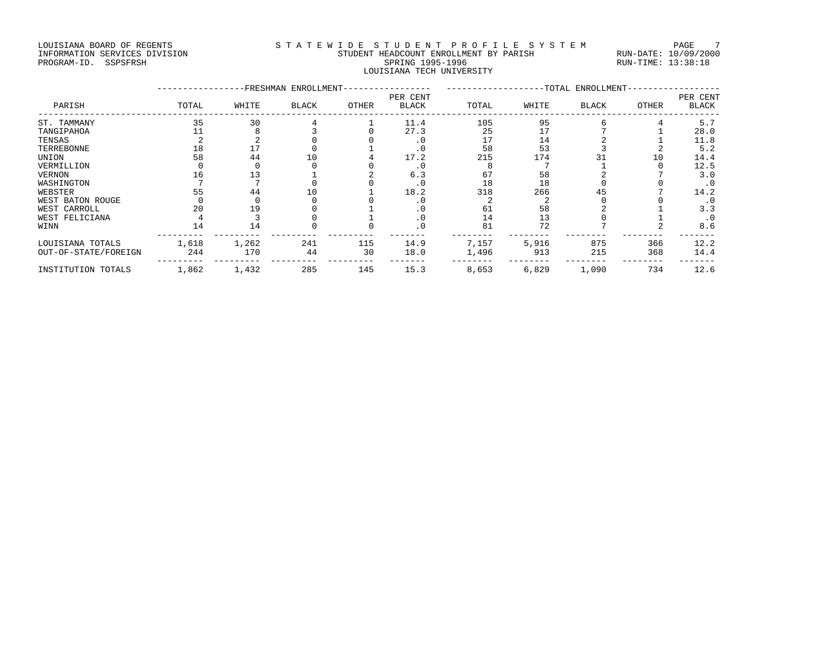### LOUISIANA BOARD OF REGENTS STA TEWIDE STUDENT PROFILE SYSTEM PAGE 7 INFORMATION SERVICES DIVISION STUDENT HEADCOUNT ENROLLMENT BY PARISH RUN-DATE: 10/09/2000 PROGRAM-ID. SSPSFRSH SPRING 1995-1996 SPRING 1995-1996 RUN-TIME: 13:38:18 LOUISIANA TECH UNIVERSITY

|                      |       |       | FRESHMAN ENROLLMENT- |       | -TOTAL ENROLLMENT        |       |       |              | PER CENT |              |
|----------------------|-------|-------|----------------------|-------|--------------------------|-------|-------|--------------|----------|--------------|
| PARISH               | TOTAL | WHITE | <b>BLACK</b>         | OTHER | PER CENT<br><b>BLACK</b> | TOTAL | WHITE | <b>BLACK</b> | OTHER    | <b>BLACK</b> |
| ST. TAMMANY          | 35    | 30    |                      |       | 11.4                     | 105   | 95    |              |          | 5.7          |
| TANGIPAHOA           |       |       |                      |       | 27.3                     | 25    |       |              |          | 28.0         |
| TENSAS               |       |       |                      |       | . 0                      | 17    | 14    |              |          | 11.8         |
| TERREBONNE           | 18    |       |                      |       | . 0                      | 58    | 53    |              |          | 5.2          |
| UNION                | 58    | 44    | L O                  |       | 17.2                     | 215   | 174   |              | 10       | 14.4         |
| VERMILLION           |       |       |                      |       | $\cdot$ 0                |       |       |              |          | 12.5         |
| <b>VERNON</b>        | 16    | 13    |                      |       | 6.3                      | 67    | 58    |              |          | 3.0          |
| WASHINGTON           |       |       |                      |       | $\cdot$ 0                | 18    | 18    |              |          | $\cdot$ 0    |
| WEBSTER              | 55    | 44    | 10                   |       | 18.2                     | 318   | 266   | 45           |          | 14.2         |
| WEST BATON ROUGE     |       |       |                      |       | . 0                      |       |       |              |          | . 0          |
| WEST CARROLL         | 20    | 19    |                      |       | . 0                      | 61    | 58    |              |          | 3.3          |
| WEST FELICIANA       |       |       |                      |       | $\cdot$ 0                | 14    | 13    |              |          | $\cdot$ 0    |
| WINN                 | 14    | 14    |                      |       | . 0                      | 81    | 72    |              |          | 8.6          |
| LOUISIANA TOTALS     | 1,618 | 1,262 | 241                  | 115   | 14.9                     | 7,157 | 5,916 | 875          | 366      | 12.2         |
| OUT-OF-STATE/FOREIGN | 244   | 170   | 44                   | 30    | 18.0                     | 1,496 | 913   | 215          | 368      | 14.4         |
| INSTITUTION TOTALS   | 1,862 | 1,432 | 285                  | 145   | 15.3                     | 8,653 | 6,829 | 1,090        | 734      | 12.6         |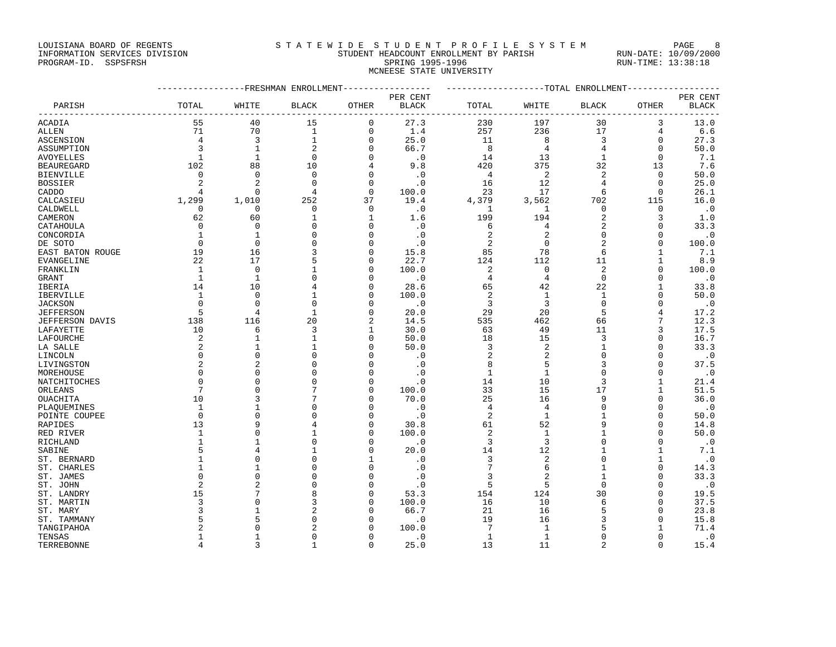## LOUISIANA BOARD OF REGENTS STATEWIDE STUDENT PROFILE SYSTEM PAGE 8 INFORMATION SERVICES DIVISION STUDENT HEADCOUNT ENROLLMENT BY PARISH RUN-DATE: 10/09/2000 PROGRAM-ID. SSPSFRSH SPRING 1995-1996 SPRING 1995-1996 RUN-TIME: 13:38:18

MCNEESE STATE UNIVERSITY

|                       | ----------------FRESHMAN ENROLLMENT-------------- |                |                      |                         |                             | ------------------TOTAL ENROLLMENT------------- |                |                |                        |                  |
|-----------------------|---------------------------------------------------|----------------|----------------------|-------------------------|-----------------------------|-------------------------------------------------|----------------|----------------|------------------------|------------------|
|                       |                                                   |                |                      |                         | PER CENT                    |                                                 |                |                |                        | PER CENT         |
| PARISH                | TOTAL<br>$- - - - -$                              | WHITE          | <b>BLACK</b>         | <b>OTHER</b><br>$- - -$ | <b>BLACK</b><br>----------- | TOTAL                                           | WHITE          | <b>BLACK</b>   | <b>OTHER</b><br>$   -$ | BLACK<br>----    |
| ACADIA                | 55                                                | 40             | 15                   | $\mathbf 0$             | 27.3                        | 230                                             | 197            | 30             | 3                      | 13.0             |
| ALLEN                 | 71                                                | 70             | $\mathbf{1}$         | $\mathbf 0$             | 1.4                         | 257                                             | 236            | 17             | 4                      | 6.6              |
| ASCENSION             | $\overline{4}$                                    | 3              | $\mathbf{1}$         | 0                       | 25.0                        | 11                                              | 8              | $\overline{3}$ | $\mathbf 0$            | 27.3             |
| ASSUMPTION            | 3                                                 | $\mathbf{1}$   | $\overline{2}$       | $\Omega$                | 66.7                        | 8                                               | 4              | $\overline{4}$ | $\mathbf 0$            | 50.0             |
| AVOYELLES             | 1                                                 | $\mathbf{1}$   | $\Omega$             | $\Omega$                | $\cdot$ 0                   | 14                                              | 13             | $\mathbf{1}$   | $\Omega$               | 7.1              |
| <b>BEAUREGARD</b>     | 102                                               | 88             | 10                   | 4                       | 9.8                         | 420                                             | 375            | 32             | 13                     | 7.6              |
| <b>BIENVILLE</b>      | $\mathbf 0$                                       | $\Omega$       | $\Omega$             | $\Omega$                | $\cdot$ 0                   | 4                                               | 2              | 2              | 0                      | 50.0             |
| <b>BOSSIER</b>        |                                                   | 2              | $\Omega$             | $\mathbf 0$             | $\cdot$ 0                   | 16                                              | 12             | 4              | $\mathbf 0$            | 25.0             |
| CADDO                 | $\overline{4}$                                    | $\Omega$       | $\overline{4}$       | $\Omega$                | 100.0                       | 23                                              | 17             | 6              | $\Omega$               | 26.1             |
| CALCASIEU             | 1,299                                             | 1,010          | 252                  | 37                      | 19.4                        | 4,379                                           | 3,562          | 702            | 115                    | 16.0             |
| CALDWELL              | 0                                                 | $\Omega$       | $\Omega$             | $\Omega$                | $\cdot$ 0                   | 1                                               | 1              | $\mathbf 0$    | $\Omega$               | $\cdot$ 0        |
| CAMERON               | 62                                                | 60             | $\mathbf{1}$         | $\mathbf{1}$            | 1.6                         | 199                                             | 194            | $\overline{c}$ | 3                      | 1.0              |
| CATAHOULA             | $\overline{0}$                                    | $\mathbf 0$    | $\mathbf 0$          | 0                       | $\cdot$ 0                   | 6                                               | 4              | 2              | $\mathbf 0$            | 33.3             |
| CONCORDIA             | $\mathbf{1}$                                      | 1              | $\mathbf 0$          | $\mathbf 0$             | $\cdot$ 0                   | 2                                               | 2              | $\mathbf 0$    | 0                      | $\cdot$ 0        |
| DE SOTO               | $\overline{0}$                                    | $\Omega$       | $\Omega$             | $\mathbf 0$             | $\cdot$ 0                   | 2                                               | $\mathbf 0$    | $\sqrt{2}$     | $\mathbf 0$            | 100.0            |
| EAST BATON ROUGE      | 19                                                | 16             | 3                    | $\Omega$                | 15.8                        | 85                                              | 78             | 6              | 1                      | 7.1              |
| EVANGELINE            | 22                                                | 17             | 5                    | $\mathbf 0$             | 22.7                        | 124                                             | 112            | 11             | $\mathbf{1}$           | 8.9              |
| FRANKLIN              | 1                                                 | $\mathbf 0$    | $\mathbf{1}$         | $\mathbf 0$             | 100.0                       | $\overline{c}$                                  | $\mathbf 0$    | $\overline{c}$ | $\mathbf 0$            | 100.0            |
| GRANT                 | $\mathbf{1}$                                      | -1             | $\Omega$             | $\Omega$                | $\cdot$ 0                   | 4                                               | $\overline{4}$ | $\mathbf 0$    | $\Omega$               | $\cdot$ 0        |
| IBERIA                | 14                                                | 10             | 4                    | $\mathbf 0$             | 28.6                        | 65                                              | 42             | 22             | 1                      | 33.8             |
| IBERVILLE             | $\mathbf{1}$                                      | $\Omega$       | $\mathbf{1}$         | $\Omega$                | 100.0                       | 2                                               | $\mathbf{1}$   | $\mathbf{1}$   | $\Omega$               | 50.0             |
| <b>JACKSON</b>        | $\Omega$                                          | $\Omega$       | $\Omega$             | $\Omega$                | $\overline{\phantom{0}}$ .0 | $\overline{3}$                                  | 3              | $\Omega$       | $\Omega$               | $\cdot$ .0       |
| <b>JEFFERSON</b>      | 5                                                 | 4              | $\mathbf{1}$         | $\mathbf 0$             | 20.0                        | 29                                              | 20             | 5              | 4                      | 17.2             |
| JEFFERSON DAVIS       | 138                                               | 116            | 20                   | 2                       | 14.5                        | 535                                             | 462            | 66             | 7                      | 12.3             |
| LAFAYETTE             | 10                                                | 6              | 3                    | 1                       | 30.0                        | 63                                              | 49             | 11             | 3                      | 17.5             |
| LAFOURCHE             | 2                                                 | $\mathbf{1}$   | $\mathbf{1}$         | $\Omega$                | 50.0                        | 18                                              | 15             | 3              | $\mathbf 0$            | 16.7             |
| LA SALLE              | 2                                                 | $\mathbf{1}$   | $\mathbf{1}$         | $\Omega$                | 50.0                        | 3                                               | $\overline{c}$ | $\mathbf{1}$   | $\mathbf 0$            | 33.3             |
| LINCOLN               | $\mathbf 0$                                       | $\Omega$       | $\mathbf 0$          | $\Omega$                | $\cdot$ 0                   | 2                                               | 2              | $\mathbf 0$    | $\mathbf 0$            | $\cdot$ 0        |
| LIVINGSTON            | $\overline{a}$                                    | $\overline{2}$ | $\Omega$             | $\Omega$                | $\cdot$ 0                   | 8                                               | 5              | 3              | $\Omega$               | 37.5             |
| MOREHOUSE             | $\mathbf 0$                                       | $\Omega$       | $\Omega$             | $\Omega$                | $\cdot$ 0                   | 1                                               | 1              | $\Omega$       | 0                      | $\cdot$ .0       |
| NATCHITOCHES          | $\Omega$                                          | $\Omega$       | $\Omega$             | $\Omega$                | $\cdot$ 0                   | 14                                              | 10             | 3              | 1                      | 21.4             |
| ORLEANS               | 7                                                 | $\mathbf 0$    | 7                    | $\Omega$                | 100.0                       | 33                                              | 15             | 17             | $\mathbf{1}$           | 51.5             |
| OUACHITA              | 10                                                | 3              | 7                    | $\Omega$                | 70.0                        | 25                                              | 16             | 9              | $\mathbf 0$            | 36.0             |
| PLAOUEMINES           | 1                                                 | -1<br>$\Omega$ | $\Omega$<br>$\Omega$ | O<br>O                  | $\cdot$ 0                   | 4                                               | 4              | $\mathbf 0$    | $\Omega$               | $\cdot$ . 0      |
| POINTE COUPEE         | $\overline{0}$                                    |                |                      |                         | $\cdot$ 0                   | $\overline{2}$                                  | $\mathbf{1}$   | 9              | 0                      | 50.0             |
| RAPIDES               | 13                                                | 9<br>$\Omega$  | 4<br>$\mathbf{1}$    | $\Omega$<br>$\Omega$    | 30.8<br>100.0               | 61<br>2                                         | 52<br>1        |                | $\Omega$<br>$\Omega$   | 14.8<br>50.0     |
| RED RIVER             | 1<br>$\mathbf{1}$                                 | $\mathbf{1}$   | $\mathbf 0$          |                         |                             |                                                 | 3              | $\Omega$       | $\Omega$               |                  |
| RICHLAND              | 5                                                 | 4              | 1                    | $\mathbf 0$<br>$\Omega$ | $\cdot$ 0<br>20.0           | 3<br>14                                         | 12             |                | 1                      | $\cdot$ 0<br>7.1 |
| SABINE<br>ST. BERNARD |                                                   | $\Omega$       | $\Omega$             | 1                       | $\cdot$ 0                   | 3                                               | 2              | $\Omega$       | 1                      | $\cdot$ 0        |
| ST. CHARLES           | 1                                                 | $\mathbf{1}$   | $\Omega$             | $\mathbf{0}$            | $\cdot$ 0                   | 7                                               | 6              | 1              | $\mathbf 0$            | 14.3             |
|                       | $\Omega$                                          | $\Omega$       | $\Omega$             | $\Omega$                | $\cdot$ 0                   | 3                                               | 2              |                | $\Omega$               | 33.3             |
| ST. JAMES<br>ST. JOHN | 2                                                 | 2              | $\mathbf 0$          | $\mathbf 0$             | $\cdot$ 0                   | 5                                               | 5              | $\mathbf 0$    | 0                      | $\cdot$ 0        |
| ST. LANDRY            | 15                                                | 7              | 8                    | $\Omega$                | 53.3                        | 154                                             | 124            | 30             | $\mathbf 0$            | 19.5             |
| ST. MARTIN            | 3                                                 | $\Omega$       | 3                    | $\Omega$                | 100.0                       | 16                                              | 10             | 6              | $\Omega$               | 37.5             |
| ST. MARY              |                                                   | $\mathbf{1}$   | $\overline{2}$       | O                       | 66.7                        | 21                                              | 16             | 5              | $\Omega$               | 23.8             |
| ST. TAMMANY           | 5                                                 | 5              | $\Omega$             | O                       | $\cdot$ 0                   | 19                                              | 16             | 3              | $\Omega$               | 15.8             |
| TANGIPAHOA            | 2                                                 | $\Omega$       | $\overline{c}$       | $\Omega$                | 100.0                       | 7                                               | $\mathbf{1}$   | 5              | 1                      | 71.4             |
| TENSAS                | $\mathbf{1}$                                      | $\mathbf{1}$   | $\Omega$             | $\Omega$                | $\cdot$ 0                   | $\mathbf{1}$                                    | $\mathbf{1}$   | $\Omega$       | $\Omega$               | $\cdot$ 0        |
|                       |                                                   |                |                      |                         |                             |                                                 |                |                |                        |                  |

TERREBONNE 4 3 1 0 25.0 13 11 2 0 15.4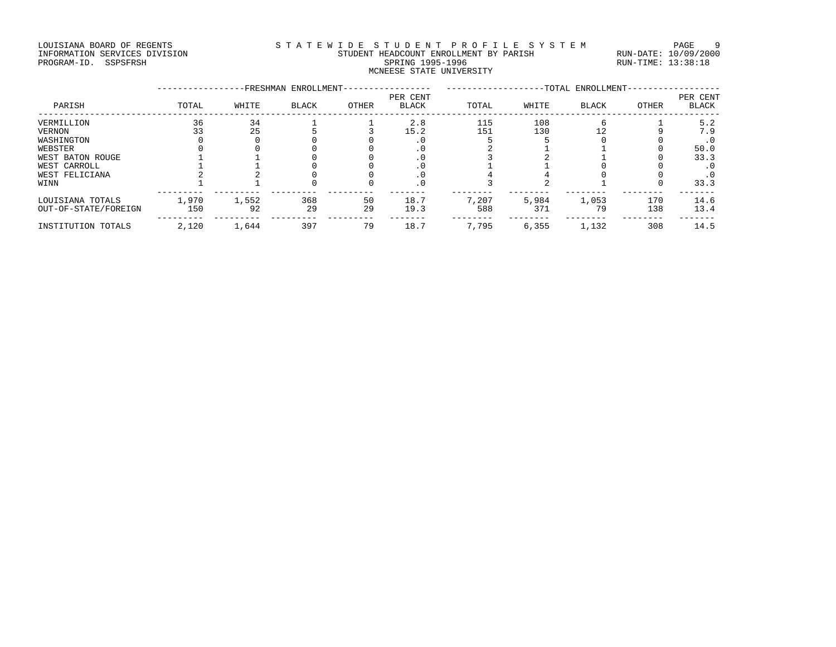### LOUISIANA BOARD OF REGENTS STA TEWIDE STUDENT PROFILE SYSTEM PAGE 9 INFORMATION SERVICES DIVISION STUDENT HEADCOUNT ENROLLMENT BY PARISH RUN-DATE: 10/09/2000 PROGRAM-ID. SSPSFRSH SPRING 1995-1996 SPRING 1995-1996 RUN-TIME: 13:38:18 MCNEESE STATE UNIVERSITY

|                      |       |       | -FRESHMAN ENROLLMENT- |       |                          |       |       | -TOTAL ENROLLMENT- |       |                   |
|----------------------|-------|-------|-----------------------|-------|--------------------------|-------|-------|--------------------|-------|-------------------|
| PARISH               | TOTAL | WHITE | <b>BLACK</b>          | OTHER | PER CENT<br><b>BLACK</b> | TOTAL | WHITE | <b>BLACK</b>       | OTHER | PER CENT<br>BLACK |
| VERMILLION           | 36    | 34    |                       |       | 2.8                      | 115   | 108   |                    |       | 5.2               |
| VERNON               | 33    | 25    |                       |       | 15.2                     | 151   | 130   |                    |       | 7.9               |
| WASHINGTON           |       |       |                       |       |                          |       |       |                    |       | $\cdot$ 0         |
| WEBSTER              |       |       |                       |       |                          |       |       |                    |       | 50.0              |
| WEST BATON ROUGE     |       |       |                       |       |                          |       |       |                    |       | 33.3              |
| WEST CARROLL         |       |       |                       |       |                          |       |       |                    |       | $\cdot$ 0         |
| WEST FELICIANA       |       |       |                       |       |                          |       |       |                    |       | . 0               |
| WINN                 |       |       |                       |       |                          |       |       |                    |       | 33.3              |
| LOUISIANA TOTALS     | 1,970 | 1,552 | 368                   | 50    | 18.7                     | 7,207 | 5,984 | 1,053              | 170   | 14.6              |
| OUT-OF-STATE/FOREIGN | 150   | 92    | 29                    | 29    | 19.3                     | 588   | 371   | 79                 | 138   | 13.4              |
| INSTITUTION TOTALS   | 2,120 | 1,644 | 397                   | 79    | 18.7                     | 7,795 | 6,355 | 1,132              | 308   | 14.5              |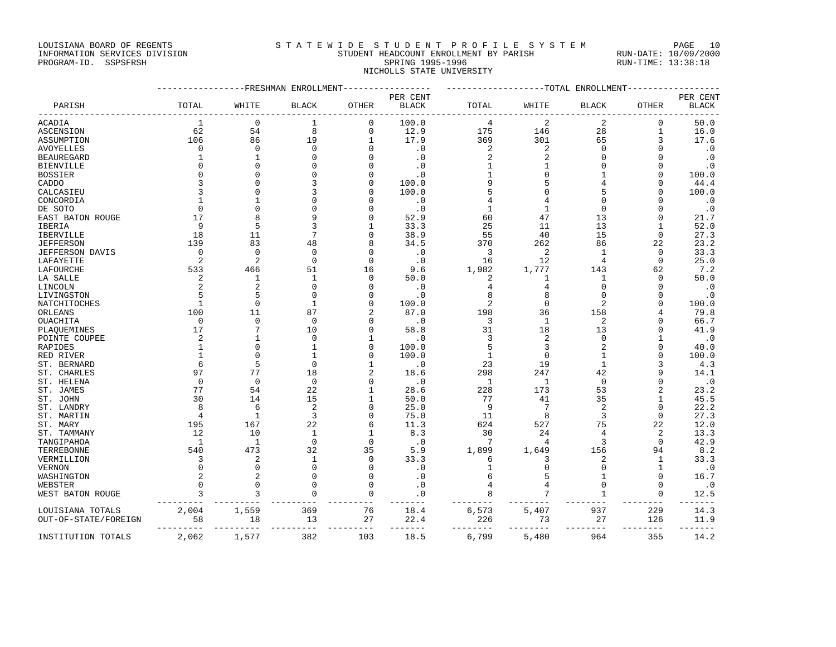LOUISIANA BOARD OF REGENTS STATEWIDE STUDENT PROFILE SYSTEM PAGE 10 INFORMATION SERVICES DIVISION STUDENT HEADCOUNT ENROLLMENT BY PARISH RUN-DATE: 10/09/2000

# PROGRAM-ID. SSPSFRSH SPRING 1995-1996 SPRING 1995-1996 RUN-TIME: 13:38:18 NICHOLLS STATE UNIVERSITY

|                      |                 | ---------FRESHMAN ENROLLMENT |                 |               |                        |                 |                | ----------------TOTAL ENROLLMENT |                 |              |
|----------------------|-----------------|------------------------------|-----------------|---------------|------------------------|-----------------|----------------|----------------------------------|-----------------|--------------|
|                      |                 |                              |                 |               | PER CENT               |                 |                |                                  |                 | PER CENT     |
| PARISH               | TOTAL           | WHITE                        | <b>BLACK</b>    | OTHER         | $\operatorname{BLACK}$ | TOTAL           | WHITE          | <b>BLACK</b>                     | <b>OTHER</b>    | <b>BLACK</b> |
| ACADIA               | <sup>1</sup>    | $\mathbf 0$                  | 1               | 0             | 100.0                  | 4               | 2              | 2                                | 0               | 50.0         |
| <b>ASCENSION</b>     | 62              | 54                           | 8               | $\mathbf 0$   | 12.9                   | 175             | 146            | 28                               | $\mathbf{1}$    | 16.0         |
| ASSUMPTION           | 106             | 86                           | 19              | 1             | 17.9                   | 369             | 301            | 65                               |                 | 17.6         |
| <b>AVOYELLES</b>     | $\Omega$        | $\Omega$                     | $\mathbf 0$     | $\Omega$      | $\cdot$ 0              | 2               | 2              | $\Omega$                         |                 | $\cdot$ 0    |
| <b>BEAUREGARD</b>    | 1               | $1\,$                        | $\mathbf 0$     |               | $\cdot$ 0              | 2               | 2              | $\Omega$                         | $\Omega$        | $\cdot$ 0    |
| <b>BIENVILLE</b>     | $\Omega$        | $\mathbf{0}$                 | $\bigcap$       |               | $\cdot$ 0              | $\mathbf{1}$    |                |                                  |                 | $\cdot$ 0    |
| <b>BOSSIER</b>       |                 | $\mathbf{0}$                 | $\Omega$        |               | $\cdot$ 0              | $\mathbf{1}$    | 0              |                                  | $\Omega$        | 100.0        |
| CADDO                |                 | $\Omega$                     | 3               |               | 100.0                  | 9               | 5              |                                  |                 | 44.4         |
| CALCASIEU            |                 | $\Omega$                     |                 |               | 100.0                  |                 | $\Omega$       |                                  |                 | 100.0        |
| CONCORDIA            |                 | 1                            |                 |               | $\cdot$ 0              |                 | 4              |                                  |                 | . 0          |
| DE SOTO              | $\Omega$        | $\Omega$                     |                 |               | $\cdot$ 0              | $\mathbf{1}$    | $\mathbf{1}$   | $\Omega$                         | ∩               | $\cdot$ 0    |
| EAST BATON ROUGE     | 17              | 8                            | g               |               | 52.9                   | 60              | 47             | 13                               | $\Omega$        | 21.7         |
| IBERIA               | 9               | 5                            | 3               |               | 33.3                   | 25              | 11             | 13                               | -1              | 52.0         |
| <b>IBERVILLE</b>     | 18              | 11                           | 7               |               | 38.9                   | 55              | 40             | 15                               | $\Omega$        | 27.3         |
| <b>JEFFERSON</b>     | 139             | 83                           | 48              |               | 34.5                   | 370             | 262            | 86                               | 22              | 23.2         |
| JEFFERSON DAVIS      | $\overline{0}$  | $\Omega$                     | $\mathbf 0$     | $\Omega$      | $\cdot$ 0              | 3               | 2              | 1                                | $\Omega$        | 33.3         |
| LAFAYETTE            | 2               | $\overline{c}$               | $\mathbf 0$     | $\Omega$      | $\cdot$ 0              | 16              | 12             | 4                                | $\Omega$        | 25.0         |
| LAFOURCHE            | 533             | 466                          | 51              | 16            | 9.6                    | 1,982           | 1,777          | 143                              | 62              | 7.2          |
| LA SALLE             | 2               | 1                            | $\mathbf{1}$    | $\Omega$      | 50.0                   | 2               | 1              | 1                                | $\Omega$        | 50.0         |
| LINCOLN              | 2               | $\overline{2}$               | $\Omega$        | O             | $\cdot$ 0              | 4               | 4              | $\Omega$                         | $\Omega$        | $\cdot$ 0    |
| LIVINGSTON           |                 | 5                            | $\bigcap$       |               | $\cdot$ 0              |                 | 8              | $\Omega$                         | $\Omega$        | $\cdot$ 0    |
| NATCHITOCHES         | $\mathbf{1}$    | $\Omega$                     | $\mathbf{1}$    | <sup>0</sup>  | 100.0                  | 2               | $\mathbf{0}$   | 2                                | $\Omega$        | 100.0        |
| ORLEANS              | 100             | 11                           | 87              | 2             | 87.0                   | 198             | 36             | 158                              |                 | 79.8         |
| OUACHITA             | $\mathbf 0$     | $\mathbf{0}$                 | $\Omega$        |               | $\cdot$ 0              | 3               | $\mathbf{1}$   | $\overline{2}$                   |                 | 66.7         |
| PLAOUEMINES          | 17              | 7                            | 10              | O             | 58.8                   | 31              | 18             | 13                               |                 | 41.9         |
| POINTE COUPEE        | 2               | 1                            | $\mathbf 0$     |               | $\cdot$ 0              | 3               | 2              | $\Omega$                         |                 | $\cdot$ 0    |
| RAPIDES              | $\mathbf{1}$    | $\mathbf{0}$                 | $\mathbf{1}$    | $\Omega$      | 100.0                  | 5               | 3              | 2                                |                 | 40.0         |
|                      |                 | $\Omega$                     |                 |               | 100.0                  | $\mathbf{1}$    | $\mathbf 0$    |                                  |                 | 100.0        |
| RED RIVER            | 6               | 5                            | $\Omega$        |               |                        | 23              | 19             | $\mathbf{1}$                     |                 |              |
| ST. BERNARD          | 97              | 77                           | 18              | 2             | $\cdot$ 0              |                 |                |                                  |                 | 4.3          |
| ST. CHARLES          | $\mathbf 0$     | $\mathbf 0$                  | $\mathbf 0$     | $\Omega$      | 18.6                   | 298             | 247            | 42<br>$\mathbf 0$                |                 | 14.1         |
| ST. HELENA           |                 |                              | 22              |               | $\cdot$ 0              | 1               | 1              |                                  |                 | $\cdot$ 0    |
| ST. JAMES            | 77              | 54                           |                 | 1             | 28.6                   | 228             | 173            | 53                               |                 | 23.2         |
| ST. JOHN             | 30              | 14                           | 15              |               | 50.0                   | 77              | 41             | 35                               |                 | 45.5         |
| ST. LANDRY           | 8               | 6                            | $\overline{2}$  |               | 25.0                   | 9               | 7              | $\overline{2}$                   | $\Omega$        | 22.2         |
| ST. MARTIN           | $\overline{4}$  | $\mathbf{1}$                 | $\overline{3}$  |               | 75.0                   | 11              | 8              | 3                                | $\Omega$        | 27.3         |
| ST. MARY             | 195             | 167                          | 22              | 6             | 11.3                   | 624             | 527            | 75                               | 22              | 12.0         |
| ST. TAMMANY          | 12              | 10                           | $\mathbf{1}$    | 1             | 8.3                    | 30              | 24             | 4                                | 2               | 13.3         |
| TANGIPAHOA           | $\overline{1}$  | $\overline{1}$               | $\mathbf 0$     | $\Omega$      | $\cdot$ 0              | $7\phantom{.0}$ | $\overline{4}$ | 3                                | $\Omega$        | 42.9         |
| TERREBONNE           | 540             | 473                          | 32              | 35            | 5.9                    | 1,899           | 1,649          | 156                              | 94              | 8.2          |
| VERMILLION           | 3               | $\overline{2}$               | $\mathbf{1}$    | $\Omega$      | 33.3                   | 6               | 3              | 2                                | $\mathbf{1}$    | 33.3         |
| <b>VERNON</b>        | $\Omega$        | $\Omega$                     | $\Omega$        | $\Omega$      | $\cdot$ 0              | $\mathbf{1}$    | $\mathbf 0$    | $\Omega$                         | $\mathbf{1}$    | $\cdot$ 0    |
| WASHINGTON           | 2               | $\overline{2}$               | $\Omega$        | $\Omega$      | $\cdot$ 0              | 6               | 5              | 1                                | $\Omega$        | 16.7         |
| WEBSTER              | $\Omega$        | $\mathbf 0$                  | $\Omega$        | $\Omega$      | $\cdot$ 0              | 4               | 4              | $\mathbf 0$                      | 0               | $\cdot$ 0    |
| WEST BATON ROUGE     | 3<br>$- - - -$  | 3                            | $\Omega$        | $\Omega$      | $\cdot$ 0              | 8               | 7              | $\mathbf{1}$                     | $\Omega$        | 12.5         |
| LOUISIANA TOTALS     | 2,004           | 1,559                        | 369             | 76            | 18.4                   | 6,573           | 5,407          | 937                              | 229             | 14.3         |
| OUT-OF-STATE/FOREIGN | 58<br>--------- | 18<br>---------              | 13<br>--------- | 27<br>------- | 22.4<br>-------        | 226<br>-------- | 73<br>-------- | 27<br>--------                   | 126<br>-------- | 11.9         |
| INSTITUTION TOTALS   | 2,062           | 1,577                        | 382             | 103           | 18.5                   | 6,799           | 5,480          | 964                              | 355             | 14.2         |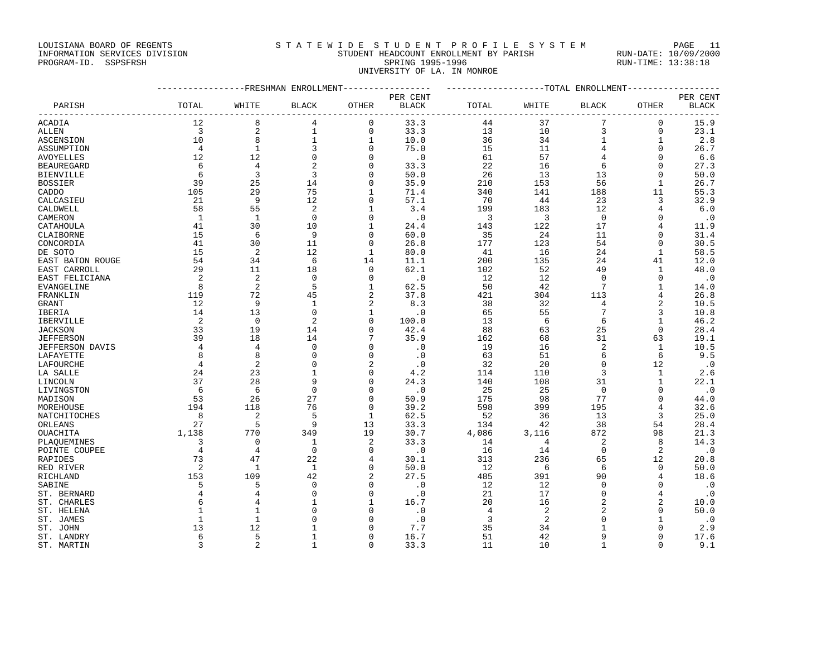## LOUISIANA BOARD OF REGENTS S T A T E W I D E S T U D E N T P R O F I L E S Y S T E M PAGE 11 INFORMATION SERVICES DIVISION STUDENT HEADCOUNT ENROLLMENT BY PARISH RUN-DATE: 10/09/2000 PROGRAM-ID. SSPSFRSH SPRING 1995-1996 SPRING 1995-1996 RUN-TIME: 13:38:18

UNIVERSITY OF LA. IN MONROE

|                   | ----------------FRESHMAN ENROLLMENT---------------- |                |                |                |                        | ------------------TOTAL ENROLLMENT----------------- |       |                 |                |              |
|-------------------|-----------------------------------------------------|----------------|----------------|----------------|------------------------|-----------------------------------------------------|-------|-----------------|----------------|--------------|
|                   |                                                     |                |                |                | PER CENT               |                                                     |       |                 |                | PER CENT     |
| PARISH            | TOTAL                                               | WHITE          | <b>BLACK</b>   | OTHER          | $\operatorname{BLACK}$ | TOTAL                                               | WHITE | <b>BLACK</b>    | OTHER          | <b>BLACK</b> |
| ACADIA            | 12                                                  | 8              | 4              | 0              | 33.3                   | 44                                                  | 37    | 7               | $\mathbf 0$    | 15.9         |
| ALLEN             | 3                                                   | 2              | $\mathbf{1}$   | 0              | 33.3                   | 13                                                  | 10    | 3               | $\mathbf 0$    | 23.1         |
| <b>ASCENSION</b>  | 10                                                  | 8              | $\mathbf{1}$   | 1              | 10.0                   | 36                                                  | 34    | $\mathbf 1$     | 1              | 2.8          |
| ASSUMPTION        | $\overline{4}$                                      | $\mathbf{1}$   | 3              | $\mathbf 0$    | 75.0                   | 15                                                  | 11    | 4               | $\Omega$       | 26.7         |
| AVOYELLES         | 12                                                  | 12             | $\mathbf 0$    | $\mathbf 0$    | $\cdot$ 0              | 61                                                  | 57    | 4               | $\Omega$       | 6.6          |
| <b>BEAUREGARD</b> | 6                                                   | $\overline{4}$ | $\overline{c}$ | $\mathbf 0$    | 33.3                   | 22                                                  | 16    | 6               | 0              | 27.3         |
| <b>BIENVILLE</b>  | 6                                                   | 3              | 3              | $\mathbf 0$    | 50.0                   | 26                                                  | 13    | 13              | 0              | 50.0         |
| BOSSIER           | 39                                                  | 25             | 14             | $\mathbf 0$    | 35.9                   | 210                                                 | 153   | 56              | 1              | 26.7         |
| CADDO             | 105                                                 | 29             | 75             | 1              | 71.4                   | 340                                                 | 141   | 188             | 11             | 55.3         |
| CALCASIEU         | 21                                                  | 9              | 12             | $\mathbf 0$    | 57.1                   | 70                                                  | 44    | 23              | 3              | 32.9         |
| CALDWELL          | 58                                                  | 55             | 2              | $\mathbf{1}$   | 3.4                    | 199                                                 | 183   | 12              | $\overline{4}$ | 6.0          |
| CAMERON           | 1                                                   | 1              | $\mathbf 0$    | $\mathbf 0$    | $\cdot$ 0              | 3                                                   | 3     | $\mathbf 0$     | $\Omega$       | $\cdot$ 0    |
| CATAHOULA         | 41                                                  | 30             | 10             | 1              | 24.4                   | 143                                                 | 122   | 17              | 4              | 11.9         |
| CLAIBORNE         | 15                                                  | 6              | 9              | $\mathbf 0$    | 60.0                   | 35                                                  | 24    | 11              | $\mathbf 0$    | 31.4         |
| CONCORDIA         | 41                                                  | 30             | 11             | $\mathbf 0$    | 26.8                   | 177                                                 | 123   | 54              | $\mathbf 0$    | 30.5         |
| DE SOTO           | 15                                                  | $\overline{2}$ | 12             | 1              | 80.0                   | 41                                                  | 16    | 24              | 1              | 58.5         |
| EAST BATON ROUGE  | 54                                                  | 34             | 6              | 14             | 11.1                   | 200                                                 | 135   | 24              | 41             | 12.0         |
| EAST CARROLL      | 29                                                  | 11             | 18             | $\mathbf 0$    | 62.1                   | 102                                                 | 52    | 49              | 1              | 48.0         |
| EAST FELICIANA    | 2                                                   | $\mathbf{2}$   | $\mathbf 0$    | $\mathbf 0$    | $\cdot$ 0              | 12                                                  | 12    | $\mathbf 0$     | $\mathbf 0$    | $\cdot$ 0    |
| EVANGELINE        | 8                                                   | $\overline{2}$ | 5              | 1              | 62.5                   | 50                                                  | 42    | $7\phantom{.0}$ | 1              | 14.0         |
| FRANKLIN          | 119                                                 | 72             | 45             | $\overline{c}$ | 37.8                   | 421                                                 | 304   | 113             | 4              | 26.8         |
| GRANT             | 12                                                  | 9              | $\mathbf{1}$   | $\overline{c}$ | 8.3                    | 38                                                  | 32    | 4               | 2              | 10.5         |
| IBERIA            | 14                                                  | 13             | $\mathbf 0$    | $\mathbf{1}$   | $\cdot$ 0              | 65                                                  | 55    | 7               | 3              | 10.8         |
| IBERVILLE         | 2                                                   | $\overline{0}$ | $\overline{c}$ | $\mathbf 0$    | 100.0                  | 13                                                  | 6     | 6               | $\mathbf{1}$   | 46.2         |
| JACKSON           | 33                                                  | 19             | 14             | $\Omega$       | 42.4                   | 88                                                  | 63    | 25              | $\mathbf 0$    | 28.4         |
| JEFFERSON         | 39                                                  | 18             | 14             |                | 35.9                   | 162                                                 | 68    | 31              | 63             | 19.1         |
| JEFFERSON DAVIS   | 4                                                   | 4              | 0              | $\Omega$       | $\cdot$ 0              | 19                                                  | 16    | 2               | 1              | 10.5         |
| LAFAYETTE         | 8                                                   | 8              | $\Omega$       | $\Omega$       | $\cdot$ 0              | 63                                                  | 51    | 6               | 6              | 9.5          |
| LAFOURCHE         | 4                                                   | $\overline{2}$ | $\Omega$       | $\overline{2}$ | $\cdot$ 0              | 32                                                  | 20    | $\Omega$        | 12             | $\cdot$ 0    |
| LA SALLE          | 24                                                  | 23             | 1              | $\mathbf 0$    | 4.2                    | 114                                                 | 110   | 3               | 1              | 2.6          |
| LINCOLN           | 37                                                  | 28             | 9              | $\mathbf 0$    | 24.3                   | 140                                                 | 108   | 31              | $\mathbf{1}$   | 22.1         |
| LIVINGSTON        | 6                                                   | 6              | $\mathbf 0$    | $\mathbf 0$    | $\cdot$ 0              | 25                                                  | 25    | $\mathbf 0$     | 0              | $\cdot$ 0    |
| MADISON           | 53                                                  | 26             | 27             | $\mathbf 0$    | 50.9                   | 175                                                 | 98    | 77              | $\Omega$       | 44.0         |
| MOREHOUSE         | 194                                                 | 118            | 76             | $\mathbf 0$    | 39.2                   | 598                                                 | 399   | 195             | 4              | 32.6         |
| NATCHITOCHES      | 8                                                   | $\overline{2}$ | 5              | 1              | 62.5                   | 52                                                  | 36    | 13              | 3              | 25.0         |
| ORLEANS           | 27                                                  | 5              | 9              | 13             | 33.3                   | 134                                                 | 42    | 38              | 54             | 28.4         |
| OUACHITA          | 1,138                                               | 770            | 349            | 19             | 30.7                   | 4,086                                               | 3,116 | 872             | 98             | 21.3         |
| PLAOUEMINES       | 3                                                   | $\Omega$       | 1              | $\overline{2}$ | 33.3                   | 14                                                  | 4     | 2               | 8              | 14.3         |
| POINTE COUPEE     | 4                                                   | 4              | $\mathbf 0$    | $\mathbf 0$    | $\cdot$ 0              | 16                                                  | 14    | 0               | 2              | $\cdot$ 0    |
| RAPIDES           | 73                                                  | 47             | 22             | 4              | 30.1                   | 313                                                 | 236   | 65              | 12             | 20.8         |
| RED RIVER         | 2                                                   | $\mathbf{1}$   | $\mathbf{1}$   | $\mathbf 0$    | 50.0                   | 12                                                  | 6     | 6               | $\mathbf 0$    | 50.0         |
| RICHLAND          | 153                                                 | 109            | 42             | $\overline{c}$ | 27.5                   | 485                                                 | 391   | 90              | 4              | 18.6         |
| SABINE            | 5                                                   | 5              | 0              | $\mathbf 0$    | $\cdot$ 0              | 12                                                  | 12    | 0               | $\Omega$       | $\cdot$ 0    |
| ST. BERNARD       | 4                                                   | 4              | 0              | $\mathbf 0$    | $\cdot$ 0              | 21                                                  | 17    | 0               | 4              | $\cdot$ 0    |
| ST. CHARLES       | 6                                                   |                | $\mathbf{1}$   | $\mathbf{1}$   | 16.7                   | 20                                                  | 16    | 2               | 2              | 10.0         |
|                   | 1                                                   | $\mathbf{1}$   | $\Omega$       | $\Omega$       | $\cdot$ 0              | 4                                                   | 2     | 2               | $\Omega$       | 50.0         |
| ST. HELENA        | $\mathbf{1}$                                        | $\mathbf{1}$   | $\Omega$       | $\Omega$       | $\cdot$ 0              | 3                                                   | 2     | $\Omega$        | $\mathbf{1}$   | $\cdot$ 0    |
| ST. JAMES         | 13                                                  | 12             | 1              | $\mathbf 0$    |                        | 35                                                  | 34    | 1               | 0              |              |
| ST. JOHN          | 6                                                   | 5              | $\mathbf{1}$   | $\Omega$       | 7.7<br>16.7            | 51                                                  | 42    | 9               | $\Omega$       | 2.9<br>17.6  |
| ST. LANDRY        |                                                     |                |                |                |                        |                                                     |       |                 |                |              |

ST. MARTIN 3 2 1 0 33.3 11 10 1 0 9.1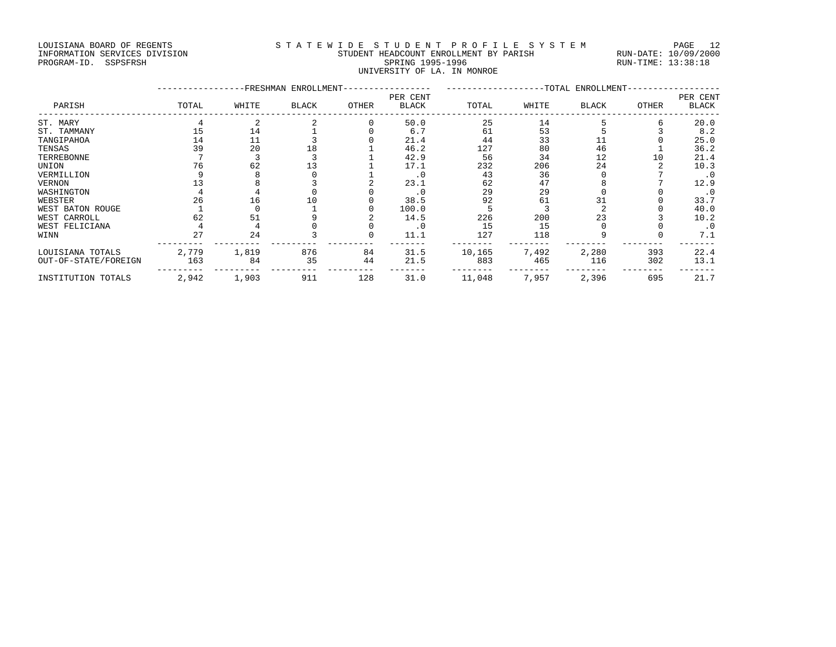## LOUISIANA BOARD OF REGENTS STATEWIDE STUDENT PROFILE SYSTEM PAGE 12 INFORMATION SERVICES DIVISION STUDENT HEADCOUNT ENROLLMENT BY PARISH RUN-DATE: 10/09/2000 PROGRAM-ID. SSPSFRSH SPRING 1995-1996 SPRING 1995-1996 RUN-TIME: 13:38:18 UNIVERSITY OF LA. IN MONROE

|                      |       |       | -FRESHMAN ENROLLMENT- |       |                          | ------------------ |       | -TOTAL ENROLLMENT- |       |                   |
|----------------------|-------|-------|-----------------------|-------|--------------------------|--------------------|-------|--------------------|-------|-------------------|
| PARISH               | TOTAL | WHITE | <b>BLACK</b>          | OTHER | PER CENT<br><b>BLACK</b> | TOTAL              | WHITE | BLACK              | OTHER | PER CENT<br>BLACK |
| ST. MARY             |       |       |                       |       | 50.0                     | 25                 | 14    |                    |       | 20.0              |
| ST. TAMMANY          | 15    | 14    |                       |       | 6.7                      | 61                 | 53    |                    |       | 8.2               |
| TANGIPAHOA           | 14    | 11    |                       |       | 21.4                     | 44                 | 33    |                    |       | 25.0              |
| TENSAS               | 39    | 20    | 18                    |       | 46.2                     | 127                | 80    | 46                 |       | 36.2              |
| TERREBONNE           |       |       |                       |       | 42.9                     | 56                 | 34    | 12                 | 10    | 21.4              |
| UNION                | 76    | 62    |                       |       | 17.1                     | 232                | 206   | 24                 |       | 10.3              |
| VERMILLION           |       |       |                       |       | $\cdot$ 0                | 43                 | 36    |                    |       | $\cdot$ 0         |
| VERNON               |       |       |                       |       | 23.1                     | 62                 | 47    |                    |       | 12.9              |
| WASHINGTON           |       |       |                       |       | $\cdot$ 0                | 29                 | 29    |                    |       | . 0               |
| WEBSTER              | 26    | 16    |                       |       | 38.5                     | 92                 | 61    |                    |       | 33.7              |
| WEST BATON ROUGE     |       |       |                       |       | 100.0                    |                    |       |                    |       | 40.0              |
| WEST CARROLL         | 62    | 51    |                       |       | 14.5                     | 226                | 200   | 23                 |       | 10.2              |
| WEST FELICIANA       |       |       |                       |       | . 0                      | 15                 | 15    |                    |       | $\cdot$ 0         |
| WINN                 | 27    | 24    |                       |       | 11.1                     | 127                | 118   |                    |       | 7.1               |
| LOUISIANA TOTALS     | 2,779 | 1,819 | 876                   | 84    | 31.5                     | 10,165             | 7,492 | 2,280              | 393   | 22.4              |
| OUT-OF-STATE/FOREIGN | 163   | 84    | 35                    | 44    | 21.5                     | 883                | 465   | 116                | 302   | 13.1              |
| INSTITUTION TOTALS   | 2,942 | 1,903 | 911                   | 128   | 31.0                     | 11,048             | 7,957 | 2,396              | 695   | 21.7              |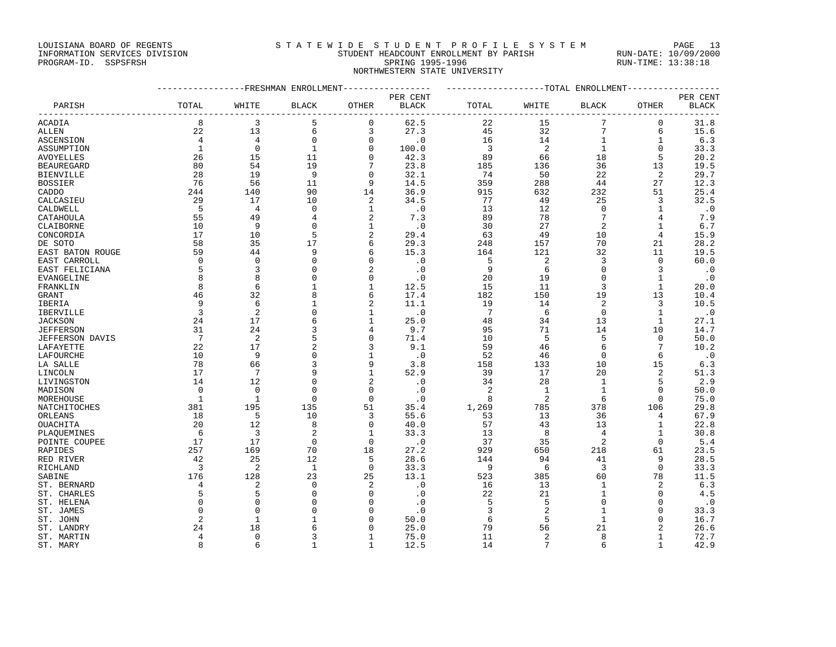LOUISIANA BOARD OF REGENTS STATEWIDE STUDENT PROFILE SYSTEM PAGE 13

## INFORMATION SERVICES DIVISION STUDENT HEADCOUNT ENROLLMENT BY PARISH RUN-DATE: 10/09/2000 PROGRAM-ID. SSPSFRSH SPRING 1995-1996 SPRING 1995-1996 RUN-TIME: 13:38:18 NORTHWESTERN STATE UNIVERSITY

|                   |                |                | --------------FRESHMAN ENROLLMENT----------------- |                | -------------------TOTAL ENROLLMENT---------------- |                 |                |                |              |              |
|-------------------|----------------|----------------|----------------------------------------------------|----------------|-----------------------------------------------------|-----------------|----------------|----------------|--------------|--------------|
|                   |                |                |                                                    |                | PER CENT                                            |                 |                |                |              | PER CENT     |
| PARISH            | TOTAL          | WHITE          | BLACK                                              | OTHER          | <b>BLACK</b><br>__________________                  | TOTAL           | WHITE          | <b>BLACK</b>   | OTHER        | <b>BLACK</b> |
| ACADIA            | 8              | 3              | 5                                                  | 0              | 62.5                                                | 22              | 15             | 7              | $\mathbf 0$  | 31.8         |
| ALLEN             | 22             | 13             | 6                                                  | 3              | 27.3                                                | 45              | 32             | $\overline{7}$ | 6            | 15.6         |
| ASCENSION         | $\overline{4}$ | $\overline{4}$ | 0                                                  | $\mathbf 0$    | $\cdot$ 0                                           | 16              | 14             | $\mathbf{1}$   | 1            | 6.3          |
| ASSUMPTION        | <sup>1</sup>   | $\Omega$       | 1                                                  | $\mathbf 0$    | 100.0                                               | $\overline{3}$  | 2              | $\mathbf{1}$   | $\Omega$     | 33.3         |
| <b>AVOYELLES</b>  | 26             | 15             | 11                                                 | $\mathbf 0$    | 42.3                                                | 89              | 66             | 18             | 5            | 20.2         |
| <b>BEAUREGARD</b> | 80             | 54             | 19                                                 | 7              | 23.8                                                | 185             | 136            | 36             | 13           | 19.5         |
| <b>BIENVILLE</b>  | 28             | 19             | 9                                                  | $\mathbf 0$    | 32.1                                                | 74              | 50             | 22             | 2            | 29.7         |
| <b>BOSSIER</b>    | 76             | 56             | 11                                                 | 9              | 14.5                                                | 359             | 288            | 44             | 27           | 12.3         |
| CADDO             | 244            | 140            | 90                                                 | 14             | 36.9                                                | 915             | 632            | 232            | 51           | 25.4         |
| CALCASIEU         | 29             | 17             | 10                                                 | 2              | 34.5                                                | 77              | 49             | 25             | 3            | 32.5         |
| CALDWELL          | 5              | $\overline{4}$ | $\mathbf 0$                                        | $\mathbf{1}$   | $\cdot$ 0                                           | 13              | 12             | $\mathbf 0$    | 1            | $\cdot$ 0    |
| CATAHOULA         | 55             | 49             | 4                                                  | 2              | 7.3                                                 | 89              | 78             | 7              | 4            | 7.9          |
| CLAIBORNE         | 10             | 9              | $\Omega$                                           | $\mathbf{1}$   | $\cdot$ 0                                           | 30              | 27             | 2              | 1            | 6.7          |
| CONCORDIA         | 17             | 10             | 5                                                  | $\overline{2}$ | 29.4                                                | 63              | 49             | 10             | 4            | 15.9         |
| DE SOTO           | 58             | 35             | 17                                                 | 6              | 29.3                                                | 248             | 157            | 70             | 21           | 28.2         |
| EAST BATON ROUGE  | 59             | 44             | 9                                                  | 6              | 15.3                                                | 164             | 121            | 32             | 11           | 19.5         |
| EAST CARROLL      | $\mathbf 0$    | $\Omega$       | $\Omega$                                           | $\Omega$       | $\cdot$ 0                                           | 5               | 2              | 3              | 0            | 60.0         |
| EAST FELICIANA    | 5              | 3              | $\mathbf 0$                                        | $\overline{2}$ | $\cdot$ 0                                           | 9               | 6              | $\mathbf 0$    | 3            | $\cdot$ 0    |
| EVANGELINE        | 8              | 8              | 0                                                  | $\mathbf 0$    | $\cdot$ 0                                           | 20              | 19             | $\mathsf 0$    | 1            | $\cdot$ 0    |
| FRANKLIN          | 8              | 6              | $\mathbf{1}$                                       | $\mathbf{1}$   | 12.5                                                | 15              | 11             | 3              | $\mathbf{1}$ | 20.0         |
| GRANT             | 46             | 32             | 8                                                  | 6              | 17.4                                                | 182             | 150            | 19             | 13           | 10.4         |
| IBERIA            | 9              | 6              | 1                                                  | 2              | 11.1                                                | 19              | 14             | 2              | 3            | 10.5         |
| IBERVILLE         | $\overline{3}$ | $\overline{2}$ | 0                                                  | $\mathbf{1}$   | $\cdot$ 0                                           | $7\phantom{.0}$ | 6              | $\mathbf 0$    | $\mathbf{1}$ | $\cdot$ 0    |
| <b>JACKSON</b>    | 24             | 17             | 6                                                  | $\mathbf{1}$   | 25.0                                                | 48              | 34             | 13             | 1            | 27.1         |
| <b>JEFFERSON</b>  | 31             | 24             | 3                                                  | 4              | 9.7                                                 | 95              | 71             | 14             | 10           | 14.7         |
| JEFFERSON DAVIS   | 7              | $\overline{c}$ | 5                                                  | $\mathbf 0$    | 71.4                                                | 10              | 5              | 5              | $\mathbf 0$  | 50.0         |
| LAFAYETTE         | 22             | 17             | $\overline{2}$                                     | 3              | 9.1                                                 | 59              | 46             | 6              | 7            | 10.2         |
| LAFOURCHE         | 10             | 9              | $\mathsf 0$                                        | $1\,$          | $\cdot$ 0                                           | 52              | 46             | $\mathbf 0$    | 6            | $\cdot$ 0    |
| LA SALLE          | 78             | 66             | 3                                                  | 9              | 3.8                                                 | 158             | 133            | 10             | 15           | 6.3          |
| LINCOLN           | 17             | 7              | 9                                                  | $\mathbf{1}$   | 52.9                                                | 39              | 17             | 20             | 2            | 51.3         |
| LIVINGSTON        | 14             | 12             | $\mathbf 0$                                        | $\overline{2}$ | $\cdot$ 0                                           | 34              | 28             | $\mathbf{1}$   | 5            | 2.9          |
| MADISON           | 0              | $\mathbf 0$    | $\mathbf 0$                                        | $\mathbf 0$    | $\cdot$ 0                                           | 2               | 1              | $\mathbf{1}$   | 0            | 50.0         |
| MOREHOUSE         | $\mathbf{1}$   | $\mathbf{1}$   | $\Omega$                                           | $\mathbf 0$    | $\cdot$ 0                                           | 8               | 2              | 6              | $\Omega$     | 75.0         |
| NATCHITOCHES      | 381            | 195            | 135                                                | 51             | 35.4                                                | 1,269           | 785            | 378            | 106          | 29.8         |
| ORLEANS           | 18             | 5              | 10                                                 | 3              | 55.6                                                | 53              | 13             | 36             | 4            | 67.9         |
| OUACHITA          | 20             | 12             | 8                                                  | $\mathbf 0$    | 40.0                                                | 57              | 43             | 13             | 1            | 22.8         |
| PLAQUEMINES       | 6              | $\overline{3}$ | $\overline{a}$                                     | $\mathbf{1}$   | 33.3                                                | 13              | 8              | $\overline{4}$ | 1            | 30.8         |
| POINTE COUPEE     | 17             | 17             | $\Omega$                                           | $\overline{0}$ | $\cdot$ 0                                           | 37              | 35             | 2              | $\mathbf 0$  | 5.4          |
| RAPIDES           | 257            | 169            | 70                                                 | 18             | 27.2                                                | 929             | 650            | 218            | 61           | 23.5         |
| RED RIVER         | 42             | 25             | 12                                                 | 5              | 28.6                                                | 144             | 94             | 41             | 9            | 28.5         |
| RICHLAND          | $\overline{3}$ | -2             | 1                                                  | $\mathbf 0$    | 33.3                                                | 9               | 6              | 3              | $\Omega$     | 33.3         |
| SABINE            | 176            | 128            | 23                                                 | 25             | 13.1                                                | 523             | 385            | 60             | 78           | 11.5         |
| ST. BERNARD       | 4              | 2              | $\Omega$                                           | $\overline{2}$ | $\cdot$ 0                                           | 16              | 13             | 1              | 2            | 6.3          |
| ST. CHARLES       | 5              | 5              | $\mathbf 0$                                        | $\mathbf 0$    | $\cdot$ 0                                           | 22              | 21             | $\mathbf{1}$   | $\mathbf 0$  | 4.5          |
| ST. HELENA        | $\mathbf 0$    | $\mathbf 0$    | 0                                                  | 0              | $\cdot$ 0                                           | 5               | 5              | 0              | 0            | $\cdot$ 0    |
| ST. JAMES         | $\Omega$       | $\Omega$       | $\Omega$                                           | $\mathbf 0$    | $\cdot$ 0                                           | 3               | $\overline{2}$ | 1              | $\mathbf 0$  | 33.3         |
| ST. JOHN          | $\overline{2}$ | 1              | $\mathbf{1}$                                       | $\mathbf 0$    | 50.0                                                | 6               | 5              | 1              | 0            | 16.7         |
| ST. LANDRY        | 24             | 18             | 6                                                  | $\Omega$       | 25.0                                                | 79              | 56             | 21             | 2            | 26.6         |
| ST. MARTIN        | 4              | $\mathbf 0$    | 3                                                  | 1              | 75.0                                                | 11              | $\overline{2}$ | 8              | $\mathbf{1}$ | 72.7         |
| ST. MARY          | 8              | 6              | $\mathbf{1}$                                       | 1              | 12.5                                                | 14              | 7              | 6              | $\mathbf{1}$ | 42.9         |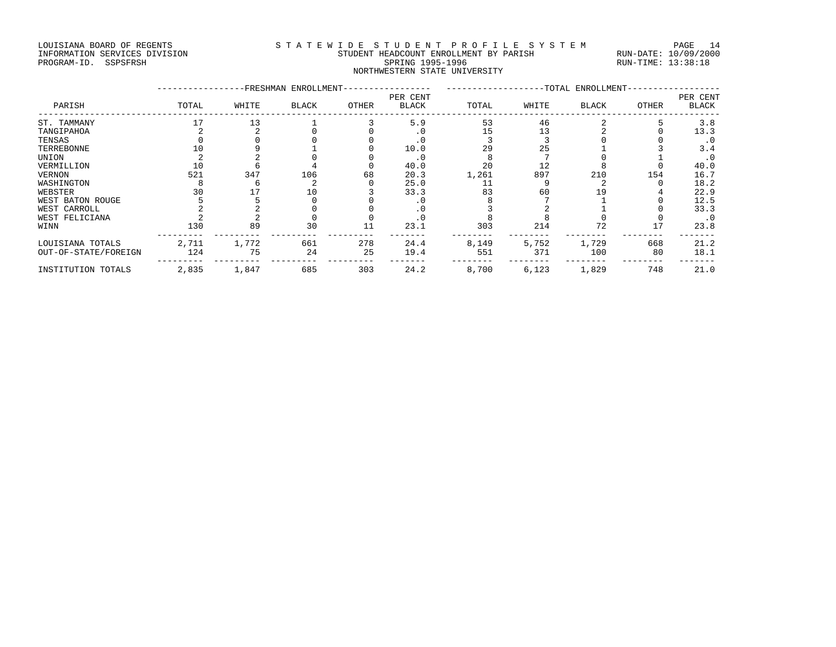## LOUISIANA BOARD OF REGENTS STATEWIDE STUDENT PROFILE SYSTEM PAGE 14 INFORMATION SERVICES DIVISION STUDENT HEADCOUNT ENROLLMENT BY PARISH RUN-DATE: 10/09/2000 PROGRAM-ID. SSPSFRSH SPRING 1995-1996 SPRING 1995-1996 RUN-TIME: 13:38:18 NORTHWESTERN STATE UNIVERSITY

|                      |       |       | -FRESHMAN ENROLLMENT- |       | -TOTAL ENROLLMENT-       |       |       |              | PER CENT |              |
|----------------------|-------|-------|-----------------------|-------|--------------------------|-------|-------|--------------|----------|--------------|
| PARISH               | TOTAL | WHITE | <b>BLACK</b>          | OTHER | PER CENT<br><b>BLACK</b> | TOTAL | WHITE | <b>BLACK</b> | OTHER    | <b>BLACK</b> |
| ST. TAMMANY          | 17    | 13    |                       |       | 5.9                      | 53    | 46    |              |          | 3.8          |
| TANGIPAHOA           |       |       |                       |       | . 0                      | 15    | 13    |              |          | 13.3         |
| TENSAS               |       |       |                       |       | . 0                      |       |       |              |          | $\cdot$ 0    |
| TERREBONNE           |       |       |                       |       | 10.0                     | 29    | 25    |              |          | 3.4          |
| UNION                |       |       |                       |       | $\cdot$ 0                |       |       |              |          | . 0          |
| VERMILLION           | 10    |       |                       |       | 40.0                     | 20    | 12    |              |          | 40.0         |
| VERNON               | 521   | 347   | 106                   | 68    | 20.3                     | 1,261 | 897   | 210          | 154      | 16.7         |
| WASHINGTON           |       |       |                       |       | 25.0                     | 11    |       |              |          | 18.2         |
| WEBSTER              |       |       | 10                    |       | 33.3                     | 83    | 60    |              |          | 22.9         |
| WEST BATON ROUGE     |       |       |                       |       | . 0                      |       |       |              |          | 12.5         |
| WEST CARROLL         |       |       |                       |       | . 0                      |       |       |              |          | 33.3         |
| WEST FELICIANA       |       |       |                       |       | . 0                      |       |       |              |          | $\cdot$ 0    |
| WINN                 | 130   | 89    | 30                    | 11    | 23.1                     | 303   | 214   | 72           | 17       | 23.8         |
| LOUISIANA TOTALS     | 2,711 | 1,772 | 661                   | 278   | 24.4                     | 8,149 | 5,752 | 1,729        | 668      | 21.2         |
| OUT-OF-STATE/FOREIGN | 124   | 75    | 24                    | 25    | 19.4                     | 551   | 371   | 100          | 80       | 18.1         |
| INSTITUTION TOTALS   | 2,835 | 1,847 | 685                   | 303   | 24.2                     | 8,700 | 6,123 | 1,829        | 748      | 21.0         |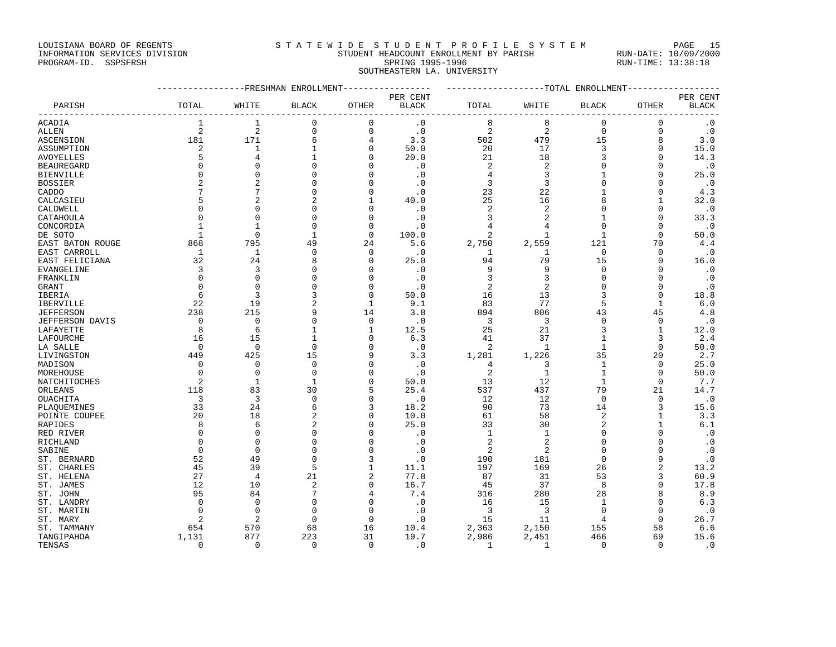LOUISIANA BOARD OF REGENTS S T A T E W I D E S T U D E N T P R O F I L E S Y S T E M PAGE 15

## INFORMATION SERVICES DIVISION STUDENT HEADCOUNT ENROLLMENT BY PARISH RUN-DATE: 10/09/2000 PROGRAM-ID. SSPSFRSH SPRING 1995-1996 SPRING 1995-1996 RUN-TIME: 13:38:18 SOUTHEASTERN LA. UNIVERSITY

|                   |                         |                | -----------FRESHMAN ENROLLMENT |                | ----------------TOTAL ENROLLMENT |                |                |              |                |                          |
|-------------------|-------------------------|----------------|--------------------------------|----------------|----------------------------------|----------------|----------------|--------------|----------------|--------------------------|
|                   |                         |                |                                |                | PER CENT                         |                |                |              |                |                          |
| PARISH            | TOTAL                   | WHITE          | BLACK                          | OTHER          | <b>BLACK</b>                     | TOTAL          | WHITE          | <b>BLACK</b> | OTHER          | PER CENT<br><b>BLACK</b> |
| ACADIA            | 1                       | 1              | 0                              | 0              | $\cdot$ 0                        | 8              | 8              | 0            | 0              | $\cdot$ 0                |
| <b>ALLEN</b>      | $\overline{2}$          | $\overline{a}$ | 0                              | $\mathbf 0$    | $\cdot$ 0                        | $\overline{2}$ | $\overline{2}$ | $\mathbf 0$  | $\mathbf{0}$   | $\cdot$ 0                |
| ASCENSION         | 181                     | 171            | 6                              | 4              | 3.3                              | 502            | 479            | 15           | 8              | 3.0                      |
| ASSUMPTION        | $\overline{\mathbf{c}}$ | $\mathbf{1}$   | $\mathbf{1}$                   | $\Omega$       | 50.0                             | 20             | 17             | 3            | $\Omega$       | 15.0                     |
| AVOYELLES         | 5                       | 4              | $\mathbf{1}$                   | $\mathbf 0$    | 20.0                             | 21             | 18             | 3            | $\Omega$       | 14.3                     |
| <b>BEAUREGARD</b> | $\Omega$                |                | $\Omega$                       | $\Omega$       | $\cdot$ 0                        | 2              | 2              | 0            | $\Omega$       | . 0                      |
| <b>BIENVILLE</b>  | $\Omega$                | $\Omega$       | $\Omega$                       | $\Omega$       | $\cdot$ 0                        | 4              | 3              |              | $\Omega$       | 25.0                     |
| <b>BOSSIER</b>    | $\overline{2}$          | $\overline{2}$ | $\Omega$                       | $\Omega$       | $\cdot$ 0                        | 3              | 3              | $\Omega$     | $\Omega$       | $\cdot$ 0                |
| CADDO             | 7                       |                | $\Omega$                       | $\mathbf 0$    | $\boldsymbol{\cdot}$ $0$         | 23             | 22             | 1            | $\Omega$       | 4.3                      |
| CALCASIEU         | 5                       | $\overline{2}$ | 2                              | 1              | 40.0                             | 25             | 16             | 8            | 1              | 32.0                     |
| CALDWELL          | $\Omega$                | $\Omega$       | $\Omega$                       | $\Omega$       | $\cdot$ 0                        | $\overline{2}$ | $\sqrt{2}$     | 0            | $\Omega$       | $\cdot$ 0                |
| CATAHOULA         | $\cap$                  | $\Omega$       | $\Omega$                       | $\Omega$       | $\cdot$ 0                        | 3              | $\overline{2}$ |              | $\Omega$       | 33.3                     |
| CONCORDIA         | -1                      |                | $\Omega$                       | $\mathbf 0$    | $\cdot$ 0                        | 4              | 4              | O            | $\Omega$       | $\cdot$ 0                |
| DE SOTO           | $\mathbf{1}$            | $\Omega$       | $\mathbf{1}$                   | $\mathbf 0$    | 100.0                            | 2              | $\mathbf{1}$   | $\mathbf{1}$ | $\Omega$       | 50.0                     |
| EAST BATON ROUGE  | 868                     | 795            | 49                             | 24             | 5.6                              | 2,750          | 2,559          | 121          | 70             | 4.4                      |
| EAST CARROLL      | $\mathbf{1}$            | $\mathbf{1}$   | 0                              | $\mathbf 0$    | $\cdot$ 0                        | 1              | $\mathbf{1}$   | $\Omega$     | $\mathbf 0$    | $\cdot$ 0                |
| EAST FELICIANA    | 32                      | 24             | 8                              | $\mathbf 0$    | 25.0                             | 94             | 79             | 15           | $\Omega$       | 16.0                     |
| EVANGELINE        | 3                       | 3              | 0                              | $\mathbf 0$    | $\cdot$ 0                        | 9              | 9              | $\Omega$     | $\Omega$       | $\cdot$ 0                |
| FRANKLIN          | $\Omega$                | $\Omega$       | $\Omega$                       | $\mathbf 0$    | $\cdot$ 0                        | 3              | 3              | 0            | $\Omega$       | .0                       |
| GRANT             | $\cap$                  | $\cap$         | $\Omega$                       | $\Omega$       | $\cdot$ 0                        | 2              | $\overline{a}$ | 0            | $\Omega$       | $\cdot$ 0                |
| IBERIA            | 6                       | 3              | 3                              | $\mathbf 0$    | 50.0                             | 16             | 13             | 3            | $\Omega$       | 18.8                     |
| <b>IBERVILLE</b>  | 22                      | 19             | $\overline{a}$                 | 1              | 9.1                              | 83             | 77             | 5            | 1              | 6.0                      |
| <b>JEFFERSON</b>  | 238                     | 215            | 9                              | 14             | 3.8                              | 894            | 806            | 43           | 45             | 4.8                      |
| JEFFERSON DAVIS   | $\mathbf{0}$            | $\mathbf{0}$   | 0                              | $\mathbf 0$    | $\cdot$ 0                        | 3              | 3              | $\mathbf 0$  | $\mathbf{0}$   | . 0                      |
| LAFAYETTE         | 8                       | 6              | $\mathbf{1}$                   | 1              | 12.5                             | 25             | 21             | 3            | 1              | 12.0                     |
| LAFOURCHE         | 16                      | 15             | $\mathbf{1}$                   | $\mathbf 0$    | 6.3                              | 41             | 37             | $\mathbf{1}$ | 3              | 2.4                      |
| LA SALLE          | $\Omega$                | $\Omega$       | 0                              | $\Omega$       | $\cdot$ 0                        | 2              | -1             | $\mathbf{1}$ | $\Omega$       | 50.0                     |
| LIVINGSTON        | 449                     | 425            | 15                             | 9              | 3.3                              | 1,281          | 1,226          | 35           | 20             | 2.7                      |
| MADISON           | 0                       | $\mathbf 0$    | 0                              | $\Omega$       | $\cdot$ 0                        | 4              | 3              | $\mathbf{1}$ | 0              | 25.0                     |
| MOREHOUSE         | $\Omega$                | $\Omega$       | $\Omega$                       | $\Omega$       | $\cdot$ 0                        | $\overline{2}$ | $\mathbf{1}$   | $\mathbf{1}$ | $\Omega$       | 50.0                     |
| NATCHITOCHES      | $\overline{2}$          | 1              | $\mathbf{1}$                   | $\Omega$       | 50.0                             | 13             | 12             | $\mathbf{1}$ | $\mathbf 0$    | 7.7                      |
| ORLEANS           | 118                     | 83             | 30                             | 5              | 25.4                             | 537            | 437            | 79           | 21             | 14.7                     |
| <b>OUACHITA</b>   | 3                       | 3              | $\Omega$                       | $\Omega$       | $\cdot$ 0                        | 12             | 12             | $\mathbf 0$  | $\mathbf 0$    | $\cdot$ 0                |
| PLAOUEMINES       | 33                      | 24             | 6                              | 3              | 18.2                             | 90             | 73             | 14           | 3              | 15.6                     |
| POINTE COUPEE     | 20                      | 18             | $\overline{a}$                 | $\Omega$       | 10.0                             | 61             | 58             | 2            | 1              | 3.3                      |
| RAPIDES           | 8                       | 6              | $\overline{2}$                 | $\mathbf 0$    | 25.0                             | 33             | 30             | 2            | 1              | 6.1                      |
| RED RIVER         | $\Omega$                | $\Omega$       | $\Omega$                       | $\Omega$       | $\cdot$ 0                        | $\mathbf{1}$   | $\mathbf{1}$   | 0            | $\Omega$       | $\cdot$ 0                |
| RICHLAND          | $\Omega$                | $\Omega$       | $\Omega$                       | $\Omega$       | $\cdot$ 0                        | $\overline{2}$ | 2              | 0            | $\Omega$       | $\cdot$ 0                |
| SABINE            | $\Omega$                | $\Omega$       | $\Omega$                       | $\Omega$       | $\cdot$ 0                        | 2              | 2              | O            | $\cap$         | $\cdot$ 0                |
| ST. BERNARD       | 52                      | 49             | $\Omega$                       | 3              | $\cdot$ 0                        | 190            | 181            | $\mathbf 0$  | 9              | $\cdot$ 0                |
| ST. CHARLES       | 45                      | 39             | 5                              | $\mathbf{1}$   | 11.1                             | 197            | 169            | 26           | $\overline{c}$ | 13.2                     |
| ST. HELENA        | 27                      | $\overline{4}$ | 21                             | $\overline{c}$ | 77.8                             | 87             | 31             | 53           | 3              | 60.9                     |
| ST. JAMES         | 12                      | 10             | 2                              | $\Omega$       | 16.7                             | 45             | 37             | 8            | $\Omega$       | 17.8                     |
| ST. JOHN          | 95                      | 84             | 7                              | 4              | 7.4                              | 316            | 280            | 28           | 8              | 8.9                      |
| ST. LANDRY        | $\Omega$                | $\mathbf 0$    | 0                              | $\Omega$       | $\cdot$ 0                        | 16             | 15             | 1            | $\Omega$       | 6.3                      |
| ST. MARTIN        | $\Omega$                | $\Omega$       | $\Omega$                       | $\Omega$       | $\cdot$ 0                        | 3              | 3              | $\Omega$     | $\Omega$       | $\cdot$ 0                |
| ST. MARY          | 2                       | 2              | 0                              | $\mathbf 0$    | $\cdot$ 0                        | 15             | 11             | 4            | $\Omega$       | 26.7                     |
| ST. TAMMANY       | 654                     | 570            | 68                             | 16             | 10.4                             | 2,363          | 2,150          | 155          | 58             | 6.6                      |
| TANGIPAHOA        | 1,131                   | 877            | 223                            | 31             | 19.7                             | 2,986          | 2,451          | 466          | 69             | 15.6                     |
| TENSAS            | $\Omega$                | $\Omega$       | $\Omega$                       | $\Omega$       | $\cdot$ 0                        | $\mathbf{1}$   | $\mathbf{1}$   | $\mathbf 0$  | $\Omega$       | $\cdot$ 0                |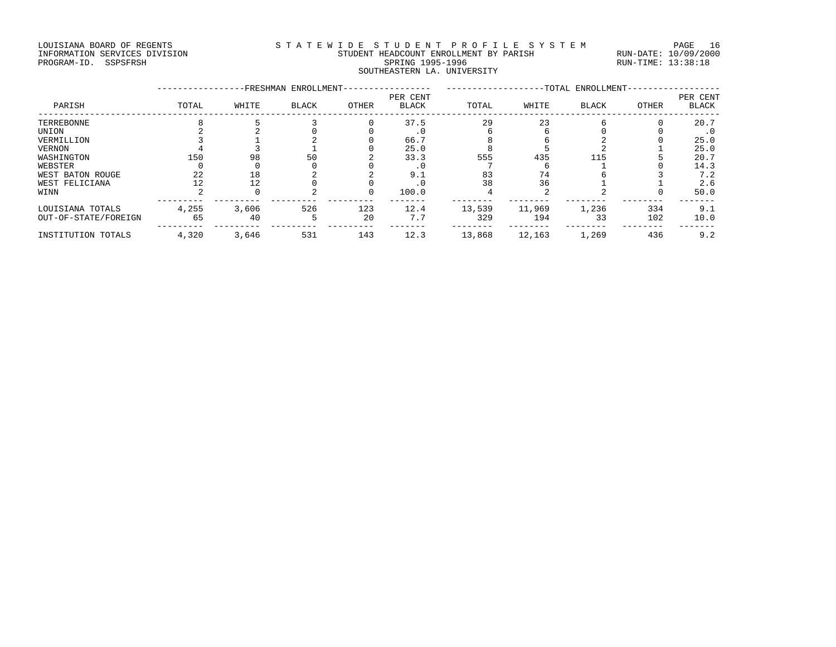## LOUISIANA BOARD OF REGENTS STATEWIDE STUDENT PROFILE SYSTEM PAGE 16 INFORMATION SERVICES DIVISION STUDENT HEADCOUNT ENROLLMENT BY PARISH RUN-DATE: 10/09/2000 PROGRAM-ID. SSPSFRSH SPRING 1995-1996 SPRING 1995-1996 RUN-TIME: 13:38:18 SOUTHEASTERN LA. UNIVERSITY

|                      |       |       | FRESHMAN ENROLLMENT | -TOTAL ENROLLMENT- |                          |        |        |              |       |                          |
|----------------------|-------|-------|---------------------|--------------------|--------------------------|--------|--------|--------------|-------|--------------------------|
| PARISH               | TOTAL | WHITE | <b>BLACK</b>        | OTHER              | PER CENT<br><b>BLACK</b> | TOTAL  | WHITE  | <b>BLACK</b> | OTHER | PER CENT<br><b>BLACK</b> |
| TERREBONNE           |       |       |                     |                    | 37.5                     | 29     | 23     |              |       | 20.7                     |
| UNION                |       |       |                     |                    | .⊍                       |        |        |              |       | . 0                      |
| VERMILLION           |       |       |                     |                    | 66.7                     |        |        |              |       | 25.0                     |
| VERNON               |       |       |                     |                    | 25.0                     |        |        |              |       | 25.0                     |
| WASHINGTON           | 150   | 98    | 50                  |                    | 33.3                     | 555    | 435    | 115          |       | 20.7                     |
| WEBSTER              |       |       |                     |                    | . U                      |        |        |              |       | 14.3                     |
| WEST BATON ROUGE     | 22    | 18    |                     |                    | 9.1                      | 83     | 74     |              |       | 7.2                      |
| WEST FELICIANA       |       | 12    |                     |                    |                          | 38     | 36     |              |       | 2.6                      |
| WINN                 |       |       |                     |                    | 100.0                    |        |        |              |       | 50.0                     |
| LOUISIANA TOTALS     | 4,255 | 3,606 | 526                 | 123                | 12.4                     | 13,539 | 11,969 | 1,236        | 334   | 9.1                      |
| OUT-OF-STATE/FOREIGN | 65    | 40    |                     | 20                 | 7.7                      | 329    | 194    | 33           | 102   | 10.0                     |
| INSTITUTION TOTALS   | 4,320 | 3,646 | 531                 | 143                | 12.3                     | 13,868 | 12,163 | 1,269        | 436   | 9.2                      |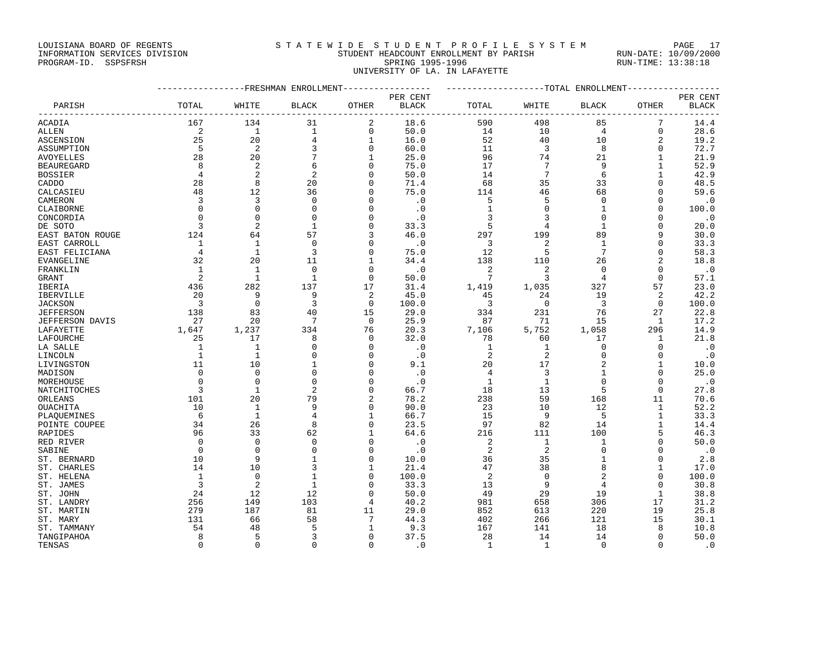## LOUISIANA BOARD OF REGENTS STATEWIDE STUDENT PROFILE SYSTEM PAGE 17 INFORMATION SERVICES DIVISION STUDENT HEADCOUNT ENROLLMENT BY PARISH RUN-DATE: 10/09/2000

PROGRAM-ID. SSPSFRSH SPRING 1995-1996 SPRING 1995-1996 RUN-TIME: 13:38:18 UNIVERSITY OF LA. IN LAFAYETTE

|                   | -------------FRESHMAN ENROLLMENT---------------- | ------------------TOTAL ENROLLMENT----------------- |                 |                |                             |                         |                 |                         |                |              |
|-------------------|--------------------------------------------------|-----------------------------------------------------|-----------------|----------------|-----------------------------|-------------------------|-----------------|-------------------------|----------------|--------------|
|                   |                                                  |                                                     |                 |                | PER CENT                    |                         |                 |                         |                | PER CENT     |
| PARISH            | TOTAL                                            | WHITE                                               | BLACK           | OTHER          | <b>BLACK</b>                | TOTAL                   | WHITE           | BLACK                   | OTHER          | <b>BLACK</b> |
| ACADIA            | 167                                              | 134                                                 | 31              | 2              | 18.6                        | 590                     | 498             | 85                      | 7              | 14.4         |
| <b>ALLEN</b>      | $\overline{\phantom{0}}^2$                       | $\overline{1}$                                      | $\mathbf{1}$    | 0              | 50.0                        | 14                      | 10              | $\overline{4}$          | $\mathbf 0$    | 28.6         |
| ASCENSION         | 25                                               | 20                                                  | $\overline{4}$  | $\mathbf{1}$   | 16.0                        | 52                      | 40              | 10                      | 2              | 19.2         |
| ASSUMPTION        | $-5$                                             | $\overline{\phantom{0}}^2$                          | 3               | $\mathbf{0}$   | 60.0                        | 11                      | $\overline{3}$  | 8                       | $\mathbf 0$    | 72.7         |
| <b>AVOYELLES</b>  | 28                                               | 20                                                  | $7\phantom{.0}$ | $\mathbf{1}$   | 25.0                        | 96                      | 74              | 21                      | $\mathbf{1}$   | 21.9         |
| <b>BEAUREGARD</b> | 8                                                | 2                                                   | 6               | $\mathbf 0$    | 75.0                        | 17                      | $7\phantom{.0}$ | 9                       | $\mathbf{1}$   | 52.9         |
| <b>BOSSIER</b>    | $\overline{4}$                                   | $\overline{2}$                                      | $\overline{2}$  | $\mathbf 0$    | 50.0                        | 14                      | $7\phantom{.0}$ | 6                       | 1              | 42.9         |
| CADDO             | 28                                               | 8                                                   | 20              | $\mathbf 0$    | 71.4                        | 68                      | 35              | 33                      | $\Omega$       | 48.5         |
| CALCASIEU         | 48                                               | 12                                                  | 36              | 0              | 75.0                        | 114                     | 46              | 68                      | 0              | 59.6         |
| CAMERON           | $\overline{3}$                                   | 3                                                   | $\mathbf 0$     | $\mathbf 0$    | $\cdot$ 0                   | 5                       | 5               | $\mathbf 0$             | $\mathbf 0$    | $\cdot$ 0    |
| CLAIBORNE         | $\mathbf 0$                                      | $\mathbf{0}$                                        | $\mathbf 0$     | $\mathbf 0$    | $\cdot$ 0                   | $\mathbf{1}$            | $\mathbf 0$     | 1                       | 0              | 100.0        |
| CONCORDIA         | $\Omega$                                         | $\Omega$                                            | $\Omega$        | $\Omega$       | $\cdot$ 0                   | 3                       | 3               | $\Omega$                | $\Omega$       | $\cdot$ 0    |
| DE SOTO           | 3                                                | $\overline{2}$                                      | $\mathbf{1}$    | $\mathbf 0$    | 33.3                        | 5                       | 4               | $\mathbf{1}$            | 0              | 20.0         |
| EAST BATON ROUGE  | 124                                              | 64                                                  | 57              | 3              | 46.0                        | 297                     | 199             | 89                      | 9              | 30.0         |
| EAST CARROLL      | $\mathbf{1}$                                     | $\mathbf{1}$                                        | $\mathbf 0$     | $\mathbf 0$    | $\cdot$ 0                   | 3                       | 2               | $\mathbf{1}$            | $\mathbf 0$    | 33.3         |
| EAST FELICIANA    | $\overline{4}$                                   | $\mathbf{1}$                                        | 3               | 0              | 75.0                        | 12                      | 5               | 7                       | 0              | 58.3         |
| EVANGELINE        | 32                                               | 20                                                  | 11              | 1              | 34.4                        | 138                     | 110             | 26                      | 2              | 18.8         |
| FRANKLIN          | $\overline{1}$                                   | 1                                                   | $\Omega$        | $\mathbf 0$    | $\cdot$ 0                   | 2                       | 2               | $\mathbf 0$             | $\mathbf 0$    | $\cdot$ 0    |
| GRANT             | 2                                                | $\mathbf{1}$                                        | $\mathbf{1}$    | $\mathbf{0}$   | 50.0                        | $7\phantom{.0}$         | 3               | 4                       | $\mathbf 0$    | 57.1         |
| IBERIA            | 436                                              | 282                                                 | 137             | 17             | 31.4                        | 1,419                   | 1,035           | 327                     | 57             | 23.0         |
| IBERVILLE         | 20                                               | 9                                                   | 9               | 2              | 45.0                        | 45                      | 24              | 19                      | $\overline{2}$ | 42.2         |
| <b>JACKSON</b>    | $\overline{\mathbf{3}}$                          | $\mathbf 0$                                         | $\overline{3}$  | 0              | 100.0                       | $\overline{\mathbf{3}}$ | $\overline{0}$  | $\overline{\mathbf{3}}$ | 0              | 100.0        |
| <b>JEFFERSON</b>  | 138                                              | 83                                                  | 40              | 15             | 29.0                        | 334                     | 231             | 76                      | 27             | 22.8         |
| JEFFERSON DAVIS   | 27                                               | 20                                                  | 7               | $\mathbf 0$    | 25.9                        | 87                      | 71              | 15                      | 1              | 17.2         |
| LAFAYETTE         | 1,647                                            | 1,237                                               | 334             | 76             | 20.3                        | 7,106                   | 5,752           | 1,058                   | 296            | 14.9         |
| LAFOURCHE         | 25                                               | 17                                                  | 8               | 0              | 32.0                        | 78                      | 60              | 17                      | 1              | 21.8         |
| LA SALLE          | 1                                                | 1                                                   | 0               | $\mathbf 0$    | $\overline{\phantom{0}}$ .0 | 1                       | 1               | 0                       | 0              | $\cdot$ 0    |
| LINCOLN           | $\mathbf{1}$                                     | $\mathbf{1}$                                        | $\mathbf 0$     | $\mathbf{0}$   | $\cdot$ 0                   | 2                       | 2               | $\mathbf 0$             | $\mathbf 0$    | $\cdot$ 0    |
| LIVINGSTON        | 11                                               | 10                                                  | $\mathbf{1}$    | $\Omega$       | 9.1                         | 20                      | 17              | 2                       | 1              | 10.0         |
| MADISON           | $\Omega$                                         | $\mathbf 0$                                         | $\mathbf 0$     | $\mathbf 0$    | $\cdot$ 0                   | $\overline{4}$          | 3               | $\mathbf 1$             | $\mathbf 0$    | 25.0         |
| MOREHOUSE         | $\mathbf 0$                                      | $\Omega$                                            | $\mathbf 0$     | $\mathbf 0$    | $\cdot$ 0                   | $\mathbf{1}$            | 1               | $\mathbf 0$             | 0              | $\cdot$ 0    |
| NATCHITOCHES      | 3                                                | $\mathbf{1}$                                        | $\overline{2}$  | $\mathbf{0}$   | 66.7                        | 18                      | 13              | 5                       | $\mathbf{0}$   | 27.8         |
| ORLEANS           | 101                                              | 20                                                  | 79              | $\overline{a}$ | 78.2                        | 238                     | 59              | 168                     | 11             | 70.6         |
| OUACHITA          | 10                                               | $\mathbf{1}$                                        | 9               | $\mathbf 0$    | 90.0                        | 23                      | 10              | 12                      | $\mathbf{1}$   | 52.2         |
| PLAQUEMINES       | 6                                                | $\mathbf{1}$                                        | 4               | 1              | 66.7                        | 15                      | 9               | 5                       | $\mathbf{1}$   | 33.3         |
| POINTE COUPEE     | 34                                               | 26                                                  | 8               | $\mathbf{0}$   | 23.5                        | 97                      | 82              | 14                      | $\mathbf{1}$   | 14.4         |
| RAPIDES           | 96                                               | 33                                                  | 62              | 1              | 64.6                        | 216                     | 111             | 100                     | 5              | 46.3         |
| RED RIVER         | $\overline{0}$                                   | $\Omega$                                            | $\mathbf 0$     | $\Omega$       | $\cdot$ 0                   | 2                       | $\mathbf{1}$    | 1                       | $\mathbf{0}$   | 50.0         |
| SABINE            | $\overline{0}$                                   | $\mathbf 0$                                         | $\mathbf 0$     | $\mathbf 0$    | $\cdot$ <sup>0</sup>        | 2                       | 2               | $\mathbf 0$             | 0              | $\cdot$ 0    |
| ST. BERNARD       | 10                                               | 9                                                   | $\mathbf{1}$    | $\mathbf 0$    | 10.0                        | 36                      | 35              | $\mathbf{1}$            | 0              | 2.8          |
| ST. CHARLES       | 14                                               | 10                                                  | 3               | 1              | 21.4                        | 47                      | 38              | 8                       | 1              | 17.0         |
| ST. HELENA        | 1                                                | $\Omega$                                            | $\mathbf{1}$    | $\Omega$       | 100.0                       | 2                       | $\mathbf 0$     | 2                       | $\Omega$       | 100.0        |
| ST. JAMES         | $\overline{3}$                                   | $\overline{2}$                                      | $\mathbf{1}$    | $\Omega$       | 33.3                        | 13                      | 9               | 4                       | $\Omega$       | 30.8         |
| ST. JOHN          | 24                                               | 12                                                  | 12              | $\Omega$       | 50.0                        | 49                      | 29              | 19                      | 1              | 38.8         |
| ST. LANDRY        | 256                                              | 149                                                 | 103             | 4              | 40.2                        | 981                     | 658             | 306                     | 17             | 31.2         |
| ST. MARTIN        | 279                                              | 187                                                 | 81              | 11             | 29.0                        | 852                     | 613             | 220                     | 19             | 25.8         |
| ST. MARY          | 131                                              | 66                                                  | 58              | 7              | 44.3                        | 402                     | 266             | 121                     | 15             | 30.1         |
| ST. TAMMANY       | 54                                               | 48                                                  | 5               | 1              | 9.3                         | 167                     | 141             | 18                      | 8              | 10.8         |
| TANGIPAHOA        | 8                                                | 5                                                   | 3               | $\mathbf 0$    | 37.5                        | 28                      | 14              | 14                      | $\mathbf{0}$   | 50.0         |
| TENSAS            | $\Omega$                                         | $\Omega$                                            | $\Omega$        | $\Omega$       | $\cdot$ 0                   | 1                       | $\mathbf{1}$    | $\mathbf 0$             | $\Omega$       | $\cdot$ 0    |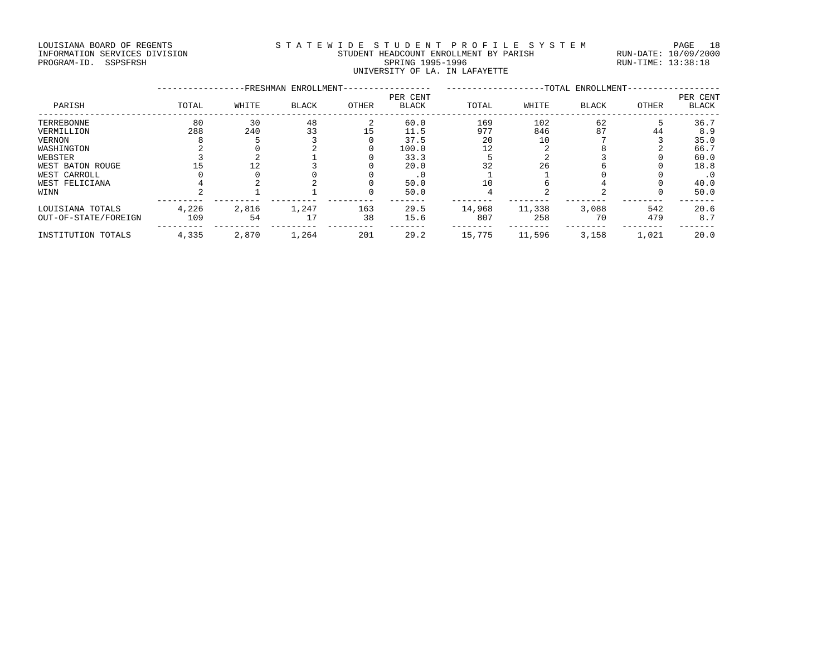## LOUISIANA BOARD OF REGENTS STATEWIDE STUDENT PROFILE SYSTEM PAGE 18 INFORMATION SERVICES DIVISION STUDENT HEADCOUNT ENROLLMENT BY PARISH RUN-DATE: 10/09/2000 PROGRAM-ID. SSPSFRSH SPRING 1995-1996 SPRING 1995-1996 RUN-TIME: 13:38:18 UNIVERSITY OF LA. IN LAFAYETTE

|                      |       |       | -FRESHMAN ENROLLMENT- |       |                   | -TOTAL ENROLLMENT- |        |              |              |                   |
|----------------------|-------|-------|-----------------------|-------|-------------------|--------------------|--------|--------------|--------------|-------------------|
| PARISH               | TOTAL | WHITE | <b>BLACK</b>          | OTHER | PER CENT<br>BLACK | TOTAL              | WHITE  | <b>BLACK</b> | <b>OTHER</b> | PER CENT<br>BLACK |
| TERREBONNE           | 80    | 30    | 48                    |       | 60.0              | 169                | 102    | 62           |              | 36.7              |
| VERMILLION           | 288   | 240   | 33                    | 15    | 11.5              | 977                | 846    | 87           | 44           | 8.9               |
| VERNON               |       |       |                       |       | 37.5              | 20                 | 10     |              |              | 35.0              |
| WASHINGTON           |       |       |                       |       | 100.0             | 12                 |        |              |              | 66.7              |
| WEBSTER              |       |       |                       |       | 33.3              |                    |        |              |              | 60.0              |
| WEST BATON ROUGE     |       |       |                       |       | 20.0              | 32                 | 26     |              |              | 18.8              |
| WEST CARROLL         |       |       |                       |       | $\cdot$ 0         |                    |        |              |              | . 0               |
| WEST FELICIANA       |       |       |                       |       | 50.0              | 10                 |        |              |              | 40.0              |
| WINN                 |       |       |                       |       | 50.0              |                    |        |              |              | 50.0              |
| LOUISIANA TOTALS     | 4,226 | 2,816 | 1,247                 | 163   | 29.5              | 14,968             | 11,338 | 3,088        | 542          | 20.6              |
| OUT-OF-STATE/FOREIGN | 109   | 54    |                       | 38    | 15.6              | 807                | 258    | 70           | 479          | 8.7               |
| INSTITUTION TOTALS   | 4,335 | 2,870 | 1,264                 | 201   | 29.2              | 15,775             | 11,596 | 3,158        | 1,021        | 20.0              |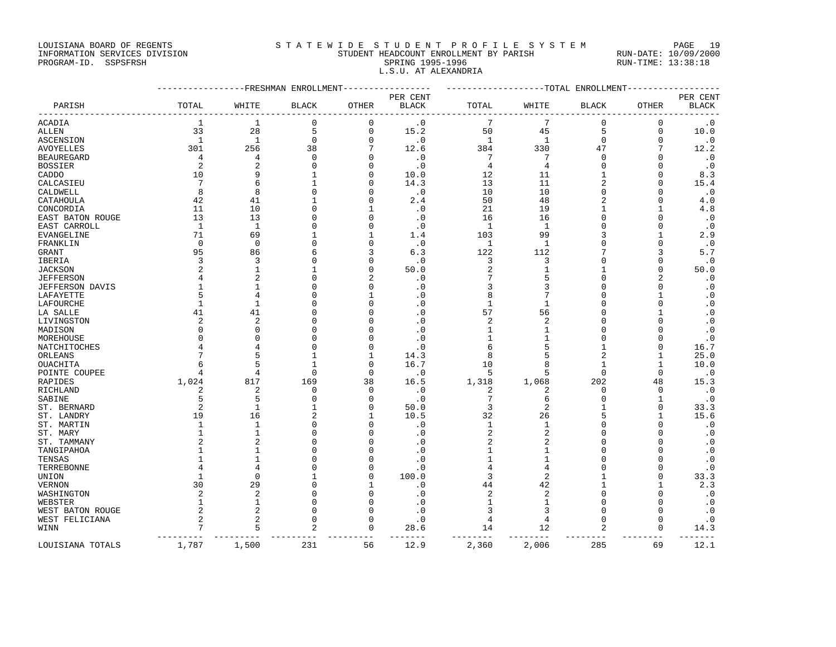LOUISIANA BOARD OF REGENTS S T A T E W I D E S T U D E N T P R O F I L E S Y S T E M PAGE 19

## INFORMATION SERVICES DIVISION STUDENT HEADCOUNT ENROLLMENT BY PARISH RUN-DATE: 10/09/2000 PROGRAM-ID. SSPSFRSH SPRING 1995-1996 SPRING 1995-1996 RUN-TIME: 13:38:18 L.S.U. AT ALEXANDRIA

|                             |                | -----------FRESHMAN ENROLLMENT |                | -----------   |                        | ------------------TOTAL ENROLLMENT- |                |                |               | ----------------- |
|-----------------------------|----------------|--------------------------------|----------------|---------------|------------------------|-------------------------------------|----------------|----------------|---------------|-------------------|
|                             |                |                                |                |               | PER CENT               |                                     |                |                |               | PER CENT          |
| PARISH                      | TOTAL          | WHITE                          | <b>BLACK</b>   | OTHER         | <b>BLACK</b>           | TOTAL                               | WHITE          | <b>BLACK</b>   | OTHER         | <b>BLACK</b>      |
| ACADIA                      | 1              | 1                              | 0              | 0             | $\cdot$ 0              | 7                                   | 7              | 0              | $\Omega$      | $\cdot$ 0         |
| ALLEN                       | 33             | 28                             | 5              | $\mathbf 0$   | 15.2                   | 50                                  | 45             | 5              | $\mathbf 0$   | 10.0              |
| ASCENSION                   | $\mathbf{1}$   | 1                              | $\mathbf 0$    | $\mathbf 0$   | $\cdot$ 0              | 1                                   | $\mathbf{1}$   | $\Omega$       | $\Omega$      | $\cdot$ 0         |
| <b>AVOYELLES</b>            | 301            | 256                            | 38             | 7             | 12.6                   | 384                                 | 330            | 47             |               | 12.2              |
| <b>BEAUREGARD</b>           | 4              | 4                              | $\Omega$       | $\Omega$      | $\cdot$ 0              | 7                                   | 7              | $\Omega$       | $\Omega$      | $\cdot$ 0         |
| <b>BOSSIER</b>              | 2              | 2                              | $\mathbf 0$    | $\Omega$      | $\cdot$ 0              | $\overline{4}$                      | 4              | 0              | n             | $\cdot$ 0         |
| CADDO                       | 10             | 9                              | 1              | $\Omega$      | 10.0                   | 12                                  | 11             | 1              | 0             | 8.3               |
| CALCASIEU                   | 7              | 6                              | $\mathbf{1}$   | $\Omega$      | 14.3                   | 13                                  | 11             | 2              | $\Omega$      | 15.4              |
| CALDWELL                    | 8              | 8                              | $\Omega$       | $\Omega$      | $\cdot$ 0              | 10                                  | 10             | 0              | 0             | $\cdot$ 0         |
| CATAHOULA                   | 42             | 41                             |                | $\cap$        | 2.4                    | 50                                  | 48             | 2              | $\Omega$      | 4.0               |
| CONCORDIA                   | 11             | 10                             | $\Omega$       |               | $\cdot$ 0              | 21                                  | 19             | 1              |               | 4.8               |
| EAST BATON ROUGE            | 13             | 13                             | $\Omega$       | $\cap$        | $\cdot$ 0              | 16                                  | 16             | O              | $\Omega$      | $\cdot$ 0         |
| EAST CARROLL                | -1             | $\mathbf{1}$                   | $\Omega$       | $\Omega$      | $\cdot$ 0              | 1                                   | $\mathbf{1}$   | 0              | 0             | $\cdot$ 0         |
| EVANGELINE                  | 71             | 69                             |                |               | 1.4                    | 103                                 | 99             | 3              |               | 2.9               |
| FRANKLIN                    | 0              | $\mathbf 0$                    | $\Omega$       | $\Omega$      | $\cdot$ 0              | 1                                   | $\mathbf{1}$   | O              | $\Omega$      | $\cdot$ 0         |
| GRANT                       | 95             | 86                             | 6              | 3             | 6.3                    | 122                                 | 112            |                | 3             | 5.7               |
| IBERIA                      | 3              | 3                              | $\Omega$       | $\Omega$      | $\cdot$ 0              | 3                                   | 3              | O              | $\Omega$      | $\cdot$ 0         |
| JACKSON                     | $\overline{c}$ | $\mathbf{1}$                   | 1              | $\Omega$      | 50.0                   | $\overline{2}$                      |                |                | $\Omega$      | 50.0              |
| <b>JEFFERSON</b>            |                |                                | $\Omega$       | 2             | $\cdot$ 0              |                                     |                | O              | 2             | $\cdot$ 0         |
| JEFFERSON DAVIS             |                | -1                             | 0              | $\Omega$      | $\cdot$ 0              | 3                                   |                |                | 0             | $\cdot$ 0         |
| LAFAYETTE                   | 5              | $\overline{4}$                 | $\Omega$       | $\mathbf{1}$  | $\cdot$ 0              | 8                                   |                |                |               | $\cdot$ 0         |
| LAFOURCHE                   | 1              | 1                              | 0              | $\Omega$      | $\cdot$ 0              | 1                                   | 1              | 0              | U             | $\cdot$ 0         |
| LA SALLE                    | 41             | 41                             | $\Omega$       | $\Omega$      | $\cdot$ 0              | 57                                  | 56             | U              |               | $\cdot$ 0         |
| LIVINGSTON                  | 2              | $\overline{2}$                 | $\Omega$       | $\cap$        | $\cdot$ 0              | 2                                   | 2              | U              |               | $\cdot$ 0         |
| MADISON                     | ∩              | $\cap$                         | $\Omega$       | $\cap$        | $\cdot$ 0              | -1                                  |                | U              |               | $\cdot$ 0         |
| MOREHOUSE                   | <sup>0</sup>   | $\Omega$                       | $\Omega$       | $\Omega$      | $\cdot$ 0              | 1                                   |                | 0              | C             | $\cdot$ 0         |
| NATCHITOCHES                |                |                                | $\Omega$       | $\Omega$      | $\cdot$ 0              | 6                                   | 5              | 1              | 0             | 16.7              |
| ORLEANS                     |                |                                | 1              | 1             | 14.3                   | 8                                   |                | $\overline{2}$ | $\mathbf{1}$  | 25.0              |
| OUACHITA                    |                | 5                              | $\mathbf{1}$   | $\Omega$      | 16.7                   | 10                                  | 8              | 1              | $\mathbf{1}$  | 10.0              |
| POINTE COUPEE               | 4              | $\overline{4}$                 | $\Omega$       | $\mathbf 0$   | $\cdot$ 0              | 5                                   | 5              | 0              | $\Omega$      | $\cdot$ 0         |
| RAPIDES                     | 1,024          | 817                            | 169            | 38            | 16.5                   | 1,318                               | 1,068          | 202            | 48            | 15.3              |
| RICHLAND                    | 2              | $\overline{2}$                 | $\mathbf 0$    | $\mathbf 0$   | $\cdot$ 0              | $\overline{2}$                      | 2              | 0              | $\Omega$      | $\cdot$ 0         |
| SABINE                      | 5              | 5                              | $\Omega$       | $\Omega$      | $\cdot$ 0              | 7                                   | 6              | 0              | $\mathbf{1}$  | $\cdot$ 0         |
| ST. BERNARD                 | $\overline{c}$ | $\mathbf{1}$                   | $\mathbf{1}$   | $\mathbf 0$   | 50.0                   | 3                                   | 2              |                | $\Omega$      | 33.3              |
| ST. LANDRY                  | 19             | 16                             | $\overline{2}$ | 1             | 10.5                   | 32                                  | 26             | 5              | 1             | 15.6              |
| ST. MARTIN                  | $\mathbf{1}$   | $\mathbf{1}$                   | $\Omega$       | $\Omega$      | $\cdot$ 0              | 1                                   | $\mathbf{1}$   | $\Omega$       | $\Omega$      | $\cdot$ 0         |
| ST. MARY                    |                | $\mathbf{1}$                   | $\Omega$       | $\cap$        | $\cdot$ 0              | $\overline{2}$                      | 2              | O              |               | $\cdot$ 0         |
| ST. TAMMANY                 |                |                                | $\Omega$       | $\cap$        | $\cdot$ 0              | 2                                   |                |                | n             | $\cdot$ 0         |
| TANGIPAHOA                  |                | 1<br>-1                        | $\Omega$<br>O  | $\Omega$<br>n | . 0                    | 1<br>-1                             | 1              | U<br>U         |               | $\cdot$ 0         |
| TENSAS                      |                |                                | $\Omega$       | $\Omega$      | $\cdot$ 0              | 4                                   |                | O              | O<br>$\Omega$ | $\cdot$ 0         |
| TERREBONNE                  |                | $\Omega$                       | 1              | $\Omega$      | $\cdot$ 0<br>100.0     | 3                                   | 4<br>2         |                | $\Omega$      | $\cdot$ 0         |
| UNION                       | 30             | 29                             | $\Omega$       | -1            |                        |                                     | 42             | 1              | -1            | 33.3<br>2.3       |
| VERNON<br>WASHINGTON        | 2              | $\overline{2}$                 | $\Omega$       | $\Omega$      | $\cdot$ 0<br>$\cdot$ 0 | 44<br>2                             | $\overline{c}$ | O              | $\Omega$      | . 0               |
|                             | 1              | $\mathbf{1}$                   | $\Omega$       | $\Omega$      | $\cdot$ 0              | 1                                   | 1              | 0              | $\Omega$      | $\cdot$ 0         |
| WEBSTER<br>WEST BATON ROUGE | 2              | 2                              | $\Omega$       | $\Omega$      | $\cdot$ 0              | 3                                   | 3              | $\Omega$       | $\Omega$      | $\cdot$ 0         |
| WEST FELICIANA              | 2              | $\overline{2}$                 | $\Omega$       | $\Omega$      | $\cdot$ 0              | 4                                   | 4              | 0              | $\Omega$      | $\cdot$ 0         |
| WINN                        | 7              | 5                              | $\overline{2}$ | $\mathbf 0$   | 28.6                   | 14                                  | 12             | 2              | $\Omega$      | 14.3              |
|                             | 1,787          | 1,500                          | 231            | 56            | ----<br>12.9           | 2,360                               | 2,006          | 285            | 69            | 12.1              |
| LOUISIANA TOTALS            |                |                                |                |               |                        |                                     |                |                |               |                   |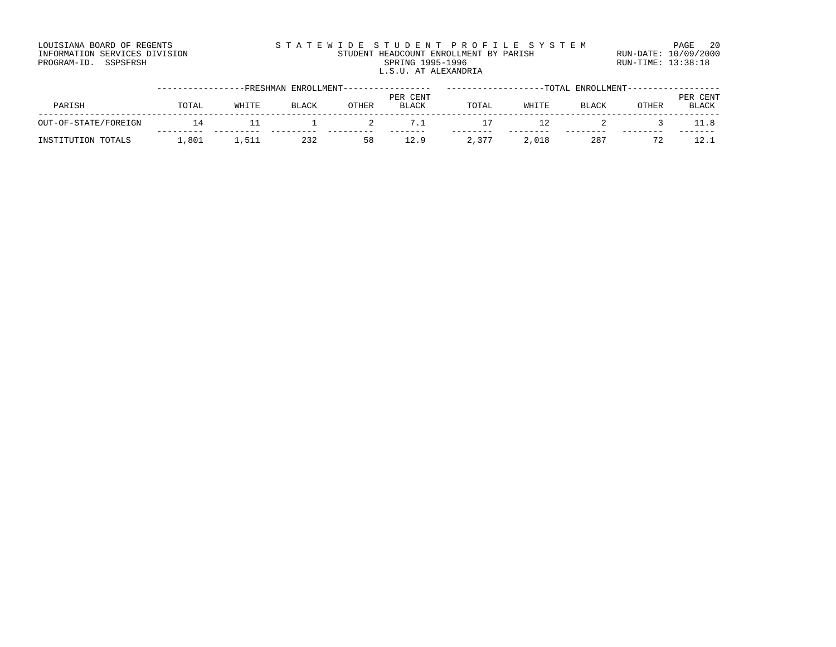### LOUISIANA BOARD OF REGENTS STATEWIDE STUDENT PROFILE SYSTEM PAGE 20 INFORMATION SERVICES DIVISION STUDENT HEADCOUNT ENROLLMENT BY PARISH RUN-DATE: 10/09/2000 PROGRAM-ID. SSPSFRSH SPRING 1995-1996 SPRING 1995-1996 RUN-TIME: 13:38:18 L.S.U. AT ALEXANDRIA

|                      |       |       | -FRESHMAN ENROLLMENT-- |       |              |       | TOTAL | ENROLLMENT-- |       |              |
|----------------------|-------|-------|------------------------|-------|--------------|-------|-------|--------------|-------|--------------|
|                      |       |       |                        |       | PER CENT     |       |       |              |       | PER CENT     |
| PARISH               | TOTAL | WHITE | BLACK                  | OTHER | <b>BLACK</b> | TOTAL | WHITE | BLACK        | OTHER | <b>BLACK</b> |
| OUT-OF-STATE/FOREIGN | 14    |       |                        |       |              |       |       |              |       |              |
| INSTITUTION TOTALS   | ,801  | 1,51. | 232                    | 58    |              | 2,377 | 2,018 | 287          |       |              |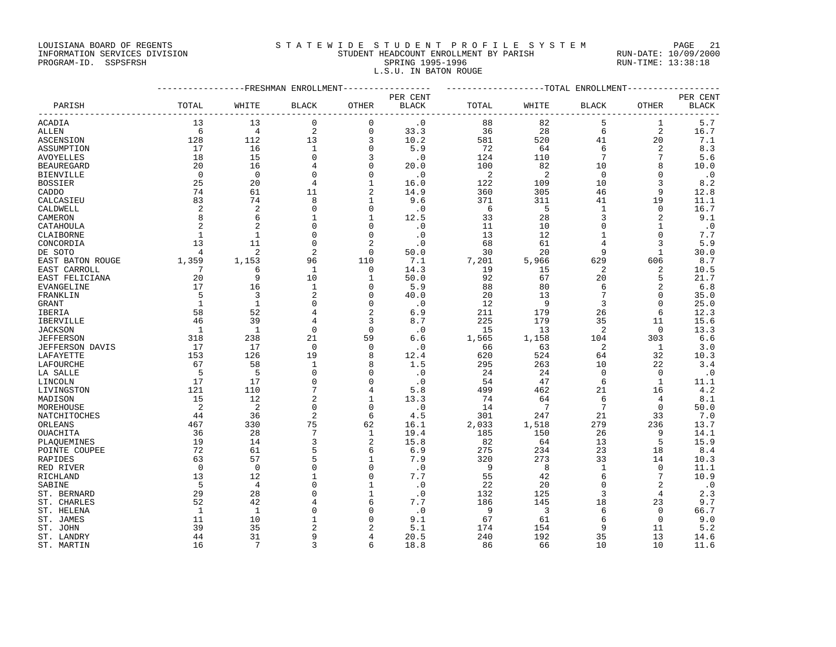LOUISIANA BOARD OF REGENTS STATEWIDE STUDENT PROFILE SYSTEM PAGE 21

## INFORMATION SERVICES DIVISION STUDENT HEADCOUNT ENROLLMENT BY PARISH RUN-DATE: 10/09/2000 PROGRAM-ID. SSPSFRSH SPRING 1995-1996 SPRING 1995-1996 RUN-TIME: 13:38:18 L.S.U. IN BATON ROUGE

|                   | ----------------FRESHMAN ENROLLMENT---------------- | -------------------TOTAL ENROLLMENT--------------- |                     |                      |                   |       |                 |                 |                         |                          |
|-------------------|-----------------------------------------------------|----------------------------------------------------|---------------------|----------------------|-------------------|-------|-----------------|-----------------|-------------------------|--------------------------|
| PARISH            | TOTAL                                               | WHITE                                              | <b>BLACK</b>        | OTHER                | PER CENT<br>BLACK | TOTAL | WHITE           | <b>BLACK</b>    | OTHER                   | PER CENT<br><b>BLACK</b> |
| <b>ACADIA</b>     | 13                                                  | 13                                                 | $\mathbf 0$         | 0                    | $\cdot$ 0         | 88    | 82              | 5               | 1                       | 5.7                      |
| ALLEN             | 6                                                   | $\overline{4}$                                     | $\sqrt{2}$          | 0                    | 33.3              | 36    | 28              | 6               | 2                       | 16.7                     |
| ASCENSION         | 128                                                 | 112                                                | 13                  | 3                    | 10.2              | 581   | 520             | 41              | 20                      | 7.1                      |
| ASSUMPTION        | 17                                                  | 16                                                 | $\mathbf{1}$        | $\Omega$             | 5.9               | 72    | 64              | 6               | 2                       | 8.3                      |
| AVOYELLES         | 18                                                  | 15                                                 | $\mathbf 0$         | 3                    | $\cdot$ 0         | 124   | 110             | $7\phantom{.0}$ | $7\phantom{.0}$         | 5.6                      |
| <b>BEAUREGARD</b> | 20                                                  | 16                                                 | $\overline{4}$      | $\Omega$             | 20.0              | 100   | 82              | 10              | 8                       | 10.0                     |
| BIENVILLE         | $\overline{0}$                                      | $\overline{0}$                                     | $\mathbf 0$         | $\mathbf 0$          | $\cdot$ 0         | 2     | 2               | $\overline{0}$  | $\Omega$                | $\cdot$ 0                |
| <b>BOSSIER</b>    | 25                                                  | 20                                                 | $\overline{4}$      | 1                    | 16.0              | 122   | 109             | 10              | 3                       | 8.2                      |
| CADDO             | 74                                                  | 61                                                 | 11                  | 2                    | 14.9              | 360   | 305             | 46              | 9                       | 12.8                     |
| CALCASIEU         | 83                                                  | 74                                                 | 8                   | 1                    | 9.6               | 371   | 311             | 41              | 19                      | 11.1                     |
| CALDWELL          | 2                                                   | 2                                                  | $\mathbf 0$         | $\mathbf 0$          | $\cdot$ 0         | 6     | 5               | $\mathbf{1}$    | 0                       | 16.7                     |
| CAMERON           | 8                                                   | 6                                                  | $\mathbf{1}$        | $\mathbf{1}$         | 12.5              | 33    | 28              | 3               | 2                       | 9.1                      |
| CATAHOULA         | 2                                                   | $\overline{2}$                                     | $\mathbf 0$         | 0                    | $\cdot$ 0         | 11    | 10              | $\Omega$        |                         | $\cdot$ 0                |
| CLAIBORNE         | $\mathbf{1}$                                        | 1                                                  | $\Omega$            | $\Omega$             | $\cdot$ 0         | 13    | 12              | $\mathbf{1}$    | $\Omega$                | 7.7                      |
| CONCORDIA         | 13                                                  | 11                                                 | $\Omega$            | $\overline{a}$       | $\cdot$ 0         | 68    | 61              | 4               | 3                       | 5.9                      |
| DE SOTO           | 4                                                   | $\overline{c}$                                     | $\overline{2}$      | $\mathbf 0$          | 50.0              | 30    | 20              | 9               | 1                       | 30.0                     |
| EAST BATON ROUGE  | 1,359                                               | 1,153                                              | 96                  | 110                  | 7.1               | 7,201 | 5,966           | 629             | 606                     | 8.7                      |
| EAST CARROLL      | 7                                                   | 6                                                  | $\mathbf{1}$        | 0                    | 14.3              | 19    | 15              | 2               | 2                       | 10.5                     |
| EAST FELICIANA    | 20                                                  | 9                                                  | 10                  | 1                    | 50.0              | 92    | 67              | 20              | 5                       | 21.7                     |
| EVANGELINE        | 17                                                  | 16                                                 | $\mathbf{1}$        | $\Omega$             | 5.9               | 88    | 80              | 6               | 2                       | 6.8                      |
| FRANKLIN          | 5                                                   | 3                                                  | $\overline{2}$      | 0                    | 40.0              | 20    | 13              | $7\phantom{.0}$ | $\mathbf 0$             | 35.0                     |
| GRANT             | $\mathbf{1}$                                        | 1                                                  | $\mathbf{0}$        | $\Omega$             | $\cdot$ 0         | 12    | 9               | 3               | $\mathbf 0$             | 25.0                     |
| IBERIA            | 58                                                  | 52                                                 | 4                   | $\overline{a}$       | 6.9               | 211   | 179             | 26              | 6                       | 12.3                     |
| IBERVILLE         | 46                                                  | 39                                                 | 4                   | 3                    | 8.7               | 225   | 179             | 35              | 11                      | 15.6                     |
| <b>JACKSON</b>    | 1                                                   | $\mathbf{1}$                                       | $\Omega$            | $\Omega$             | $\cdot$ 0         | 15    | 13              | 2               | 0                       | 13.3                     |
| <b>JEFFERSON</b>  | 318                                                 | 238                                                | 21                  | 59                   | 6.6               | 1,565 | 1,158           | 104             | 303                     | 6.6                      |
| JEFFERSON DAVIS   | 17                                                  | 17                                                 | $\mathbf 0$         | $\Omega$             | $\cdot$ 0         | 66    | 63              | 2               | -1                      | 3.0                      |
| LAFAYETTE         | 153                                                 | 126                                                | 19                  | 8                    | 12.4              | 620   | 524             | 64              | 32                      | 10.3                     |
| LAFOURCHE         | 67                                                  | 58                                                 | $\mathbf{1}$        | 8                    | 1.5               | 295   | 263             | 10              | 22                      | 3.4                      |
| LA SALLE          | - 5                                                 | - 5                                                | $\Omega$            | $\Omega$             | $\cdot$ 0         | 24    | 24              | $\Omega$        | $\Omega$                | $\cdot$ 0                |
| LINCOLN           | 17                                                  | 17                                                 | $\mathbf 0$         | $\Omega$             | $\cdot$ 0         | 54    | 47              | 6               | 1                       | 11.1                     |
| LIVINGSTON        | 121                                                 | 110                                                | 7                   | 4                    | 5.8               | 499   | 462             | 21              | 16                      | 4.2                      |
| MADISON           | 15                                                  | 12                                                 | $\overline{a}$      | 1                    | 13.3              | 74    | 64              | 6               | 4                       | 8.1                      |
| MOREHOUSE         | $\overline{2}$                                      | -2                                                 | $\mathbf 0$         | $\Omega$             | $\cdot$ 0         | 14    | $7\phantom{.0}$ | $7\phantom{.0}$ | $\Omega$                | 50.0                     |
| NATCHITOCHES      | 44                                                  | 36                                                 | $\overline{2}$      | 6                    | 4.5               | 301   | 247             | 21              | 33                      | 7.0                      |
| ORLEANS           | 467                                                 | 330                                                | 75                  | 62                   | 16.1              | 2,033 | 1,518           | 279             | 236                     | 13.7                     |
| OUACHITA          | 36                                                  | 28                                                 | 7                   | 1                    | 19.4              | 185   | 150             | 26              | 9                       | 14.1                     |
| PLAQUEMINES       | 19                                                  | 14                                                 | 3                   | 2                    | 15.8              | 82    | 64              | 13              | 5                       | 15.9                     |
| POINTE COUPEE     | 72                                                  | 61                                                 | 5                   | 6                    | 6.9               | 275   | 234             | 23              | 18                      | 8.4                      |
| RAPIDES           | 63                                                  | 57                                                 | 5                   | $\mathbf{1}$         | 7.9               | 320   | 273             | 33              | 14                      | 10.3                     |
| RED RIVER         | $\mathbf 0$                                         | $\overline{0}$                                     | $\Omega$            | $\Omega$             | $\cdot$ 0         | 9     | 8               | $\mathbf 1$     | $\mathbf 0$             | 11.1                     |
| RICHLAND          | 13                                                  | 12                                                 | $\mathbf{1}$        | $\Omega$             | 7.7               | 55    | 42              | 6               | 7                       | 10.9                     |
| SABINE            | 5                                                   | 4                                                  | $\mathbf{0}$        | 1                    | $\cdot$ 0         | 22    | 20              | $\Omega$        | 2                       | $\cdot$ 0                |
| ST. BERNARD       | 29                                                  | 28                                                 | $\Omega$            | $\mathbf{1}$         | $\cdot$ 0         | 132   | 125             | 3               | $\overline{4}$          | 2.3                      |
| ST. CHARLES       | 52                                                  | 42                                                 | $\overline{4}$      | 6                    | 7.7               | 186   | 145             | 18              | 23                      | 9.7                      |
| ST. HELENA        | 1                                                   | 1                                                  | $\Omega$            | $\Omega$<br>$\Omega$ | $\cdot$ 0         | 9     | $\overline{3}$  | 6               | $\mathbf 0$<br>$\Omega$ | 66.7                     |
| ST. JAMES         | 11<br>39                                            | 10                                                 | 1<br>$\overline{a}$ |                      | 9.1               | 67    | 61              | 6<br>9          |                         | 9.0                      |
| ST. JOHN          | 44                                                  | 35<br>31                                           | 9                   | 4                    | 5.1               | 174   | 154<br>192      | 35              | 11<br>13                | 5.2                      |
| ST. LANDRY        |                                                     |                                                    |                     |                      | 20.5              | 240   |                 |                 |                         | 14.6                     |

ST. MARTIN 16 7 3 6 18.8 86 66 10 10 11.6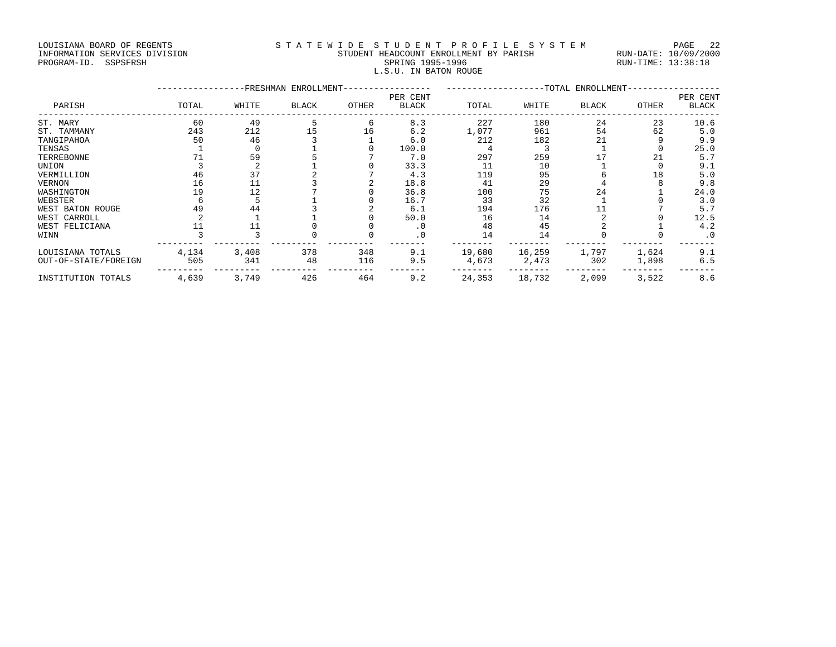### LOUISIANA BOARD OF REGENTS STATEWIDE STUDENT PROFILE SYSTEM PAGE 22 INFORMATION SERVICES DIVISION STUDENT HEADCOUNT ENROLLMENT BY PARISH RUN-DATE: 10/09/2000 PROGRAM-ID. SSPSFRSH SPRING 1995-1996 SPRING 1995-1996 RUN-TIME: 13:38:18 L.S.U. IN BATON ROUGE

|                      |       | -TOTAL ENROLLMENT- |       |       |                          |        |        |              |       |                          |
|----------------------|-------|--------------------|-------|-------|--------------------------|--------|--------|--------------|-------|--------------------------|
| PARISH               | TOTAL | WHITE              | BLACK | OTHER | PER CENT<br><b>BLACK</b> | TOTAL  | WHITE  | <b>BLACK</b> | OTHER | PER CENT<br><b>BLACK</b> |
| ST. MARY             | 60    | 49                 |       |       | 8.3                      | 227    | 180    | 24           | 23    | 10.6                     |
| ST. TAMMANY          | 243   | 212                | 15    | 16    | 6.2                      | 1,077  | 961    | 54           | 62    | 5.0                      |
| TANGIPAHOA           | 50    | 46                 |       |       | 6.0                      | 212    | 182    | 21           |       | 9.9                      |
| TENSAS               |       |                    |       |       | 100.0                    |        |        |              |       | 25.0                     |
| TERREBONNE           |       | 59                 |       |       | 7.0                      | 297    | 259    |              | 21    | 5.7                      |
| UNION                |       |                    |       |       | 33.3                     | 11     | 10     |              |       | 9.1                      |
| VERMILLION           | 46    | 37                 |       |       | 4.3                      | 119    | 95     |              | 18    | 5.0                      |
| VERNON               | 16    |                    |       |       | 18.8                     | 41     | 29     |              |       | 9.8                      |
| WASHINGTON           | 19    | 12                 |       |       | 36.8                     | 100    | 75     | 24           |       | 24.0                     |
| WEBSTER              |       |                    |       |       | 16.7                     | 33     | 32     |              |       | 3.0                      |
| WEST BATON ROUGE     | 49    | 44                 |       |       | 6.1                      | 194    | 176    |              |       | 5.7                      |
| WEST CARROLL         |       |                    |       |       | 50.0                     | 16     | 14     |              |       | 12.5                     |
| WEST FELICIANA       |       |                    |       |       | . 0                      | 48     | 45     |              |       | 4.2                      |
| WINN                 |       |                    |       |       | $\cdot$ 0                | 14     | 14     |              |       | $\cdot$ 0                |
| LOUISIANA TOTALS     | 4,134 | 3,408              | 378   | 348   | 9.1                      | 19,680 | 16,259 | 1,797        | 1,624 | 9.1                      |
| OUT-OF-STATE/FOREIGN | 505   | 341                | 48    | 116   | 9.5                      | 4,673  | 2,473  | 302          | 1,898 | 6.5                      |
| INSTITUTION TOTALS   | 4,639 | 3,749              | 426   | 464   | 9.2                      | 24,353 | 18,732 | 2,099        | 3,522 | 8.6                      |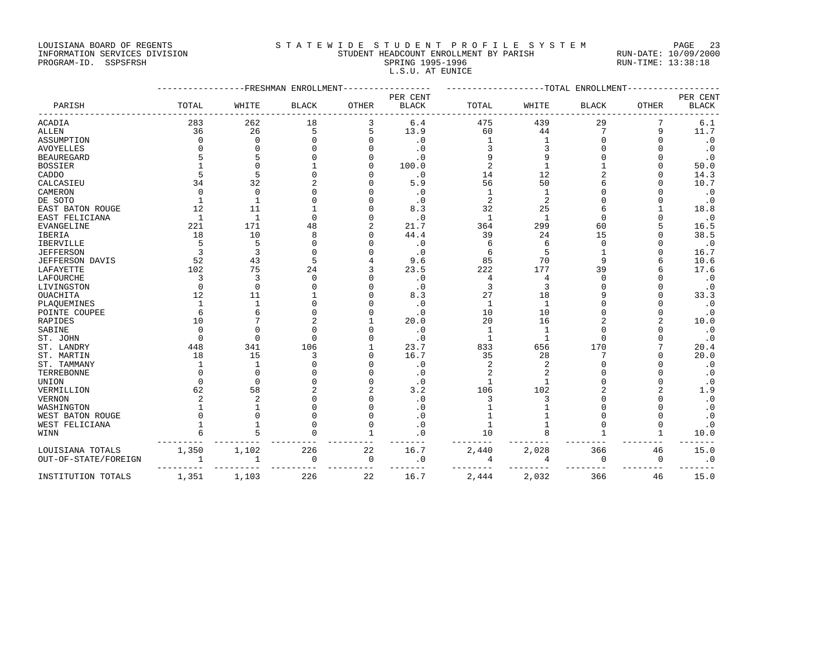LOUISIANA BOARD OF REGENTS STATEWIDE STUDE NT PROFILE SYSTEM PAGE 23<br>STUDENT HEADCOUNT ENROLLMENT BY PARISH RUN-DATE: 10/09/2000

PROGRAM-ID. SSPSFRSH

| auulutumi punuu ul nauaniu    |                                        | -----<br>__         |
|-------------------------------|----------------------------------------|---------------------|
| INFORMATION SERVICES DIVISION | STUDENT HEADCOUNT ENROLLMENT BY PARISH | RUN-DATE: 10/09/200 |
| PROGRAM-ID. SSPSFRSH          | SPRING 1995-1996                       | RUN-TIME: 13:38:18  |
|                               | L.S.U. AT EUNICE                       |                     |

|                      |          | -------------FRESHMAN ENROLLMENT |              | -------------------TOTAL<br>ENROLLMENT |                          |                |                |              |              |                          |
|----------------------|----------|----------------------------------|--------------|----------------------------------------|--------------------------|----------------|----------------|--------------|--------------|--------------------------|
| PARISH               | TOTAL    | WHITE                            | <b>BLACK</b> | <b>OTHER</b>                           | PER CENT<br><b>BLACK</b> | TOTAL          | WHITE          | <b>BLACK</b> | <b>OTHER</b> | PER CENT<br><b>BLACK</b> |
| ACADIA               | 283      | 262                              | 18           | 3                                      | 6.4                      | 475            | 439            | 29           |              | 6.1                      |
| ALLEN                | 36       | 26                               | 5            | 5                                      | 13.9                     | 60             | 44             | 7            | 9            | 11.7                     |
| ASSUMPTION           | $\Omega$ | $\Omega$                         | $\Omega$     |                                        | $\cdot$ 0                |                | 1              |              | $\Omega$     | $\cdot$ 0                |
| <b>AVOYELLES</b>     |          |                                  |              |                                        | $\cdot$ 0                |                | 3              |              |              | $\cdot$ 0                |
| <b>BEAUREGARD</b>    |          |                                  |              |                                        | $\cdot$ 0                |                | 9              |              |              | $\cdot$ 0                |
| <b>BOSSIER</b>       |          |                                  |              |                                        | 100.0                    | $\overline{2}$ | $\mathbf{1}$   |              |              | 50.0                     |
| CADDO                |          |                                  |              |                                        | $\cdot$ 0                | 14             | 12             |              | U            | 14.3                     |
| CALCASIEU            | 34       | 32                               |              |                                        | 5.9                      | 56             | 50             |              | U            | 10.7                     |
| CAMERON              | $\Omega$ | $\Omega$                         |              |                                        | $\cdot$ 0                |                | $\mathbf{1}$   |              |              | . 0                      |
| DE SOTO              | -1       |                                  |              |                                        | $\cdot$ 0                | 2              | $\overline{2}$ |              |              | $\cdot$ 0                |
| EAST BATON ROUGE     | 12       | 11                               |              |                                        | 8.3                      | 32             | 25             |              |              | 18.8                     |
| EAST FELICIANA       | -1       | 1                                | $\Omega$     |                                        | $\cdot$ 0                | $\mathbf{1}$   | $\mathbf{1}$   |              |              | $\cdot$ 0                |
| <b>EVANGELINE</b>    | 221      | 171                              | 48           |                                        | 21.7                     | 364            | 299            | 60           |              | 16.5                     |
| IBERIA               | 18       | 10                               | 8            |                                        | 44.4                     | 39             | 24             | 15           | U            | 38.5                     |
| IBERVILLE            | 5        | 5                                | $\Omega$     |                                        | $\cdot$ 0                | 6              | 6              | $\Omega$     |              | $\cdot$ 0                |
| JEFFERSON            |          | 3                                | <sup>0</sup> |                                        | $\cdot$ 0                | 6              | 5              |              |              | 16.7                     |
| JEFFERSON DAVIS      | 52       | 43                               | 5            |                                        | 9.6                      | 85             | 70             |              |              | 10.6                     |
| LAFAYETTE            | 102      | 75                               | 24           |                                        | 23.5                     | 222            | 177            | 39           |              | 17.6                     |
| LAFOURCHE            | 3        | २                                | $\Omega$     |                                        | $\cdot$ 0                | 4              | 4              |              |              | $\cdot$ 0                |
| LIVINGSTON           | $\Omega$ | $\Omega$                         |              |                                        | $\cdot$ 0                | 3              | 3              |              |              | $\cdot$ 0                |
| <b>OUACHITA</b>      | 12       | 11                               |              |                                        | 8.3                      | 27             | 18             |              |              | 33.3                     |
| PLAQUEMINES          |          |                                  |              |                                        | $\cdot$ 0                | $\mathbf{1}$   | -1             |              | U            | $\cdot$ 0                |
| POINTE COUPEE        | 6        |                                  |              |                                        | $\cdot$ 0                | 10             | 10             |              | U            | $\cdot$ 0                |
| RAPIDES              | 10       |                                  |              |                                        | 20.0                     | 20             | 16             |              | 2            | 10.0                     |
| SABINE               | $\Omega$ |                                  | $\Omega$     |                                        | $\cdot$ 0                | $\mathbf{1}$   | 1              |              |              | $\cdot$ 0                |
| ST. JOHN             | $\Omega$ | $\cap$                           | $\Omega$     |                                        | $\cdot$ 0                | $\mathbf{1}$   | 1              |              |              | $\cdot$ 0                |
| ST. LANDRY           | 448      | 341                              | 106          |                                        | 23.7                     | 833            | 656            | 170          |              | 20.4                     |
| ST. MARTIN           | 18       | 15                               | 3            |                                        | 16.7                     | 35             | 28             |              | U            | 20.0                     |
| ST. TAMMANY          |          |                                  |              |                                        | $\cdot$ 0                | 2              | $\overline{2}$ |              | U            | $\cdot$ 0                |
| TERREBONNE           |          |                                  |              |                                        | $\cdot$ 0                |                | $\overline{a}$ |              | U            | $\cdot$ 0                |
| UNION                |          |                                  |              |                                        | $\cdot$ 0                |                | $\mathbf{1}$   |              | U            | $\cdot$ 0                |
| VERMILLION           | 62       | 58                               |              |                                        | 3.2                      | 106            | 102            |              | 2            | 1.9                      |
| <b>VERNON</b>        |          | $\overline{a}$                   |              |                                        | $\cdot$ 0                | 3              | 3              |              |              | $\cdot$ 0                |
| WASHINGTON           |          |                                  |              |                                        | $\cdot$ 0                |                |                |              |              | $\cdot$ 0                |
| WEST BATON ROUGE     |          |                                  | $\Omega$     |                                        | $\cdot$ 0                |                |                |              | U            | $\cdot$ 0                |
| WEST FELICIANA       |          |                                  |              |                                        | $\cdot$ 0                |                | 1              |              |              | $\cdot$ 0                |
| WINN                 |          |                                  |              |                                        | . 0                      | 10             |                |              |              | 10.0                     |
| LOUISIANA TOTALS     | 1,350    | 1,102                            | 226          | 22                                     | 16.7                     | 2,440          | 2,028          | 366          | 46           | 15.0                     |
| OUT-OF-STATE/FOREIGN | 1        | 1                                | $\Omega$     | $\mathbf 0$                            | $\cdot$ 0                | 4              | 4              | $\Omega$     | 0            | $\cdot$ 0                |
| INSTITUTION TOTALS   | 1,351    | 1,103                            | 226          | 22                                     | 16.7                     | 2,444          | 2,032          | 366          | 46           | 15.0                     |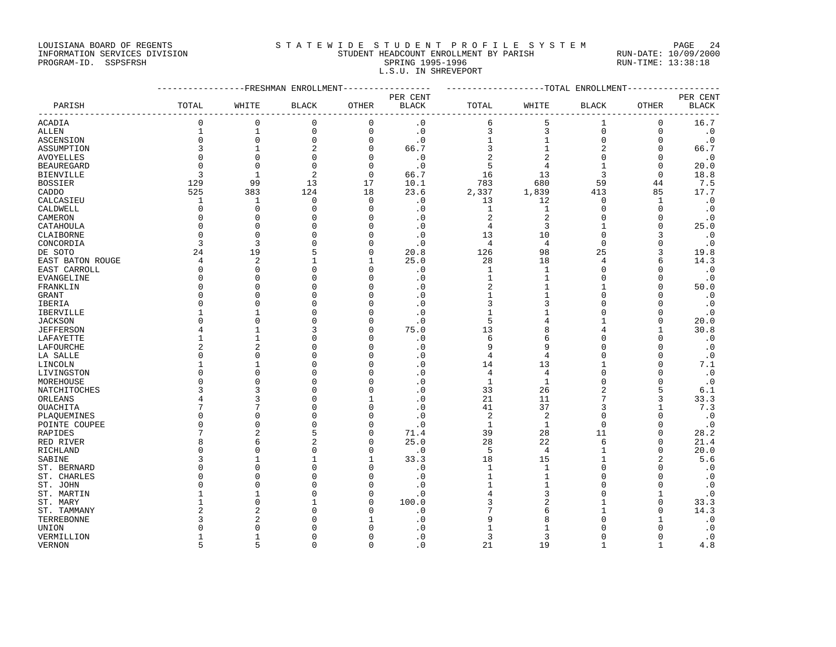LOUISIANA BOARD OF REGENTS STATEWIDE STUDENT PROFILE SYSTEM PAGE 24

## INFORMATION SERVICES DIVISION STUDENT HEADCOUNT ENROLLMENT BY PARISH RUN-DATE: 10/09/2000 PROGRAM-ID. SSPSFRSH SPRING 1995-1996 SPRING 1995-1996 RUN-TIME: 13:38:18 L.S.U. IN SHREVEPORT

|                   |                |                | ------------FRESHMAN ENROLLMENT----------------- |              |              | ------------------TOTAL ENROLLMENT-------------- |                  |                |              |              |
|-------------------|----------------|----------------|--------------------------------------------------|--------------|--------------|--------------------------------------------------|------------------|----------------|--------------|--------------|
|                   |                |                |                                                  |              | PER CENT     |                                                  |                  |                |              | PER CENT     |
| PARISH            | TOTAL          | WHITE          | <b>BLACK</b>                                     | OTHER        | <b>BLACK</b> | TOTAL                                            | WHITE            | <b>BLACK</b>   | OTHER        | <b>BLACK</b> |
| <b>ACADIA</b>     | $\mathbf 0$    | $\mathbf 0$    | $\mathbf 0$                                      | $\mathbf 0$  | $\cdot$ 0    | 6                                                | 5                | 1              | $\mathbf 0$  | 16.7         |
| ALLEN             | $\mathbf 1$    | $1\,$          | $\mathsf 0$                                      | $\mathbf 0$  | $\cdot$ 0    | 3                                                | 3                | $\mathbf 0$    | $\mathbf 0$  | $\cdot$ 0    |
| ASCENSION         | $\mathbf 0$    | $\mathbf 0$    | $\mathsf 0$                                      | $\mathbf 0$  | $\cdot$ 0    | $1\,$                                            | $\mathbf{1}$     | $\mathsf 0$    | $\mathbf 0$  | $\cdot$ 0    |
| ASSUMPTION        | 3              |                | $\sqrt{2}$                                       | $\mathbf 0$  | 66.7         | 3                                                | $\mathbf{1}$     | $\sqrt{2}$     | 0            | 66.7         |
| AVOYELLES         | $\Omega$       | $\mathbf 0$    | $\mathbf 0$                                      | $\Omega$     | $\cdot$ 0    | $\overline{2}$                                   | 2                | $\mathbf 0$    | $\Omega$     | $\cdot$ 0    |
| <b>BEAUREGARD</b> | $\Omega$       | $\Omega$       | $\Omega$                                         | $\Omega$     | $\cdot$ 0    | 5                                                | $\overline{4}$   | 1              | $\Omega$     | 20.0         |
| <b>BIENVILLE</b>  | 3              | $\mathbf{1}$   | $\overline{2}$                                   | 0            | 66.7         | 16                                               | 13               | 3              | $\mathbf 0$  | 18.8         |
| <b>BOSSIER</b>    | 129            | 99             | 13                                               | 17           | 10.1         | 783                                              | 680              | 59             | 44           | 7.5          |
| CADDO             | 525            | 383            | 124                                              | 18           | 23.6         | 2,337                                            | 1,839            | 413            | 85           | 17.7         |
| CALCASIEU         | 1              | -1             | 0                                                | $\mathbf 0$  | $\cdot$ 0    | 13                                               | 12               | 0              | 1            | $\cdot$ 0    |
| CALDWELL          | 0              | $\Omega$       | $\Omega$                                         | O            | $\cdot$ 0    | $\mathbf{1}$                                     | 1                | $\Omega$       | $\Omega$     | $\cdot$ 0    |
| CAMERON           | $\Omega$       | $\mathbf 0$    | $\mathbf 0$                                      | 0            | $\cdot$ 0    | $\sqrt{2}$                                       | $\boldsymbol{2}$ | 0              | 0            | $\cdot$ 0    |
| CATAHOULA         | $\Omega$       | $\Omega$       | $\Omega$                                         | O            | $\cdot$ 0    | 4                                                | 3                | $\mathbf{1}$   | $\Omega$     | 25.0         |
| CLAIBORNE         | 0              | $\Omega$       | 0                                                | O            | $\cdot$ 0    | 13                                               | 10               | $\Omega$       |              | $\cdot$ 0    |
| CONCORDIA         | 3              | 3              | $\mathbf 0$                                      | O            | $\cdot$ 0    | $\overline{4}$                                   | 4                | $\mathbf 0$    |              | $\cdot$ 0    |
| DE SOTO           | 24             | 19             | 5                                                | $\Omega$     | 20.8         | 126                                              | 98               | 25             | 3            | 19.8         |
| EAST BATON ROUGE  | 4              | $\overline{2}$ | $\mathbf{1}$                                     | 1            | 25.0         | 28                                               | 18               | $\overline{4}$ | 6            | 14.3         |
| EAST CARROLL      | $\mathbf{0}$   | $\Omega$       | $\Omega$                                         | O            | $\cdot$ 0    | $\mathbf{1}$                                     | 1                | $\Omega$       | $\Omega$     | $\cdot$ 0    |
| EVANGELINE        | $\Omega$       | $\Omega$       | $\mathbf 0$                                      | $\Omega$     | $\cdot$ 0    | $\mathbf{1}$                                     | $\mathbf{1}$     | $\Omega$       | $\Omega$     | $\cdot$ 0    |
| FRANKLIN          | $\Omega$       | $\Omega$       | 0                                                | O            | . 0          | $\overline{2}$                                   | -1               | 1              | U            | 50.0         |
| GRANT             | $\Omega$       | $\Omega$       | $\Omega$                                         | O            | $\cdot$ 0    | 1                                                | -1               | $\Omega$       | <sup>n</sup> | $\cdot$ 0    |
| IBERIA            | $\Omega$       | $\Omega$       | $\mathbf 0$                                      | 0            | $\cdot$ 0    | 3                                                | 3                | $\Omega$       | $\Omega$     | $\cdot$ 0    |
| IBERVILLE         |                |                | $\mathbf 0$                                      | 0            | $\cdot$ 0    | 1                                                |                  | $\Omega$       | 0            | $\cdot$ 0    |
| <b>JACKSON</b>    | $\Omega$       | $\Omega$       | $\Omega$                                         | $\Omega$     | $\cdot$ 0    | 5                                                | 4                | $\mathbf{1}$   | $\Omega$     | 20.0         |
| <b>JEFFERSON</b>  | 4              |                | 3                                                | O            | 75.0         | 13                                               | 8                | 4              | $\mathbf{1}$ | 30.8         |
| LAFAYETTE         | 1              |                | $\mathbf 0$                                      | O            | $\cdot$ 0    | 6                                                | 6                | $\Omega$       | $\Omega$     | $\cdot$ 0    |
| LAFOURCHE         | $\overline{c}$ | $\overline{a}$ | $\Omega$                                         | $\Omega$     | $\cdot$ 0    | 9                                                | 9                | $\Omega$       | $\Omega$     | $\cdot$ 0    |
| LA SALLE          | $\Omega$       | $\Omega$       | $\mathbf 0$                                      | O            | $\cdot$ 0    | $\overline{4}$                                   | $\overline{4}$   | $\Omega$       | 0            | $\cdot$ 0    |
| LINCOLN           |                |                | $\mathbf 0$                                      | O            | $\cdot$ 0    | 14                                               | 13               | 1              | $\Omega$     | 7.1          |
| LIVINGSTON        | $\Omega$       | $\Omega$       | 0                                                | O            | $\cdot$ 0    | 4                                                | 4                | $\Omega$       | $\Omega$     | $\cdot$ 0    |
| MOREHOUSE         | $\Omega$       | $\Omega$       | $\mathbf 0$                                      | O            | $\cdot$ 0    | $\mathbf{1}$                                     | 1                | $\Omega$       | 0            | $\cdot$ 0    |
| NATCHITOCHES      | 3              | 3              | $\Omega$                                         | O            | $\cdot$ 0    | 33                                               | 26               | $\overline{2}$ | 5            | 6.1          |
| ORLEANS           |                | 3              | $\mathbf 0$                                      |              | $\cdot$ 0    | 21                                               | 11               | 7              | 3            | 33.3         |
| OUACHITA          |                | 7              | $\mathbf 0$                                      | 0            | $\cdot$ 0    | 41                                               | 37               | 3              | $\mathbf{1}$ | 7.3          |
| PLAQUEMINES       | $\Omega$       | $\Omega$       | $\Omega$                                         | O            | $\cdot$ 0    | 2                                                | 2                | $\Omega$       | <sup>0</sup> | $\cdot$ 0    |
| POINTE COUPEE     | $\Omega$       | $\Omega$       | $\mathbf 0$                                      | O            | $\cdot$ 0    | $\mathbf{1}$                                     | $\mathbf{1}$     | $\mathbf 0$    | $\Omega$     | $\cdot$ 0    |
| RAPIDES           | 7              | $\overline{2}$ | 5                                                | $\Omega$     | 71.4         | 39                                               | 28               | 11             | 0            | 28.2         |
| RED RIVER         | 8              | 6              | $\overline{a}$                                   | 0            | 25.0         | 28                                               | 22               | 6              | $\Omega$     | 21.4         |
| RICHLAND          | $\Omega$       | $\Omega$       | $\mathbf 0$                                      | 0            | $\cdot$ 0    | 5                                                | $\overline{4}$   | 1              | 0            | 20.0         |
| SABINE            | ζ              |                | 1                                                | $\mathbf{1}$ | 33.3         | 18                                               | 15               | $\mathbf{1}$   |              | 5.6          |
| ST. BERNARD       | $\Omega$       | $\Omega$       | $\Omega$                                         | $\Omega$     | $\cdot$ 0    | $\mathbf{1}$                                     | 1                | $\Omega$       | $\Omega$     | $\cdot$ 0    |
| ST. CHARLES       | $\Omega$       | $\Omega$       | $\Omega$                                         | $\Omega$     | $\cdot$ 0    | $\mathbf{1}$                                     | 1                | $\Omega$       | $\Omega$     | $\cdot$ 0    |
| ST. JOHN          | $\Omega$       | $\Omega$       | $\mathbf 0$                                      | 0            | $\cdot$ 0    | 1                                                | 1                | $\Omega$       | $\Omega$     | $\cdot$ 0    |
| ST. MARTIN        |                |                | $\mathbf 0$                                      | $\Omega$     | $\cdot$ 0    | 4                                                | 3                | $\Omega$       | $\mathbf{1}$ | $\cdot$ 0    |
| ST. MARY          |                | $\Omega$       | $\mathbf{1}$                                     | $\Omega$     | 100.0        |                                                  | $\overline{2}$   |                | $\mathbf 0$  | 33.3         |
| ST. TAMMANY       |                | 2              | $\Omega$                                         | Ω            | $\cdot$ 0    |                                                  | 6                | 1              | $\Omega$     | 14.3         |
| TERREBONNE        | 3              | 2              | $\Omega$                                         |              | $\cdot$ 0    | 9                                                | 8                | $\Omega$       | 1            | $\cdot$ 0    |
| UNION             | $\Omega$       | $\mathbf 0$    | 0                                                | O            | $\cdot$ 0    | 1                                                |                  | $\Omega$       | 0            | $\cdot$ 0    |
| VERMILLION        | $\mathbf{1}$   | $\mathbf{1}$   | $\Omega$                                         | $\Omega$     | $\cdot$ 0    | 3                                                | 3                | $\Omega$       | $\Omega$     | $\cdot$ 0    |

VERNON 5 5 0 0 .0 21 19 1 1 4.8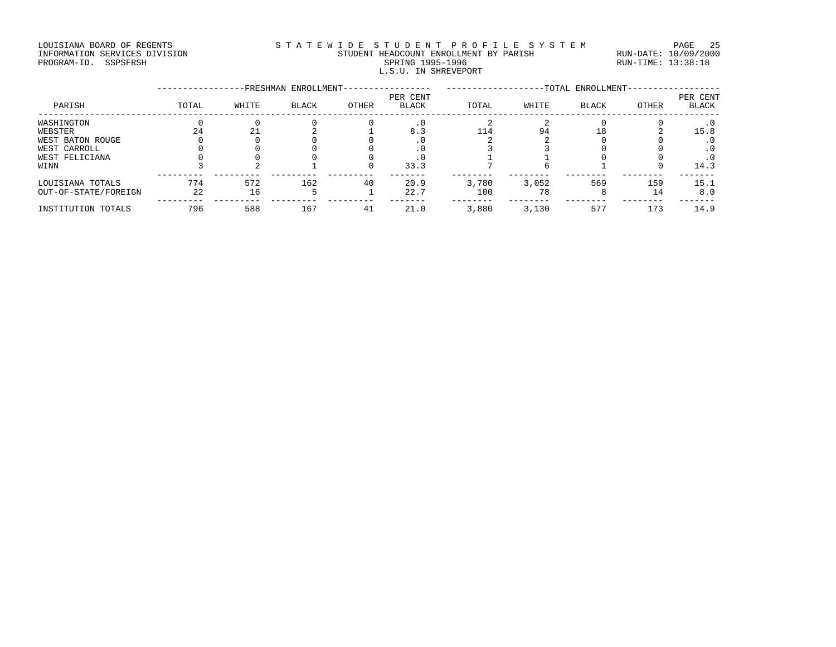### LOUISIANA BOARD OF REGENTS S T A T E W I D E S T U D E N T P R O F I L E S Y S T E M PAGE 25 INFORMATION SERVICES DIVISION STUDENT HEADCOUNT ENROLLMENT BY PARISH RUN-DATE: 10/09/2000 PROGRAM-ID. SSPSFRSH SPRING 1995-1996 SPRING 1995-1996 RUN-TIME: 13:38:18 L.S.U. IN SHREVEPORT

|                      |       |       | -FRESHMAN ENROLLMENT- |       |                          |       |       | -TOTAL ENROLLMENT- |              |                          |
|----------------------|-------|-------|-----------------------|-------|--------------------------|-------|-------|--------------------|--------------|--------------------------|
| PARISH               | TOTAL | WHITE | <b>BLACK</b>          | OTHER | PER CENT<br><b>BLACK</b> | TOTAL | WHITE | <b>BLACK</b>       | <b>OTHER</b> | PER CENT<br><b>BLACK</b> |
| WASHINGTON           |       |       |                       |       | . 0                      |       |       |                    |              | . 0                      |
| WEBSTER              | 2.4   | 21    |                       |       | 8.3                      | 114   | 94    | 18                 |              | 15.8                     |
| WEST BATON ROUGE     |       |       |                       |       |                          |       |       |                    |              | $\cdot$ 0                |
| WEST CARROLL         |       |       |                       |       |                          |       |       |                    |              |                          |
| WEST FELICIANA       |       |       |                       |       |                          |       |       |                    |              | . 0                      |
| WINN                 |       |       |                       |       | 33.3                     |       |       |                    |              | 14.3                     |
| LOUISIANA TOTALS     | 774   | 572   | 162                   | 40    | 20.9                     | 3,780 | 3,052 | 569                | 159          | 15.1                     |
| OUT-OF-STATE/FOREIGN | 22    | 16    |                       |       | 22.7                     | 100   | 78    |                    | 14           | 8.0                      |
| INSTITUTION TOTALS   | 796   | 588   | 167                   | 41    | 21.0                     | 3,880 | 3,130 | 577                | 173          | 14.9                     |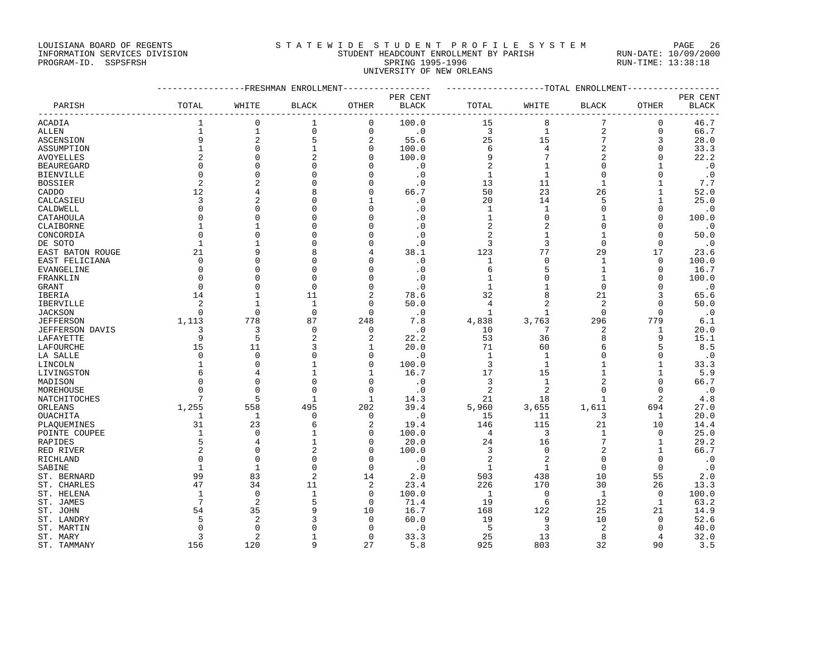## LOUISIANA BOARD OF REGENTS STATEWIDE STUDENT PROFILE SYSTEM PAGE 26 INFORMATION SERVICES DIVISION STUDENT HEADCOUNT ENROLLMENT BY PARISH RUN-DATE: 10/09/2000 PROGRAM-ID. SSPSFRSH SPRING 1995-1996 SPRING 1995-1996 RUN-TIME: 13:38:18 UNIVERSITY OF NEW ORLEANS

|                        |                | ------------FRESHMAN ENROLLMENT----------------- |                                |                      |               | ------------------TOTAL ENROLLMENT---------------- |                |                     |                              |                   |
|------------------------|----------------|--------------------------------------------------|--------------------------------|----------------------|---------------|----------------------------------------------------|----------------|---------------------|------------------------------|-------------------|
|                        |                |                                                  |                                |                      | PER CENT      |                                                    |                |                     |                              | PER CENT          |
| PARISH                 | TOTAL          | WHITE                                            | <b>BLACK</b>                   | OTHER                | BLACK         | TOTAL                                              | WHITE          | BLACK               | OTHER                        | <b>BLACK</b>      |
| <b>ACADIA</b>          | 1              | $\mathbf 0$                                      | 1                              | 0                    | 100.0         | 15                                                 | 8              | 7                   | 0                            | 46.7              |
| ALLEN                  | $\mathbf{1}$   | $\mathbf 1$                                      | $\mathbf{0}$                   | $\mathbf 0$          | $\cdot$ 0     | 3                                                  | $\mathbf{1}$   | $\sqrt{2}$          | $\mathbf 0$                  | 66.7              |
| ASCENSION              | 9              | $\overline{2}$                                   | 5                              | 2                    | 55.6          | 25                                                 | 15             | 7                   | 3                            | 28.0              |
| ASSUMPTION             | $\overline{1}$ | $\mathbf{0}$                                     | $\mathbf{1}$                   | 0                    | 100.0         | 6                                                  | 4              | $\overline{2}$      | 0                            | 33.3              |
| AVOYELLES              |                | $\Omega$                                         | $\overline{2}$                 | $\Omega$             | 100.0         | 9                                                  | 7              | $\overline{2}$      | $\Omega$                     | 22.2              |
| <b>BEAUREGARD</b>      | $\Omega$       | $\Omega$                                         | $\mathbf 0$                    | O                    | $\cdot$ 0     | 2                                                  | $\mathbf{1}$   | $\mathsf 0$         | $\mathbf{1}$                 | $\cdot$ 0         |
| <b>BIENVILLE</b>       | $\Omega$       | $\Omega$                                         | $\Omega$                       | $\Omega$             | $\cdot$ 0     | $\mathbf{1}$                                       | $\mathbf{1}$   | $\Omega$            | $\Omega$                     | $\cdot$ 0         |
| <b>BOSSIER</b>         | $\overline{c}$ | $\overline{a}$                                   | $\mathbf{0}$                   | $\Omega$             | $\cdot$ 0     | 13                                                 | 11             | $\mathbf 1$         | $\mathbf{1}$                 | 7.7               |
| CADDO                  | 12             | 4                                                | 8                              | $\mathbf 0$          | 66.7          | 50                                                 | 23             | 26                  | $\mathbf{1}$                 | 52.0              |
| CALCASIEU              | $\overline{3}$ | $\overline{a}$                                   | $\Omega$                       | $\mathbf{1}$         | $\cdot$ 0     | 20                                                 | 14             | 5                   | $\mathbf{1}$                 | 25.0              |
| CALDWELL               | $\Omega$       | $\cap$                                           | $\mathbf{0}$                   | 0                    | $\cdot$ 0     | 1                                                  | 1              | $\mathbf 0$         | $\mathbf 0$                  | $\cdot$ 0         |
| CATAHOULA              | $\Omega$       | $\cap$                                           | $\Omega$                       | O                    | $\cdot$ 0     | $\mathbf{1}$                                       | $\Omega$       | $\mathbf{1}$        | $\Omega$                     | 100.0             |
| CLAIBORNE              |                |                                                  | $\mathbf 0$                    | O                    | $\cdot$ 0     | $\overline{2}$                                     | 2              | $\mathbf 0$         | $\Omega$                     | $\cdot$ 0         |
| CONCORDIA              | $\Omega$       | $\cap$                                           | $\Omega$                       |                      | $\cdot$ 0     | 2                                                  | -1             | 1                   | $\bigcap$                    | 50.0              |
| DE SOTO                | $\mathbf{1}$   |                                                  | $\mathbf 0$                    | O                    | $\cdot$ 0     | 3                                                  | 3              | $\mathbf 0$         | $\Omega$                     | $\cdot$ 0         |
| EAST BATON ROUGE       | 21             | q                                                | 8                              | 4                    | 38.1          | 123                                                | 77             | 29                  | 17                           | 23.6              |
| EAST FELICIANA         | $\mathbf 0$    | $\Omega$                                         | $\Omega$                       | O                    | $\cdot$ 0     | 1                                                  | $\mathbf{0}$   | $\mathbf{1}$        | $\mathbf 0$                  | 100.0             |
| EVANGELINE             | $\Omega$       | $\cap$                                           | $\Omega$                       | O                    | $\cdot$ 0     | 6                                                  | 5              | $\mathbf 1$         | $\Omega$                     | 16.7              |
| FRANKLIN               | $\Omega$       | $\Omega$                                         | $\Omega$                       | $\Omega$             | $\cdot$ 0     | $\mathbf{1}$                                       | $\mathbf{0}$   | $\mathbf 1$         | $\mathbf 0$                  | 100.0             |
| <b>GRANT</b>           | $\Omega$       | $\cap$                                           | $\Omega$                       | $\mathbf 0$          | $\cdot$ 0     | $\mathbf{1}$                                       |                | $\mathbf 0$         | $\Omega$                     | $\cdot$ 0         |
| IBERIA                 | 14             | $\mathbf{1}$                                     | 11                             | $\overline{a}$       | 78.6          | 32                                                 | 8              | 21                  | 3                            | 65.6              |
| IBERVILLE              | 2              | 1                                                | 1                              | 0                    | 50.0          | 4                                                  | $\overline{2}$ | 2                   | 0                            | 50.0              |
| <b>JACKSON</b>         | $\Omega$       | $\Omega$                                         | $\Omega$                       | $\Omega$             | $\cdot$ 0     | $\mathbf{1}$                                       | $\mathbf{1}$   | $\Omega$            | $\Omega$                     | $\cdot$ 0         |
| <b>JEFFERSON</b>       | 1,113          | 778                                              | 87                             | 248                  | 7.8           | 4,838                                              | 3,763          | 296                 | 779                          | 6.1               |
| <b>JEFFERSON DAVIS</b> | 3              | 3                                                | $\Omega$                       | $\Omega$             | $\cdot$ 0     | 10                                                 | 7              | 2                   | $\mathbf{1}$                 | 20.0              |
| LAFAYETTE              | 9              | 5                                                | $\overline{2}$                 | 2                    | 22.2          | 53                                                 | 36             | 8                   | 9                            | 15.1              |
| LAFOURCHE              | 15             | 11                                               | 3                              | 1                    | 20.0          | 71                                                 | 60             | 6                   | 5                            | 8.5               |
| LA SALLE               | $\mathbf 0$    | $\mathbf{0}$                                     | $\mathbf 0$                    | $\mathbf{0}$         | $\cdot$ 0     | $\mathbf{1}$                                       | $\mathbf{1}$   | $\mathbf 0$         | $\Omega$                     | $\cdot$ 0         |
| LINCOLN                | $\mathbf{1}$   | $\Omega$                                         | $\mathbf{1}$                   | $\Omega$             | 100.0         | 3                                                  | $\mathbf{1}$   | 1                   | 1                            | 33.3              |
| LIVINGSTON             | 6              | 4                                                | $\mathbf{1}$                   | $\mathbf{1}$         | 16.7          | 17                                                 | 15             | $\mathbf{1}$        | $\mathbf{1}$                 | 5.9               |
| MADISON                | $\cap$         | $\Omega$                                         | $\mathbf{0}$                   | $\Omega$             | $\cdot$ 0     | 3                                                  | $\mathbf{1}$   | $\overline{a}$      | $\Omega$                     | 66.7              |
| MOREHOUSE              | $\Omega$       | $\Omega$                                         | $\Omega$                       | $\Omega$             | $\cdot$ 0     | 2                                                  | $\mathbf{2}$   | $\mathbf 0$         | $\Omega$                     | $\cdot$ 0         |
| NATCHITOCHES           | 7              | 5                                                | $\mathbf{1}$                   | -1                   | 14.3          | 21                                                 | 18             | $\mathbf{1}$        | 2                            | 4.8               |
| ORLEANS                | 1,255          | 558                                              | 495                            | 202                  | 39.4          | 5,960                                              | 3,655          | 1,611               | 694                          | 27.0              |
| OUACHITA               | 1              | 1                                                | 0                              | 0                    | $\cdot$ 0     | 15                                                 | 11             | 3                   | 1                            | 20.0              |
| PLAQUEMINES            | 31             | 23                                               | 6                              | 2                    | 19.4          | 146                                                | 115            | 21                  | 10                           | 14.4              |
| POINTE COUPEE          | $\mathbf{1}$   | $\mathbf{0}$                                     | $\mathbf{1}$                   | $\mathbf 0$          | 100.0         | 4                                                  | 3              | $\mathbf{1}$        | $\mathbf 0$                  | 25.0              |
| RAPIDES                | 5<br>2         | 4<br>$\Omega$                                    | $\mathbf{1}$<br>$\overline{a}$ | $\Omega$<br>$\Omega$ | 20.0<br>100.0 | 24<br>3                                            | 16<br>0        | 7<br>$\overline{2}$ | $\mathbf{1}$<br>$\mathbf{1}$ | 29.2              |
| RED RIVER              | $\Omega$       | $\Omega$                                         | $\mathbf 0$                    | $\Omega$             | $\cdot$ 0     | 2                                                  | $\overline{2}$ | 0                   | $\Omega$                     | 66.7<br>$\cdot$ 0 |
| RICHLAND               | $\mathbf{1}$   | $\mathbf{1}$                                     | $\mathbf{0}$                   | $\Omega$             | $\cdot$ 0     | $\mathbf{1}$                                       | $\mathbf{1}$   | $\mathbf 0$         | $\mathbf 0$                  | $\cdot$ 0         |
| SABINE<br>ST. BERNARD  | 99             | 83                                               | $\overline{2}$                 | 14                   | 2.0           | 503                                                | 438            | 10                  | 55                           | 2.0               |
| ST. CHARLES            | 47             | 34                                               | 11                             | 2                    | 23.4          | 226                                                | 170            | 30                  | 26                           | 13.3              |
| ST. HELENA             | $\mathbf{1}$   | $\Omega$                                         | $\mathbf{1}$                   | $\Omega$             | 100.0         | 1                                                  | $\Omega$       | $\mathbf{1}$        | $\Omega$                     | 100.0             |
| ST. JAMES              | 7              | $\overline{2}$                                   | 5                              | 0                    | 71.4          | 19                                                 | 6              | 12                  | 1                            | 63.2              |
| ST. JOHN               | 54             | 35                                               | 9                              | 10                   | 16.7          | 168                                                | 122            | 25                  | 21                           | 14.9              |
| ST. LANDRY             | 5              | $\overline{2}$                                   | 3                              | $\Omega$             | 60.0          | 19                                                 | 9              | 10                  | $\Omega$                     | 52.6              |
| ST. MARTIN             | ∩              | $\Omega$                                         | $\Omega$                       | $\Omega$             | $\cdot$ 0     | 5                                                  | 3              | 2                   | $\Omega$                     | 40.0              |
| ST. MARY               | 3              | $\overline{2}$                                   | 1                              | $\Omega$             | 33.3          | 25                                                 | 13             | 8                   | 4                            | 32.0              |
| ST. TAMMANY            | 156            | 120                                              | 9                              | 27                   | 5.8           | 925                                                | 803            | 32                  | 90                           | 3.5               |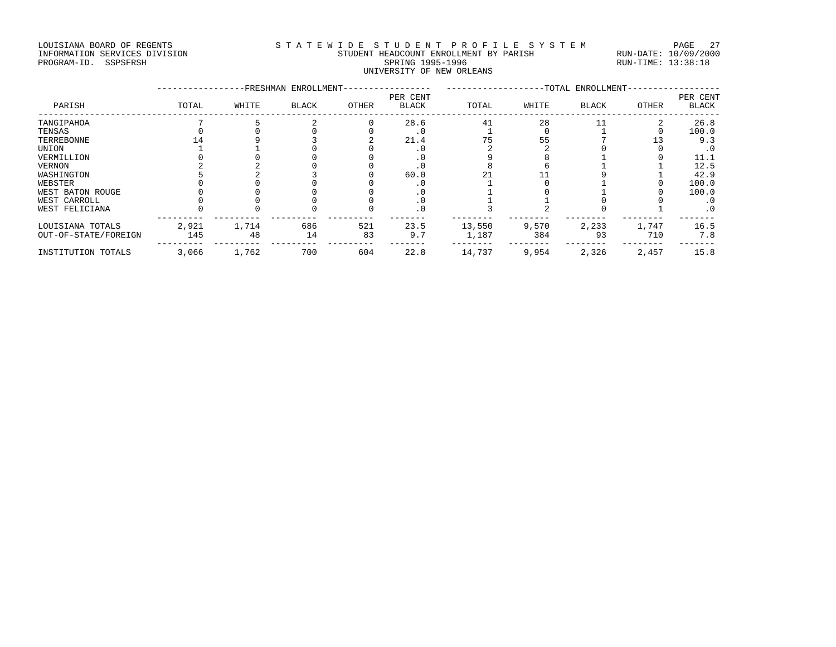### LOUISIANA BOARD OF REGENTS STATEWIDE STUDENT PROFILE SYSTEM PAGE 27 INFORMATION SERVICES DIVISION STUDENT HEADCOUNT ENROLLMENT BY PARISH RUN-DATE: 10/09/2000 PROGRAM-ID. SSPSFRSH SPRING 1995-1996 SPRING 1995-1996 RUN-TIME: 13:38:18 UNIVERSITY OF NEW ORLEANS

|                      |       | <b>FRESHMAN</b> | ENROLLMENT-  |       |                          | -TOTAL ENROLLMENT- |       |              |       |                   |
|----------------------|-------|-----------------|--------------|-------|--------------------------|--------------------|-------|--------------|-------|-------------------|
| PARISH               | TOTAL | WHITE           | <b>BLACK</b> | OTHER | PER CENT<br><b>BLACK</b> | TOTAL              | WHITE | <b>BLACK</b> | OTHER | PER CENT<br>BLACK |
| TANGIPAHOA           |       |                 |              |       | 28.6                     | 41                 | 28    |              |       | 26.8              |
| TENSAS               |       |                 |              |       | . 0                      |                    |       |              |       | 100.0             |
| TERREBONNE           |       |                 |              |       | 21.4                     |                    | 55    |              |       | 9.3               |
| UNION                |       |                 |              |       |                          |                    |       |              |       | . 0               |
| VERMILLION           |       |                 |              |       | . 0                      |                    |       |              |       | 11.1              |
| <b>VERNON</b>        |       |                 |              |       |                          |                    |       |              |       | 12.5              |
| WASHINGTON           |       |                 |              |       | 60.0                     |                    |       |              |       | 42.9              |
| WEBSTER              |       |                 |              |       |                          |                    |       |              |       | 100.0             |
| WEST BATON ROUGE     |       |                 |              |       |                          |                    |       |              |       | 100.0             |
| WEST CARROLL         |       |                 |              |       |                          |                    |       |              |       | . 0               |
| WEST FELICIANA       |       |                 |              |       | . 0                      |                    |       |              |       | $\cdot$ 0         |
| LOUISIANA TOTALS     | 2,921 | 1,714           | 686          | 521   | 23.5                     | 13,550             | 9,570 | 2,233        | 1,747 | 16.5              |
| OUT-OF-STATE/FOREIGN | 145   | 48              | 14           | 83    | 9.7                      | 1,187              | 384   | 93           | 710   | 7.8               |
| INSTITUTION TOTALS   | 3,066 | 1,762           | 700          | 604   | 22.8                     | 14,737             | 9,954 | 2,326        | 2,457 | 15.8              |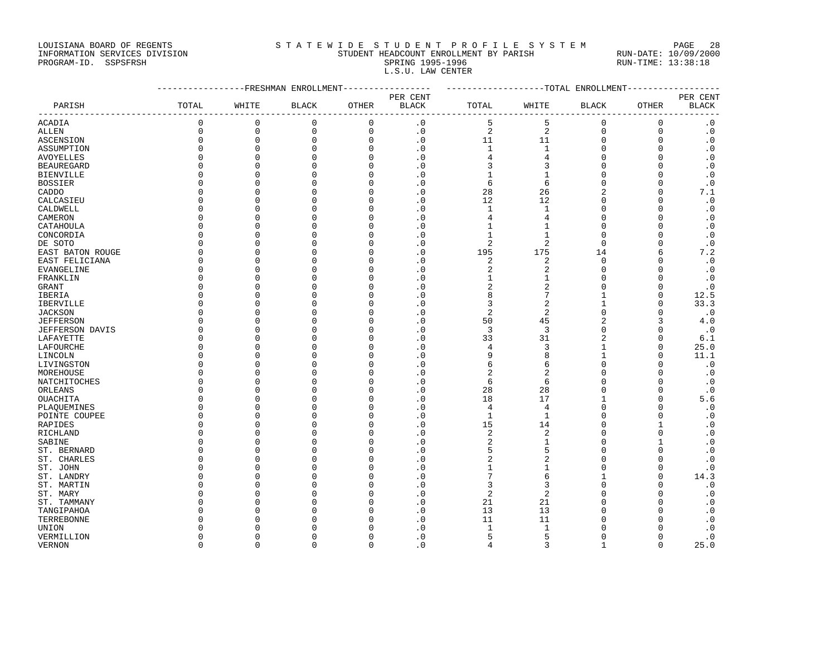LOUISIANA BOARD OF REGENTS STATEWIDE STUDENT PROFILE SYSTEM PAGE 28

## INFORMATION SERVICES DIVISION STUDENT HEADCOUNT ENROLLMENT BY PARISH RUN-DATE: 10/09/2000 PROGRAM-ID. SSPSFRSH SPRING 1995-1996 SPRING 1995-1996 RUN-TIME: 13:38:18 L.S.U. LAW CENTER

|                        |              |             | ------------FRESHMAN ENROLLMENT |             | -------------------TOTAL ENROLLMENT- |                  |                     |              |              |              |
|------------------------|--------------|-------------|---------------------------------|-------------|--------------------------------------|------------------|---------------------|--------------|--------------|--------------|
|                        |              |             |                                 |             | PER CENT                             |                  |                     |              |              | PER CENT     |
| PARISH                 | TOTAL        | WHITE       | <b>BLACK</b>                    | OTHER       | <b>BLACK</b><br>$---$                | TOTAL<br>$- - -$ | WHITE               | <b>BLACK</b> | OTHER        | <b>BLACK</b> |
| ACADIA                 | $\mathbf 0$  | $\mathbf 0$ | $\mathbf 0$                     | $\mathbf 0$ | $\cdot$ 0                            | 5                | 5                   | 0            | 0            | $\cdot$ 0    |
| ALLEN                  | $\mathsf 0$  | $\mathbf 0$ | $\mathbf 0$                     | $\mathsf 0$ | $\cdot$ 0                            | $\overline{2}$   | $\overline{2}$      | 0            | 0            | $\cdot$ 0    |
| <b>ASCENSION</b>       | $\mathbf 0$  | $\mathbf 0$ | $\mathsf 0$                     | $\Omega$    | $\cdot$ 0                            | 11               | 11                  | 0            | 0            | $\cdot$ 0    |
| ASSUMPTION             | $\Omega$     | $\Omega$    | $\Omega$                        | $\Omega$    | $\cdot$ 0                            | $\mathbf 1$      | $1\,$               | $\Omega$     | 0            | $\cdot$ 0    |
| AVOYELLES              | $\Omega$     | $\Omega$    | $\Omega$                        | ∩           | $\cdot$ 0                            | 4                | 4                   | $\Omega$     | 0            | $\cdot$ 0    |
| <b>BEAUREGARD</b>      | $\Omega$     | $\Omega$    | $\Omega$                        | ∩           | $\cdot$ 0                            | 3                | 3                   | $\Omega$     | $\Omega$     | $\cdot$ 0    |
| <b>BIENVILLE</b>       | $\Omega$     | $\Omega$    | $\Omega$                        | ∩           | $\cdot$ 0                            |                  | $\mathbf{1}$        | $\Omega$     | $\Omega$     | $\cdot$ 0    |
| <b>BOSSIER</b>         | $\Omega$     | $\Omega$    | $\Omega$                        | O           | $\cdot$ 0                            | 6                | 6                   | $\Omega$     | 0            | $\cdot$ 0    |
| CADDO                  | $\Omega$     | $\Omega$    | $\Omega$                        | O           | $\cdot$ 0                            | 28               | 26                  | 2            | 0            | 7.1          |
| CALCASIEU              | $\Omega$     | $\Omega$    | $\Omega$                        | $\Omega$    | $\cdot$ 0                            | 12               | 12                  | $\Omega$     | 0            | $\cdot$ 0    |
| CALDWELL               | $\Omega$     | $\Omega$    | $\Omega$                        | ∩           | $\cdot$ 0                            | $\mathbf{1}$     | $\mathbf{1}$        | $\Omega$     | $\Omega$     | $\cdot$ 0    |
| CAMERON                | $\Omega$     | $\cap$      | $\Omega$                        | n           | $\cdot$ 0                            | 4                | 4                   | $\Omega$     | $\Omega$     | $\cdot$ 0    |
| CATAHOULA              | $\Omega$     | $\Omega$    | $\Omega$                        | ∩           | $\cdot$ 0                            | 1                | $\mathbf{1}$        | $\Omega$     | $\Omega$     | $\cdot$ 0    |
| CONCORDIA              | $\Omega$     | $\Omega$    | $\Omega$                        | ∩           | $\cdot$ 0                            | 1                | $\mathbf{1}$        | $\Omega$     | $\Omega$     | $\cdot$ 0    |
| DE SOTO                | $\Omega$     | $\Omega$    | $\Omega$                        | $\Omega$    | $\cdot$ 0                            | $\overline{2}$   | $\overline{2}$      | $\Omega$     | 0            | $\cdot$ 0    |
| EAST BATON ROUGE       | $\Omega$     | $\Omega$    | $\Omega$                        | $\Omega$    | $\cdot$ 0                            | 195              | 175                 | 14           | 6            | 7.2          |
| EAST FELICIANA         | $\Omega$     | $\Omega$    | $\Omega$                        | ∩           | $\cdot$ 0                            | 2                | $\overline{c}$      | 0            | $\Omega$     | $\cdot$ 0    |
| EVANGELINE             | $\mathbf 0$  | $\Omega$    | $\Omega$                        | O           | $\cdot$ 0                            | 2                | $\overline{2}$      | $\Omega$     | $\Omega$     | $\cdot$ 0    |
| FRANKLIN               | $\Omega$     | $\Omega$    | $\Omega$                        | ∩           | $\cdot$ 0                            | 1                | $1\,$               | $\Omega$     | 0            | $\cdot$ 0    |
| GRANT                  | $\Omega$     | $\Omega$    | $\Omega$                        |             | $\cdot$ 0                            | 2                | 2                   | $\Omega$     | 0            | $\cdot$ 0    |
| IBERIA                 | $\Omega$     | $\Omega$    | $\Omega$                        | O           | $\cdot$ 0                            | 8                | 7                   |              | $\Omega$     | 12.5         |
| IBERVILLE              | $\Omega$     | $\Omega$    | $\Omega$                        | ∩           | $\cdot$ 0                            | 3                | $\overline{c}$      | 1            | 0            | 33.3         |
| <b>JACKSON</b>         | $\Omega$     | $\Omega$    | $\Omega$                        | ∩           | $\cdot$ 0                            | $\sqrt{2}$       | $\overline{c}$      | $\Omega$     | $\Omega$     | $\cdot$ 0    |
| <b>JEFFERSON</b>       | $\Omega$     | $\Omega$    | $\Omega$                        | $\Omega$    | $\cdot$ 0                            | 50               | 45                  | 2            | 3            | 4.0          |
|                        | $\Omega$     | $\Omega$    | $\Omega$                        | O           | $\cdot$ 0                            | 3                | 3                   | $\Omega$     | 0            | $\cdot$ 0    |
| JEFFERSON DAVIS        | $\Omega$     | $\Omega$    | $\Omega$                        | ∩           | $\cdot$ 0                            | 33               | 31                  | 2            | 0            | 6.1          |
| LAFAYETTE<br>LAFOURCHE | $\Omega$     | $\Omega$    | $\Omega$                        | ∩           | $\cdot$ 0                            | 4                | 3                   | $\mathbf{1}$ | 0            | 25.0         |
|                        | $\Omega$     | $\Omega$    | $\Omega$                        | ∩           | $\cdot$ 0                            | 9                | 8                   | 1            | 0            | 11.1         |
| LINCOLN                | $\Omega$     | $\Omega$    | $\Omega$                        |             |                                      |                  |                     | $\Omega$     | $\Omega$     |              |
| LIVINGSTON             | $\Omega$     | $\Omega$    | $\Omega$                        | O           | $\cdot$ 0                            | 6                | 6<br>$\overline{2}$ | $\Omega$     |              | $\cdot$ 0    |
| MOREHOUSE              | $\Omega$     | $\Omega$    |                                 | ∩           | $\cdot$ 0                            | 2                |                     | O            | 0            | $\cdot$ 0    |
| NATCHITOCHES           | $\Omega$     | $\Omega$    | $\Omega$<br>$\Omega$            | ∩           | $\cdot$ 0                            | 6                | 6                   | $\Omega$     | 0            | $\cdot$ 0    |
| ORLEANS                |              |             |                                 |             | $\cdot$ 0                            | 28               | 28                  |              | 0            | $\cdot$ 0    |
| OUACHITA               | $\Omega$     | $\Omega$    | $\Omega$                        | ∩           | $\cdot$ 0                            | 18               | 17                  | 1            | $\Omega$     | 5.6          |
| PLAOUEMINES            | $\Omega$     | $\cap$      | $\Omega$                        | ∩           | $\cdot$ 0                            | 4                | 4                   | $\Omega$     | 0            | $\cdot$ 0    |
| POINTE COUPEE          | $\mathbf 0$  | $\Omega$    | $\Omega$                        | O           | $\cdot$ 0                            | $\mathbf 1$      | $\mathbf{1}$        | $\Omega$     | $\Omega$     | $\cdot$ 0    |
| RAPIDES                | $\Omega$     | $\Omega$    | $\Omega$                        | O           | $\cdot$ 0                            | 15               | 14                  | $\Omega$     | $\mathbf{1}$ | $\cdot$ 0    |
| RICHLAND               | $\Omega$     | $\Omega$    | $\Omega$                        | ∩           | $\cdot$ 0                            | $\sqrt{2}$       | $\overline{a}$      | $\Omega$     | 0            | $\cdot$ 0    |
| SABINE                 | $\Omega$     | $\Omega$    | $\Omega$                        | ∩           | $\cdot$ 0                            | 2                | $\mathbf{1}$        | $\Omega$     | $\mathbf{1}$ | $\cdot$ 0    |
| ST. BERNARD            | $\Omega$     | $\cap$      | $\Omega$                        | ∩           | $\cdot$ 0                            | 5                | 5                   | U            | 0            | $\cdot$ 0    |
| ST. CHARLES            | $\Omega$     | $\Omega$    | $\Omega$                        | ∩           | $\cdot$ 0                            | 2                | $\overline{2}$      | $\cap$       | $\Omega$     | $\cdot$ 0    |
| ST. JOHN               | $\Omega$     | $\Omega$    | $\Omega$                        | O           | $\cdot$ 0                            | $\mathbf{1}$     | $\mathbf 1$         | $\Omega$     | $\Omega$     | $\cdot$ 0    |
| ST. LANDRY             | $\Omega$     | $\Omega$    | $\Omega$                        | O           | $\cdot$ 0                            | 7                | 6                   | 1            | 0            | 14.3         |
| ST. MARTIN             | $\Omega$     | $\Omega$    | $\Omega$                        | ∩           | $\cdot$ 0                            | 3                | 3                   | $\Omega$     | $\Omega$     | $\cdot$ 0    |
| ST. MARY               | $\Omega$     | $\Omega$    | $\Omega$                        | $\cap$      | $\cdot$ 0                            | 2                | $\overline{2}$      | $\Omega$     | 0            | $\cdot$ 0    |
| ST. TAMMANY            | <sup>0</sup> | $\cap$      | <sup>0</sup>                    |             | $\cdot$ 0                            | 21               | 21                  | U            | $\Omega$     | $\cdot$ 0    |
| TANGIPAHOA             | C            | $\cap$      | $\Omega$                        |             | $\cdot$ 0                            | 13               | 13                  | U            | $\cap$       | $\cdot$ 0    |
| TERREBONNE             | C            | $\Omega$    | $\Omega$                        |             | $\cdot$ 0                            | 11               | 11                  | $\Omega$     | $\Omega$     | $\cdot$ 0    |
| UNION                  | $\Omega$     | $\Omega$    | $\Omega$                        |             | $\cdot$ 0                            | $\mathbf 1$      | $\mathbf{1}$        | $\Omega$     | 0            | $\cdot$ 0    |
| VERMILLION             | $\Omega$     | $\Omega$    | $\Omega$                        | $\Omega$    | $\cdot$ 0                            | 5                | 5                   | $\Omega$     | $\Omega$     | $\cdot$ 0    |

VERNON 0 0 0 0 .0 4 3 1 0 25.0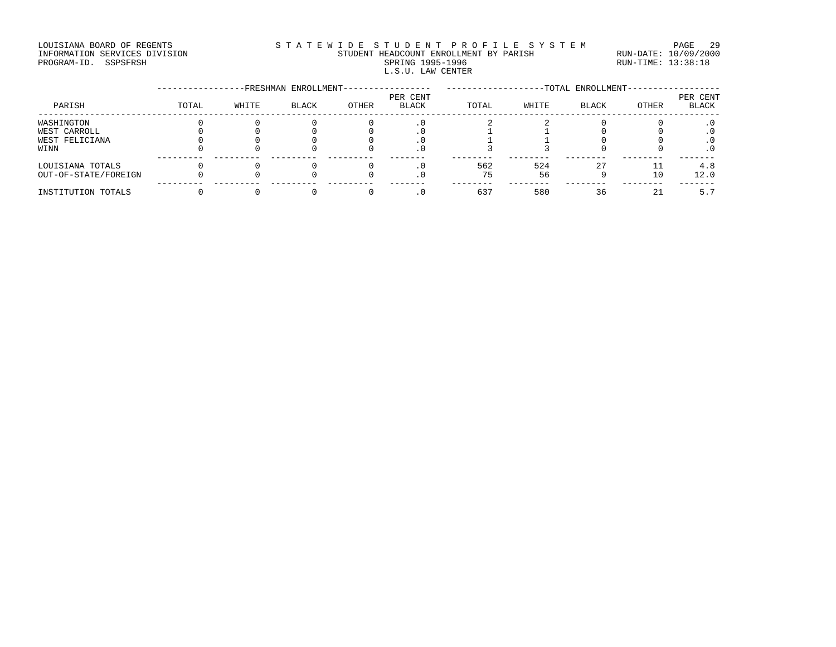### LOUISIANA BOARD OF REGENTS STA TEWIDE STUDENT PROFILE SYSTEM PAGE 29 INFORMATION SERVICES DIVISION STUDENT HEADCOUNT ENROLLMENT BY PARISH RUN-DATE: 10/09/2000 PROGRAM-ID. SSPSFRSH SPRING 1995-1996 SPRING 1995-1996 RUN-TIME: 13:38:18 L.S.U. LAW CENTER

|                      |       |       | -FRESHMAN ENROLLMENT- |       |                   | -TOTAL ENROLLMENT- |       |              |       |                          |  |
|----------------------|-------|-------|-----------------------|-------|-------------------|--------------------|-------|--------------|-------|--------------------------|--|
| PARISH               | TOTAL | WHITE | <b>BLACK</b>          | OTHER | PER CENT<br>BLACK | TOTAL              | WHITE | <b>BLACK</b> | OTHER | PER CENT<br><b>BLACK</b> |  |
| WASHINGTON           |       |       |                       |       |                   |                    |       |              |       |                          |  |
| WEST CARROLL         |       |       |                       |       |                   |                    |       |              |       |                          |  |
| WEST FELICIANA       |       |       |                       |       |                   |                    |       |              |       |                          |  |
| WINN                 |       |       |                       |       |                   |                    |       |              |       |                          |  |
| LOUISIANA TOTALS     |       |       |                       |       | . 0               | 562                | 524   |              |       | 4.8                      |  |
| OUT-OF-STATE/FOREIGN |       |       |                       |       | $\cdot$ 0         | 75                 | 56    |              | 10    | 12.0                     |  |
| INSTITUTION TOTALS   |       |       |                       |       |                   | 637                | 580   | 36           | ′ገ    | 5.                       |  |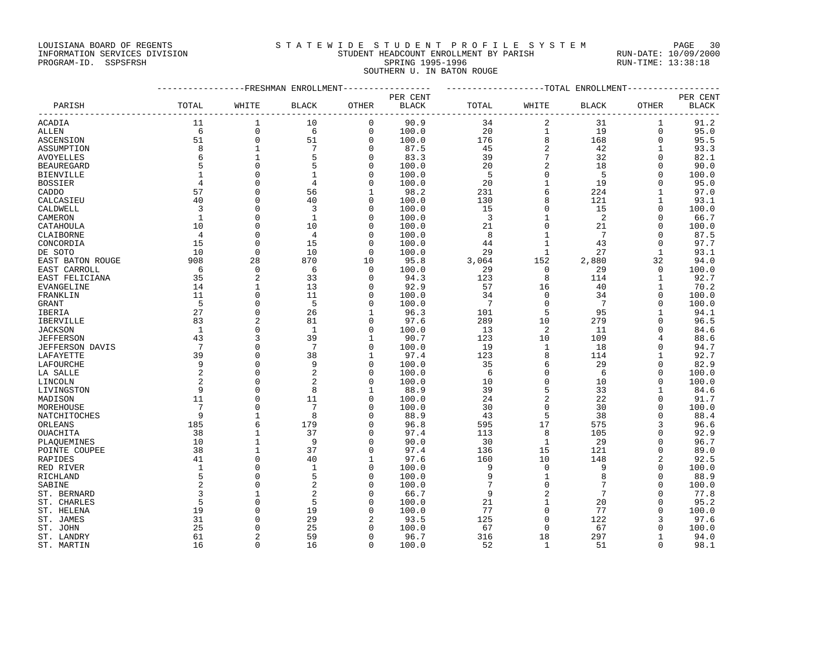## LOUISIANA BOARD OF REGENTS STATEWIDE STUDENT PROFILE SYSTEM PAGE 30 INFORMATION SERVICES DIVISION STUDENT HEADCOUNT ENROLLMENT BY PARISH RUN-DATE: 10/09/2000

# PROGRAM-ID. SSPSFRSH SPRING 1995-1996 SPRING 1995-1996 RUN-TIME: 13:38:18 SOUTHERN U. IN BATON ROUGE

|                              |                 |                              | -----------FRESHMAN ENROLLMENT |                         |              |           |                   | -------------TOTAL ENROLLMENT |                |              |
|------------------------------|-----------------|------------------------------|--------------------------------|-------------------------|--------------|-----------|-------------------|-------------------------------|----------------|--------------|
|                              |                 |                              |                                |                         | PER CENT     |           |                   |                               |                | PER CENT     |
| PARISH                       | TOTAL           | WHITE                        | <b>BLACK</b>                   | OTHER                   | <b>BLACK</b> | TOTAL     | WHITE             | <b>BLACK</b>                  | OTHER          | <b>BLACK</b> |
| ACADIA                       | 11              | 1                            | 10                             | 0                       | 90.9         | 34        | $\overline{c}$    | 31                            | 1              | 91.2         |
| <b>ALLEN</b>                 | 6               | $\mathbf 0$                  | 6                              | $\mathbf 0$             | 100.0        | 20        | $1\,$             | 19                            | $\mathbf 0$    | 95.0         |
| ASCENSION                    | 51              | $\mathbf 0$                  | 51                             | 0                       | 100.0        | 176       | $\,8\,$           | 168                           | $\mathbf 0$    | 95.5         |
| ASSUMPTION                   | 8               | $\mathbf{1}$                 | $7\phantom{.0}$                | $\Omega$                | 87.5         | 45        | $\overline{2}$    | 42                            | $\mathbf{1}$   | 93.3         |
| <b>AVOYELLES</b>             | 6               | $\mathbf{1}$                 | 5                              | $\mathbf 0$             | 83.3         | 39        | $\overline{7}$    | 32                            | $\mathbf 0$    | 82.1         |
| <b>BEAUREGARD</b>            | 5               | $\mathbf{0}$                 | 5                              | 0                       | 100.0        | 20        | $\overline{2}$    | 18                            | $\mathbf 0$    | 90.0         |
| <b>BIENVILLE</b>             |                 | $\Omega$                     | $\mathbf{1}$                   | $\Omega$                | 100.0        | 5         | $\mathbf 0$       | 5                             | $\Omega$       | 100.0        |
| <b>BOSSIER</b>               | 4               | $\Omega$                     | 4                              | $\Omega$                | 100.0        | 20        | $1\,$             | 19                            | $\Omega$       | 95.0         |
| CADDO                        | 57              | $\Omega$                     | 56                             | $\mathbf{1}$            | 98.2         | 231       | 6                 | 224                           | $\mathbf{1}$   | 97.0         |
| CALCASIEU                    | 40              | $\Omega$                     | 40                             | $\mathbf 0$             | 100.0        | 130       | 8                 | 121                           | $\mathbf{1}$   | 93.1         |
| CALDWELL                     | 3               | $\Omega$                     | 3                              | 0                       | 100.0        | 15        | $\Omega$          | 15                            | $\Omega$       | 100.0        |
| CAMERON                      | $1\,$           | $\Omega$                     | $\mathbf{1}$                   | $\Omega$                | 100.0        | 3         | $\mathbf{1}$      | 2                             | $\Omega$       | 66.7         |
| CATAHOULA                    | 10              | $\Omega$                     | 10                             | $\mathbf 0$             | 100.0        | 21        | $\Omega$          | 21                            | $\mathbf 0$    | 100.0        |
| CLAIBORNE                    | $\overline{4}$  | $\Omega$                     | 4                              | 0                       | 100.0        | 8         | $\mathbf{1}$      | $7\phantom{.0}$               | $\Omega$       | 87.5         |
| CONCORDIA                    | 15              | $\Omega$                     | 15                             | $\mathbf 0$             | 100.0        | 44        | $\mathbf{1}$      | 43                            | $\Omega$       | 97.7         |
| DE SOTO                      | 10              | $\Omega$                     | 10                             | 0                       | 100.0        | 29        | $\mathbf{1}$      | 27                            | $\mathbf{1}$   | 93.1         |
| EAST BATON ROUGE             | 908             | 28                           | 870                            | 10                      | 95.8         | 3,064     | 152               | 2,880                         | 32             | 94.0         |
| EAST CARROLL                 | 6               | $\mathbf{0}$                 | 6                              | 0                       | 100.0        | 29        | 0                 | 29                            | $\mathbf 0$    | 100.0        |
| EAST FELICIANA               | 35              | $\overline{2}$               | 33                             | $\Omega$                | 94.3         | 123       | 8                 | 114                           | $\mathbf{1}$   | 92.7         |
| <b>EVANGELINE</b>            | 14              | $\mathbf{1}$                 | 13                             | 0                       | 92.9         | 57        | 16                | 40                            | $\mathbf{1}$   | 70.2         |
| FRANKLIN                     | 11              | $\Omega$                     | 11                             | 0                       | 100.0        | 34        | $\mathbf{0}$      | 34                            | $\Omega$       | 100.0        |
| <b>GRANT</b>                 | 5               | $\mathbf{0}$                 | 5                              | 0                       | 100.0        | 7         | $\mathbf 0$       | $7\phantom{.0}$               | $\Omega$       | 100.0        |
| IBERIA                       | 27              | $\mathbf{0}$                 | 26                             | 1                       | 96.3         | 101       | 5                 | 95                            | $\mathbf{1}$   | 94.1         |
| <b>IBERVILLE</b>             | 83              | $\overline{2}$               | 81                             | $\mathbf 0$             | 97.6         | 289       | 10                | 279                           | $\Omega$       | 96.5         |
| <b>JACKSON</b>               | $\mathbf{1}$    | $\Omega$                     | $\mathbf{1}$                   | $\mathbf 0$             | 100.0        | 13        | $\overline{c}$    | 11                            | $\Omega$       | 84.6         |
| <b>JEFFERSON</b>             | 43              | 3                            | 39                             | $\mathbf{1}$            | 90.7         | 123       | 10                | 109                           | 4              | 88.6         |
| <b>JEFFERSON DAVIS</b>       | $7\phantom{.0}$ | $\Omega$                     | 7                              | $\mathbf 0$             | 100.0        | 19        | $\mathbf{1}$      | 18                            | $\Omega$       | 94.7         |
| LAFAYETTE                    | 39              | $\Omega$                     | 38                             | 1                       | 97.4         | 123       | 8                 | 114                           | $\mathbf{1}$   | 92.7         |
| LAFOURCHE                    | 9               | $\Omega$                     | 9                              | 0                       | 100.0        | 35        | 6                 | 29                            | $\Omega$       | 82.9         |
| LA SALLE                     | $\overline{2}$  | $\Omega$                     | $\overline{2}$                 | $\mathbf 0$             | 100.0        | 6         | $\mathbf 0$       | 6                             | $\Omega$       | 100.0        |
| LINCOLN                      | $\overline{2}$  | $\Omega$                     | $\overline{2}$                 | $\Omega$                | 100.0        | 10        | $\Omega$          | 10                            | $\Omega$       | 100.0        |
| LIVINGSTON                   | 9               | $\Omega$                     | 8                              | $\mathbf{1}$            | 88.9         | 39        | 5                 | 33                            | 1              | 84.6         |
| MADISON                      | 11              | $\Omega$                     | 11                             | 0                       | 100.0        | 24        | $\overline{c}$    | 22                            | $\Omega$       | 91.7         |
| MOREHOUSE                    | $7\phantom{.0}$ | $\Omega$                     | 7                              | $\Omega$                | 100.0        | 30        | $\Omega$          | 30                            | $\Omega$       | 100.0        |
| NATCHITOCHES                 | 9               | $\mathbf{1}$                 | 8                              | 0                       | 88.9         | 43        | 5                 | 38                            | $\Omega$       | 88.4         |
| ORLEANS                      | 185<br>38       | 6                            | 179<br>37                      | O                       | 96.8         | 595       | 17                | 575<br>105                    | 3<br>$\Omega$  | 96.6         |
| OUACHITA                     | 10              | $\mathbf{1}$<br>$\mathbf{1}$ | 9                              | $\mathbf 0$<br>$\Omega$ | 97.4<br>90.0 | 113<br>30 | 8<br>$\mathbf{1}$ | 29                            | $\Omega$       | 92.9         |
| PLAOUEMINES<br>POINTE COUPEE | 38              | $\mathbf{1}$                 | 37                             | $\mathbf 0$             | 97.4         | 136       | 15                | 121                           | $\Omega$       | 96.7<br>89.0 |
| RAPIDES                      | 41              | $\mathbf{0}$                 | 40                             | 1                       | 97.6         | 160       | 10                | 148                           | $\overline{2}$ | 92.5         |
| RED RIVER                    | $\mathbf{1}$    | $\Omega$                     | $\mathbf{1}$                   | $\Omega$                | 100.0        | 9         | $\Omega$          | 9                             | $\Omega$       | 100.0        |
| RICHLAND                     | 5               | $\Omega$                     | 5                              | $\mathbf 0$             | 100.0        | 9         | $\mathbf{1}$      | 8                             | $\Omega$       | 88.9         |
| SABINE                       | $\overline{2}$  | $\Omega$                     | $\overline{2}$                 | $\Omega$                | 100.0        | 7         | $\Omega$          | 7                             | $\Omega$       | 100.0        |
| ST. BERNARD                  | $\overline{3}$  | $\mathbf{1}$                 | $\overline{2}$                 | 0                       | 66.7         | 9         | $\overline{2}$    | $7\phantom{.0}$               | $\Omega$       | 77.8         |
| ST. CHARLES                  | 5               | $\Omega$                     | 5                              | 0                       | 100.0        | 21        | $1\,$             | 20                            | $\Omega$       | 95.2         |
| ST. HELENA                   | 19              | $\Omega$                     | 19                             | $\Omega$                | 100.0        | 77        | $\Omega$          | 77                            | $\Omega$       | 100.0        |
| ST. JAMES                    | 31              | $\Omega$                     | 29                             | 2                       | 93.5         | 125       | $\Omega$          | 122                           | 3              | 97.6         |
| ST. JOHN                     | 25              | $\Omega$                     | 25                             | O                       | 100.0        | 67        | $\Omega$          | 67                            | $\Omega$       | 100.0        |
| ST. LANDRY                   | 61              | $\overline{2}$               | 59                             | $\Omega$                | 96.7         | 316       | 18                | 297                           | 1              | 94.0         |
| ST. MARTIN                   | 16              | $\Omega$                     | 16                             | $\mathbf 0$             | 100.0        | 52        | $\mathbf{1}$      | 51                            | $\Omega$       | 98.1         |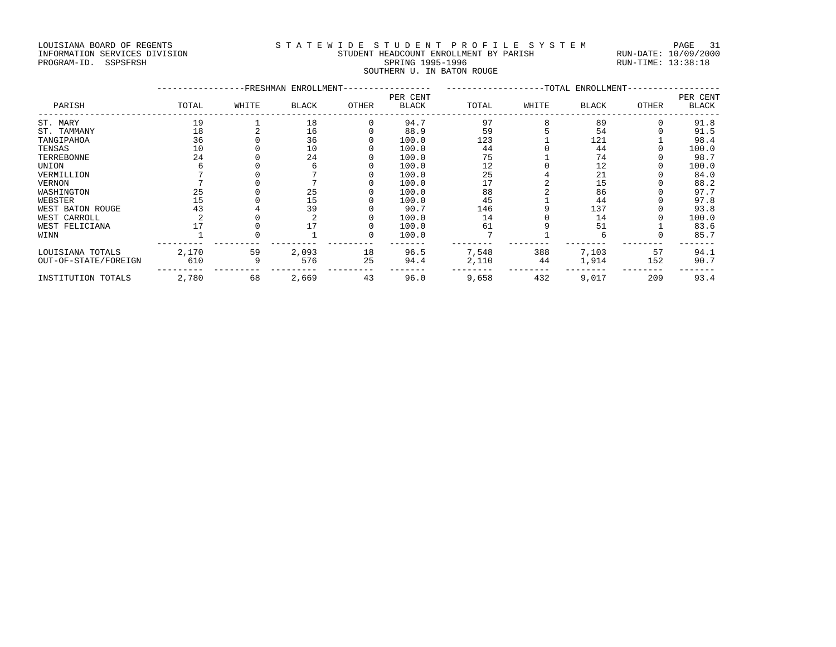### LOUISIANA BOARD OF REGENTS STATEWIDE STUDENT PROFILE SYSTEM PAGE 31 INFORMATION SERVICES DIVISION STUDENT HEADCOUNT ENROLLMENT BY PARISH RUN-DATE: 10/09/2000 PROGRAM-ID. SSPSFRSH SPRING 1995-1996 SPRING 1995-1996 RUN-TIME: 13:38:18 SOUTHERN U. IN BATON ROUGE

|                      |       |       | -FRESHMAN ENROLLMENT- |       |                          | -TOTAL ENROLLMENT |       |              |       |                          |
|----------------------|-------|-------|-----------------------|-------|--------------------------|-------------------|-------|--------------|-------|--------------------------|
| PARISH               | TOTAL | WHITE | BLACK                 | OTHER | PER CENT<br><b>BLACK</b> | TOTAL             | WHITE | <b>BLACK</b> | OTHER | PER CENT<br><b>BLACK</b> |
| ST. MARY             | 19    |       | 18                    |       | 94.7                     | 97                |       | 89           |       | 91.8                     |
| ST. TAMMANY          | 18    |       | 16                    |       | 88.9                     | 59                |       | 54           |       | 91.5                     |
| TANGIPAHOA           | 36    |       | 36                    |       | 100.0                    | 123               |       | 121          |       | 98.4                     |
| TENSAS               | 10    |       | 10                    |       | 100.0                    | 44                |       | 44           |       | 100.0                    |
| TERREBONNE           | 24    |       | 24                    |       | 100.0                    | 75                |       | 74           |       | 98.7                     |
| UNION                |       |       |                       |       | 100.0                    | 12                |       | 12           |       | 100.0                    |
| VERMILLION           |       |       |                       |       | 100.0                    | 25                |       | 21           |       | 84.0                     |
| VERNON               |       |       |                       |       | 100.0                    |                   |       | 15           |       | 88.2                     |
| WASHINGTON           | 25    |       | 25                    |       | 100.0                    | 88                |       | 86           |       | 97.7                     |
| WEBSTER              | 15    |       | 15                    |       | 100.0                    | 45                |       | 44           |       | 97.8                     |
| WEST BATON ROUGE     | 43    |       | 39                    |       | 90.7                     | 146               |       | 137          |       | 93.8                     |
| WEST CARROLL         |       |       |                       |       | 100.0                    | 14                |       | 14           |       | 100.0                    |
| WEST FELICIANA       |       |       |                       |       | 100.0                    | 61                |       | 51           |       | 83.6                     |
| WINN                 |       |       |                       |       | 100.0                    |                   |       |              |       | 85.7                     |
| LOUISIANA TOTALS     | 2,170 | 59    | 2,093                 | 18    | 96.5                     | 7,548             | 388   | 7,103        | 57    | 94.1                     |
| OUT-OF-STATE/FOREIGN | 610   |       | 576                   | 25    | 94.4                     | 2,110             | 44    | 1,914        | 152   | 90.7                     |
| INSTITUTION TOTALS   | 2,780 | 68    | 2,669                 | 43    | 96.0                     | 9,658             | 432   | 9,017        | 209   | 93.4                     |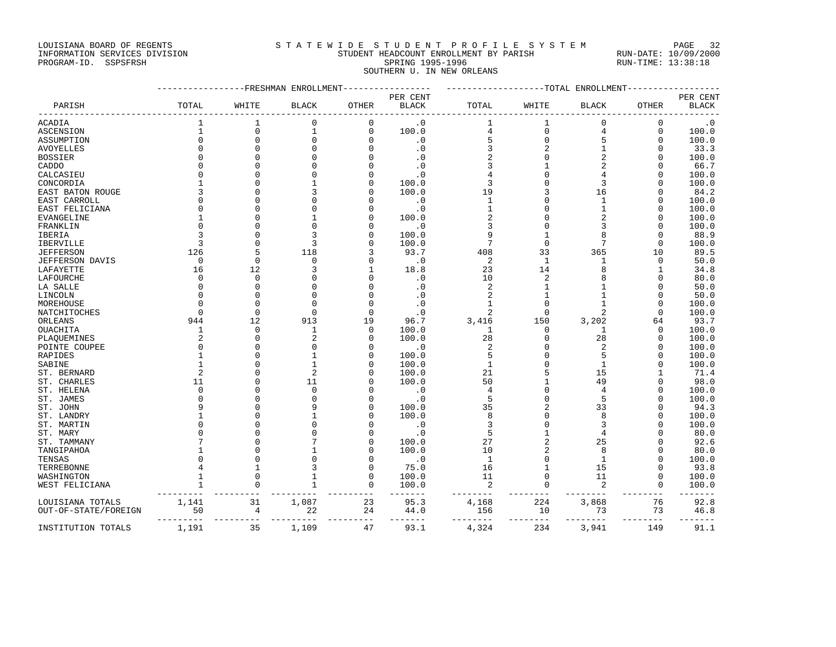## LOUISIANA BOARD OF REGENTS STATEWIDE STUDENT PROFILE SYSTEM PAGE 32 INFORMATION SERVICES DIVISION STUDENT HEADCOUNT ENROLLMENT BY PARISH RUN-DATE: 10/09/2000 PROGRAM-ID. SSPSFRSH SPRING 1995-1996 SPRING 1995-1996 RUN-TIME: 13:38:18

SOUTHERN U. IN NEW ORLEANS

|                        |                |                             | -------------FRESHMAN ENROLLMENT- |                     |                | ------------------TOTAL ENROLLMENT- |                 |                 |                |               |
|------------------------|----------------|-----------------------------|-----------------------------------|---------------------|----------------|-------------------------------------|-----------------|-----------------|----------------|---------------|
|                        |                |                             |                                   |                     | PER CENT       |                                     |                 |                 |                | PER CENT      |
| PARISH                 | TOTAL          | WHITE                       | <b>BLACK</b>                      | OTHER               | $_{\rm BLACK}$ | TOTAL                               | WHITE           | <b>BLACK</b>    | OTHER          | <b>BLACK</b>  |
| <b>ACADIA</b>          | $\mathbf{1}$   |                             | $\Omega$                          | $\mathbf 0$         | $\cdot$ 0      | 1                                   | 1               | $\Omega$        | $\mathbf 0$    | $\cdot$ 0     |
| ASCENSION              | $\mathbf{1}$   | $\mathbf 0$                 | $\mathbf{1}$                      | $\mathbf{0}$        | 100.0          | 4                                   | 0               | 4               | 0              | 100.0         |
| ASSUMPTION             | $\mathbf{0}$   | $\Omega$                    | 0                                 | $\Omega$            | $\cdot$ 0      | 5                                   | 0               | 5               | $\Omega$       | 100.0         |
| <b>AVOYELLES</b>       | $\Omega$       | $\Omega$                    | $\Omega$                          | $\Omega$            | $\cdot$ 0      | 3                                   |                 | $\mathbf{1}$    | $\Omega$       | 33.3          |
| <b>BOSSIER</b>         |                |                             | $\Omega$                          | $\Omega$            | $\cdot$ 0      | $\overline{c}$                      | $\Omega$        | $\overline{2}$  | ∩              | 100.0         |
| CADDO                  |                |                             | $\Omega$                          |                     | $\cdot$ 0      |                                     |                 | 2               | n              | 66.7          |
| CALCASIEU              |                |                             | $\Omega$                          |                     | $\cdot$ 0      |                                     |                 | 4               |                | 100.0         |
| CONCORDIA              |                |                             |                                   | $\Omega$            | 100.0          | 3                                   |                 | 3               | $\Omega$       | 100.0         |
| EAST BATON ROUGE       |                |                             | 3                                 |                     | 100.0          | 19                                  | 3               | 16              | 0              | 84.2          |
| EAST CARROLL           |                |                             | $\Omega$                          |                     | $\cdot$ 0      | 1                                   |                 | 1               | 0              | 100.0         |
| EAST FELICIANA         |                |                             | $\Omega$                          |                     | $\cdot$ 0      | $1\,$                               |                 | $1\,$           | $\Omega$       | 100.0         |
| EVANGELINE             |                | $\Omega$                    | 1                                 | $\Omega$            | 100.0          | $\overline{c}$                      |                 | 2               | ∩              | 100.0         |
| FRANKLIN               |                |                             | $\Omega$                          |                     | $\cdot$ 0      | 3                                   |                 | 3               | ∩              | 100.0         |
| IBERIA                 |                |                             | 3                                 |                     | 100.0          | 9                                   |                 | 8               | n              | 88.9          |
| <b>IBERVILLE</b>       | 3              | $\Omega$                    | 3                                 |                     | 100.0          | 7                                   | $\mathbf 0$     | 7               | $\Omega$       | 100.0         |
| <b>JEFFERSON</b>       | 126            |                             | 118                               |                     | 93.7           | 408                                 | 33              | 365             | 10             | 89.5          |
| <b>JEFFERSON DAVIS</b> | $\mathbf 0$    | $\Omega$                    | $\Omega$                          |                     | $\cdot$ . 0    | 2                                   | 1               | 1               | $\mathbf 0$    | 50.0          |
| LAFAYETTE              | 16             | 12                          | 3                                 |                     | 18.8           | 23                                  | 14              | 8               | 1              | 34.8          |
| LAFOURCHE              | $\Omega$       | $\Omega$                    | $\Omega$                          | $\Omega$            | $\cdot$ 0      | 10                                  | 2               | 8               | n              | 80.0          |
| LA SALLE               |                | $\Omega$                    | $\Omega$                          |                     | $\cdot$ 0      | $\overline{2}$                      |                 | 1               |                | 50.0          |
| LINCOLN                |                | $\Omega$                    | $\Omega$                          |                     | $\cdot$ 0      | $\overline{2}$                      |                 | 1               |                | 50.0          |
| MOREHOUSE              |                | $\mathbf 0$                 | $\Omega$                          | $\Omega$            | $\cdot$ 0      | 1                                   | $\mathbf 0$     | 1               | $\Omega$       | 100.0         |
| NATCHITOCHES           |                | $\Omega$                    | $\Omega$                          | $\Omega$            | $\cdot$ 0      | 2                                   | $\Omega$        | $\overline{2}$  | $\Omega$       | 100.0         |
| ORLEANS                | 944            | 12                          | 913                               | 19                  | 96.7           | 3,416                               | 150             | 3,202           | 64             | 93.7          |
| OUACHITA               | 1              | $\Omega$                    | 1                                 | $\mathbf 0$         | 100.0          | 1                                   | 0               | 1               | 0              | 100.0         |
| PLAQUEMINES            |                | $\Omega$                    | $\overline{2}$                    | $\Omega$            | 100.0          | 28                                  | 0               | 28              | $\mathbf 0$    | 100.0         |
| POINTE COUPEE          |                | $\Omega$                    | $\Omega$                          | $\Omega$            | $\cdot$ 0      | $\overline{2}$                      | O               | 2               | $\Omega$       | 100.0         |
|                        |                | O                           | 1                                 | $\Omega$            | 100.0          | 5                                   |                 | 5               |                | 100.0         |
| RAPIDES                |                | O                           | $\mathbf{1}$                      | $\Omega$            |                | $\mathbf{1}$                        |                 |                 | n              |               |
| SABINE<br>ST. BERNARD  | $\overline{2}$ | $\Omega$                    | $\overline{a}$                    | $\Omega$            | 100.0<br>100.0 | 21                                  |                 | 1<br>15         |                | 100.0<br>71.4 |
|                        |                |                             |                                   |                     |                |                                     |                 | 49              |                |               |
| ST. CHARLES            | 11             |                             | 11<br>$\Omega$                    |                     | 100.0          | 50                                  |                 |                 |                | 98.0          |
| ST. HELENA             | $\Omega$       |                             |                                   |                     | $\cdot$ 0      | 4                                   |                 | 4               |                | 100.0         |
| ST. JAMES              |                | $\Omega$                    | $\Omega$                          |                     | $\cdot$ 0      | 5                                   |                 | 5               | n              | 100.0         |
| ST. JOHN               |                |                             | 9                                 | $\Omega$            | 100.0          | 35                                  | 2               | 33              | 0              | 94.3          |
| ST. LANDRY             |                |                             |                                   |                     | 100.0          | 8                                   |                 | 8               |                | 100.0         |
| ST. MARTIN             |                |                             | $\Omega$                          |                     | $\cdot$ 0      | 3                                   |                 | 3               |                | 100.0         |
| ST. MARY               |                |                             | $\Omega$                          |                     | $\cdot$ 0      | 5                                   |                 | 4               |                | 80.0          |
| ST. TAMMANY            |                |                             |                                   |                     | 100.0          | 27                                  |                 | 25              |                | 92.6          |
| TANGIPAHOA             |                |                             |                                   |                     | 100.0          | 10                                  | 2               | 8               |                | 80.0          |
| TENSAS                 |                |                             | $\Omega$                          |                     | $\cdot$ 0      | 1                                   |                 | 1               |                | 100.0         |
| TERREBONNE             |                |                             | 3                                 | $\Omega$            | 75.0           | 16                                  |                 | 15              | $\Omega$       | 93.8          |
| WASHINGTON             | 1              | $\Omega$                    | $\mathbf{1}$                      | $\Omega$            | 100.0          | 11                                  | $\Omega$        | 11              | $\Omega$       | 100.0         |
| WEST FELICIANA         | 1              | 0                           | 1                                 | 0                   | 100.0          | 2                                   | 0               | 2               | 0              | 100.0         |
| LOUISIANA TOTALS       | 1,141          | 31                          | 1,087                             | 23                  | 95.3           | 4,168                               | 224             | 3,868           | 76             | 92.8          |
| OUT-OF-STATE/FOREIGN   | 50             | $\overline{4}$<br>--------- | 22                                | 24<br>$- - - - - -$ | 44.0           | 156<br>--------                     | 10<br>$- - - -$ | 73<br>--------- | 73<br>-------- | 46.8          |
| INSTITUTION TOTALS     | 1,191          | 35                          | 1,109                             | 47                  | 93.1           | 4,324                               | 234             | 3,941           | 149            | 91.1          |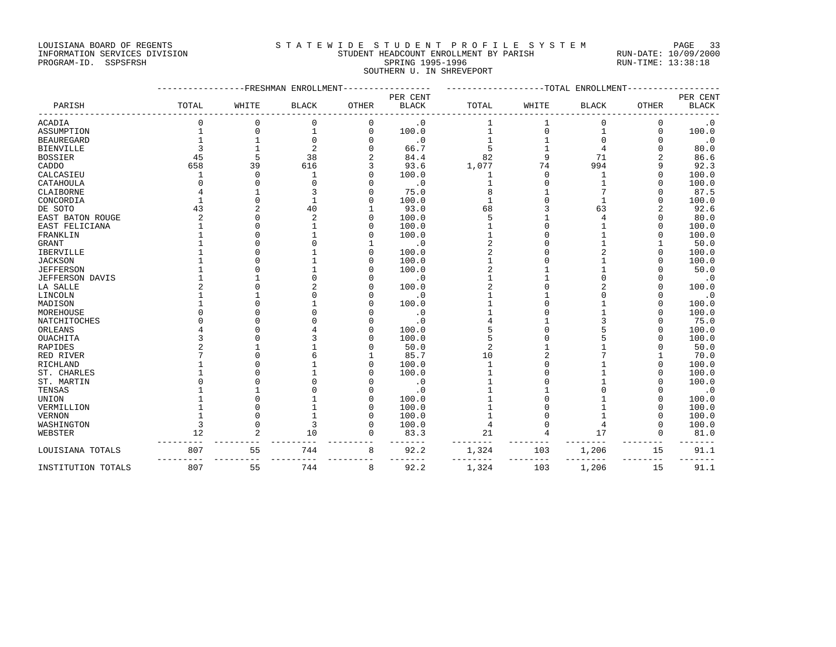## LOUISIANA BOARD OF REGENTS STATEWIDE STUDENT PROFILE SYSTEM PAGE 33 INFORMATION SERVICES DIVISION STUDENT HEADCOUNT ENROLLMENT BY PARISH RUN-DATE: 10/09/2000

PROGRAM-ID. SSPSFRSH SPRING 1995-1996 SPRING 1995-1996 RUN-TIME: 13:38:18 SOUTHERN U. IN SHREVEPORT

|                        |       |          | -FRESHMAN ENROLLMENT |              |              |       |          | -----------TOTAL ENROLLMENT |             |              |
|------------------------|-------|----------|----------------------|--------------|--------------|-------|----------|-----------------------------|-------------|--------------|
|                        |       |          |                      |              | PER CENT     |       |          |                             |             | PER CENT     |
| PARISH                 | TOTAL | WHITE    | <b>BLACK</b>         | <b>OTHER</b> | <b>BLACK</b> | TOTAL | WHITE    | <b>BLACK</b>                | OTHER       | <b>BLACK</b> |
| <b>ACADIA</b>          |       |          |                      | 0            | $\cdot$ 0    |       |          |                             | 0           | $\cdot$ 0    |
| ASSUMPTION             |       | 0        |                      | 0            | 100.0        |       | 0        | 1                           | $\mathbf 0$ | 100.0        |
| <b>BEAUREGARD</b>      |       |          | $\Omega$             |              | $\cdot$ 0    |       |          |                             | $\Omega$    | $\cdot$ 0    |
| <b>BIENVILLE</b>       |       |          | $\overline{2}$       |              | 66.7         |       |          |                             | $\Omega$    | 80.0         |
| <b>BOSSIER</b>         | 45    | 5        | 38                   |              | 84.4         | 82    | 9        | 71                          | 2           | 86.6         |
| CADDO                  | 658   | 39       | 616                  |              | 93.6         | 1,077 | 74       | 994                         | 9           | 92.3         |
| CALCASIEU              |       | $\Omega$ |                      |              | 100.0        |       | $\Omega$ |                             |             | 100.0        |
| CATAHOULA              |       | O        |                      |              | $\cdot$ 0    |       | 0        |                             | U           | 100.0        |
| CLAIBORNE              |       |          |                      |              | 75.0         |       |          |                             | U           | 87.5         |
| CONCORDIA              |       | $\cap$   |                      |              | 100.0        |       |          |                             | U           | 100.0        |
| DE SOTO                | 43    |          | 40                   |              | 93.0         | 68    |          | 63                          |             | 92.6         |
| EAST BATON ROUGE       |       |          | $\mathcal{D}$        |              | 100.0        |       |          |                             | U           | 80.0         |
| EAST FELICIANA         |       |          |                      |              | 100.0        |       |          |                             |             | 100.0        |
| FRANKLIN               |       |          |                      |              | 100.0        |       |          |                             | Ω           | 100.0        |
| <b>GRANT</b>           |       |          |                      |              | $\cdot$ 0    |       |          |                             |             | 50.0         |
| <b>IBERVILLE</b>       |       |          |                      |              | 100.0        |       |          |                             | O           | 100.0        |
| <b>JACKSON</b>         |       |          |                      |              | 100.0        |       |          |                             | Ω           | 100.0        |
| <b>JEFFERSON</b>       |       |          |                      |              | 100.0        |       |          |                             |             | 50.0         |
| <b>JEFFERSON DAVIS</b> |       |          |                      |              | $\cdot$ 0    |       |          |                             | U           | $\cdot$ 0    |
| LA SALLE               |       |          |                      |              | 100.0        |       |          |                             |             | 100.0        |
| LINCOLN                |       |          |                      |              | $\cdot$ 0    |       |          |                             | Ω           | $\cdot$ 0    |
| MADISON                |       |          |                      |              | 100.0        |       |          |                             | O           | 100.0        |
| MOREHOUSE              |       |          |                      |              | $\cdot$ 0    |       |          |                             | U           | 100.0        |
| NATCHITOCHES           |       |          |                      |              | $\cdot$ 0    |       |          |                             | Ω           | 75.0         |
| ORLEANS                |       |          |                      |              | 100.0        |       |          |                             | O           | 100.0        |
| <b>OUACHITA</b>        |       |          |                      |              | 100.0        |       |          |                             | Ω           | 100.0        |
| RAPIDES                |       |          |                      |              | 50.0         |       |          |                             |             | 50.0         |
| RED RIVER              |       |          |                      |              | 85.7         | 10    |          |                             |             | 70.0         |
| RICHLAND               |       |          |                      |              | 100.0        |       |          |                             |             | 100.0        |
| ST. CHARLES            |       |          |                      |              | 100.0        |       |          |                             |             | 100.0        |
| ST. MARTIN             |       |          |                      |              | $\cdot$ 0    |       |          |                             |             | 100.0        |
| TENSAS                 |       |          |                      |              | $\cdot$ 0    |       |          |                             | O           | $\cdot$ 0    |
| UNION                  |       |          |                      |              | 100.0        |       |          |                             | U           | 100.0        |
| VERMILLION             |       |          |                      |              | 100.0        |       |          |                             | U           | 100.0        |
| <b>VERNON</b>          |       |          |                      |              | 100.0        |       |          |                             | U           | 100.0        |
| WASHINGTON             | 3     |          |                      |              | 100.0        | 4     |          |                             | U           | 100.0        |
| WEBSTER                | 12    |          | 10                   | 0            | 83.3         | 21    | 4        | 17                          | 0           | 81.0         |
| LOUISIANA TOTALS       | 807   | 55       | 744                  | 8            | 92.2         | 1,324 | 103      | 1,206                       | 15          | 91.1         |
| INSTITUTION TOTALS     | 807   | 55       | 744                  | 8            | 92.2         | 1,324 | 103      | 1,206                       | 15          | 91.1         |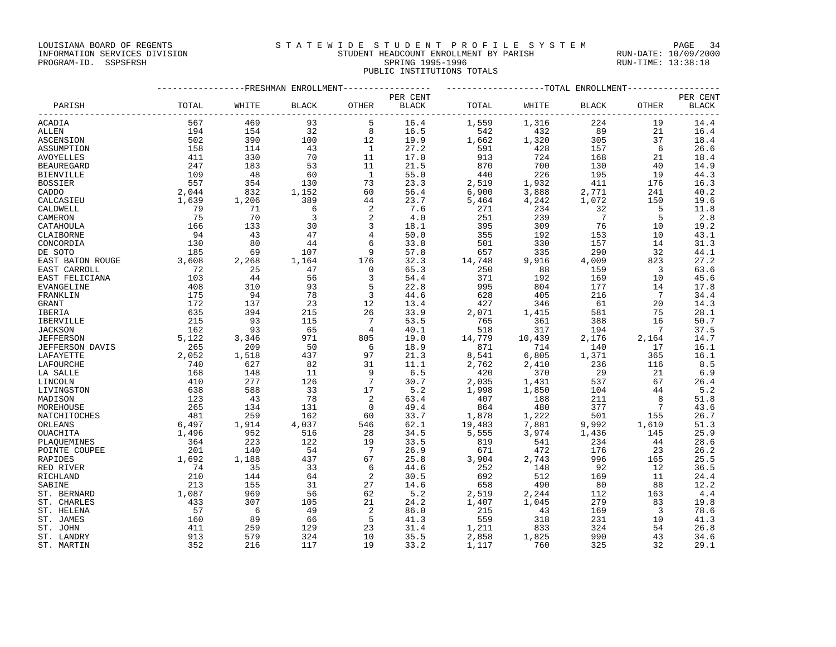LOUISIANA BOARD OF REGENTS STATEWIDE STUDENT PROFILE SYSTEM PAGE 34

## INFORMATION SERVICES DIVISION STUDENT HEADCOUNT ENROLLMENT BY PARISH RUN-DATE: 10/09/2000 PROGRAM-ID. SSPSFRSH SPRING 1995-1996 SPRING 1995-1996 RUN-TIME: 13:38:18 PUBLIC INSTITUTIONS TOTALS

|                            |            |            | --------------FRESHMAN ENROLLMENT- |                 | ---------------- | ------------------TOTAL ENROLLMENT----------------- |                |                |                              |              |
|----------------------------|------------|------------|------------------------------------|-----------------|------------------|-----------------------------------------------------|----------------|----------------|------------------------------|--------------|
|                            |            |            |                                    |                 | PER CENT         |                                                     |                |                |                              | PER CENT     |
| PARISH                     | TOTAL      | WHITE      | <b>BLACK</b>                       | OTHER           | BLACK            | TOTAL                                               | WHITE          | <b>BLACK</b>   | OTHER                        | <b>BLACK</b> |
| ACADIA                     | 567        | 469        | 93                                 | 5               | 16.4             | 1,559                                               | 1,316          | 224            | 19                           | 14.4         |
| ALLEN                      | 194        | 154        | 32                                 | 8               | 16.5             | 542                                                 | 432            | 89             | 21                           | 16.4         |
| ASCENSION                  | 502        | 390        | 100                                | 12              | 19.9             | 1,662                                               | 1,320          | 305            | 37                           | 18.4         |
| ASSUMPTION                 | 158        | 114        | 43                                 | $\mathbf{1}$    | 27.2             | 591                                                 | 428            | 157            | - 6                          | 26.6         |
| AVOYELLES                  | 411        | 330        | 70                                 | 11              | 17.0             | 913                                                 | 724            | 168            | 21                           | 18.4         |
| <b>BEAUREGARD</b>          | 247        | 183        | 53                                 | 11              | 21.5             | 870                                                 | 700            | 130            | 40                           | 14.9         |
| <b>BIENVILLE</b>           | 109        | 48         | 60                                 | $\overline{1}$  | 55.0             | 440                                                 | 226            | 195            | 19                           | 44.3         |
| <b>BOSSIER</b>             | 557        | 354        | 130                                | 73              | 23.3             | 2,519                                               | 1,932          | 411            | 176                          | 16.3         |
| CADDO                      | 2,044      | 832        | 1,152                              | 60              | 56.4             | 6,900                                               | 3,888          | 2,771          | 241                          | 40.2         |
| CALCASIEU                  | 1,639      | 1,206      | 389                                | 44              | 23.7             | 5,464                                               | 4,242          | 1,072          | 150                          | 19.6         |
| CALDWELL                   | 79         | 71         | 6                                  | 2               | 7.6              | 271                                                 | 234            | 32             | 5                            | 11.8         |
| CAMERON                    | 75         | 70         | 3                                  | 2               | 4.0              | 251                                                 | 239            | $\overline{7}$ | -5                           | 2.8          |
| CATAHOULA                  | 166        | 133        | 30                                 | 3               | 18.1             | 395                                                 | 309            | 76             | 10                           | 19.2         |
| CLAIBORNE                  | 94         | 43         | 47                                 | 4               | 50.0             | 355                                                 | 192            | 153            | 10                           | 43.1         |
| CONCORDIA                  | 130        | 80         | 44                                 | 6               | 33.8             | 501                                                 | 330            | 157            | 14                           | 31.3         |
| DE SOTO                    | 185        | 69         | 107                                | 9               | 57.8             | 657                                                 | 335            | 290            | 32                           | 44.1         |
| EAST BATON ROUGE           | 3,608      | 2,268      | 1,164                              | 176             | 32.3             | 14,748                                              | 9,916          | 4,009          | 823                          | 27.2         |
| EAST CARROLL               | 72         | 25         | 47                                 | $\mathbf 0$     | 65.3             | 250                                                 | 88             | 159            | $\overline{\mathbf{3}}$      | 63.6         |
| EAST FELICIANA             | 103        | 44         | 56                                 | 3               | 54.4             | 371                                                 | 192            | 169            | 10                           | 45.6         |
| EVANGELINE                 | 408        | 310        | 93                                 | 5               | 22.8             | 995                                                 | 804            | 177            | 14                           | 17.8         |
| FRANKLIN                   | 175        | 94         | 78                                 | $\overline{3}$  | 44.6             | 628                                                 | 405            | 216            | 7                            | 34.4         |
| GRANT                      | 172        | 137        | 23                                 | 12              | 13.4             | 427                                                 | 346            | 61             | 20                           | 14.3         |
| IBERIA                     | 635        | 394        | 215                                | 26              | 33.9             | 2,071                                               | 1,415          | 581            | 75                           | 28.1         |
| IBERVILLE                  | 215        | 93         | 115                                | $7\phantom{.0}$ | 53.5             | 765                                                 | 361            | 388            | 16                           | 50.7         |
| <b>JACKSON</b>             | 162        | 93         | 65                                 | 4               | 40.1             | 518                                                 | 317            | 194            | $7\phantom{.0}\phantom{.0}7$ | 37.5         |
| <b>JEFFERSON</b>           | 5,122      | 3,346      | 971                                | 805             | 19.0             | 14,779                                              | 10,439         | 2,176          | 2,164                        | 14.7         |
| JEFFERSON DAVIS            | 265        | 209        | 50                                 | 6               | 18.9             | 871                                                 | 714            | 140            | 17                           | 16.1         |
| LAFAYETTE                  | 2,052      | 1,518      | 437                                | 97              | 21.3             | 8,541                                               | 6,805          | 1,371          | 365                          | 16.1         |
| LAFOURCHE                  | 740        | 627        | 82                                 | 31              | 11.1             | 2,762                                               | 2,410          | 236            | 116                          | 8.5          |
| LA SALLE                   | 168        | 148        | 11                                 | 9               | 6.5              | 420                                                 | 370            | 29             | 21                           | 6.9          |
| LINCOLN                    | 410        | 277        | 126                                | $7\phantom{.0}$ | 30.7             | 2,035                                               | 1,431          | 537            | 67                           | 26.4         |
| LIVINGSTON                 | 638        | 588        | 33                                 | 17              | 5.2              | 1,998                                               | 1,850          | 104            | 44                           | 5.2          |
| MADISON                    | 123        | 43         | 78                                 | 2               | 63.4             | 407                                                 | 188            | 211            | 8                            | 51.8         |
| MOREHOUSE                  | 265        | 134        | 131                                | $\mathbf 0$     | 49.4             | 864                                                 | 480            | 377            | 7                            | 43.6         |
| NATCHITOCHES               | 481        | 259        | 162                                | 60              | 33.7             | 1,878                                               | 1,222          | 501            | 155                          | 26.7         |
| ORLEANS                    | 6,497      | 1,914      | 4,037                              | 546             | 62.1             | 19,483                                              | 7,881          | 9,992          | 1,610                        | 51.3         |
| OUACHITA                   | 1,496      | 952        | 516                                | 28              | 34.5             | 5,555                                               | 3,974          | 1,436          | 145                          | 25.9         |
| PLAOUEMINES                | 364        | 223        | 122                                | 19              | 33.5             | 819                                                 | 541            | 234            | 44                           | 28.6         |
| POINTE COUPEE              | 201        | 140        | 54                                 | 7               | 26.9             | 671                                                 | 472            | 176            | 23                           | 26.2         |
| RAPIDES                    | 1,692      | 1,188      | 437                                | 67              | 25.8             | 3,904                                               | 2,743          | 996            | 165                          | 25.5         |
| RED RIVER                  | 74         | 35         | 33                                 | 6               | 44.6             | 252                                                 | 148            | 92             | 12                           | 36.5         |
| RICHLAND<br>SABINE         | 210<br>213 | 144<br>155 | 64<br>31                           | 2<br>27         | 30.5<br>14.6     | 692                                                 | 512<br>490     | 169<br>80      | 11<br>88                     | 24.4<br>12.2 |
|                            | 1,087      | 969        | 56                                 | 62              | 5.2              | 658                                                 |                | 112            | 163                          | 4.4          |
| ST. BERNARD<br>ST. CHARLES | 433        | 307        | 105                                | 21              | 24.2             | 2,519<br>1,407                                      | 2,244<br>1,045 | 279            | 83                           | 19.8         |
| ST. HELENA                 | 57         | 6          | 49                                 | 2               | 86.0             | 215                                                 | 43             | 169            | $\overline{3}$               | 78.6         |
| ST. JAMES                  | 160        | 89         | 66                                 | 5               | 41.3             | 559                                                 | 318            | 231            | 10                           | 41.3         |
| ST. JOHN                   | 411        | 259        | 129                                | 23              | 31.4             | 1,211                                               | 833            | 324            | 54                           | 26.8         |
| ST. LANDRY                 | 913        | 579        | 324                                | 10              | 35.5             | 2,858                                               | 1,825          | 990            | 43                           | 34.6         |
| ST. MARTIN                 | 352        | 216        | 117                                | 19              | 33.2             | 1,117                                               | 760            | 325            | 32                           | 29.1         |
|                            |            |            |                                    |                 |                  |                                                     |                |                |                              |              |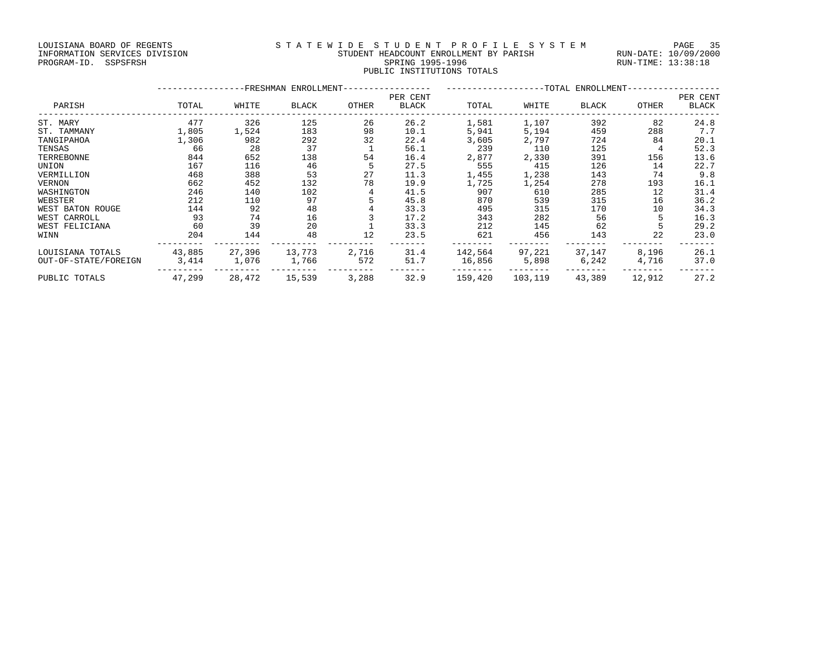## LOUISIANA BOARD OF REGENTS SAN STATEWIDE STUDENT PROFILE SYSTEM PAGE 35 INFORMATION SERVICES DIVISION STUDENT HEADCOUNT ENROLLMENT BY PARISH RUN-DATE: 10/09/2000 PROGRAM-ID. SSPSFRSH SPRING 1995-1996 SPRING 1995-1996 RUN-TIME: 13:38:18 PUBLIC INSTITUTIONS TOTALS

|                      |        |        | -FRESHMAN ENROLLMENT- |       |                          |         |         | --TOTAL ENROLLMENT- |        |                   |
|----------------------|--------|--------|-----------------------|-------|--------------------------|---------|---------|---------------------|--------|-------------------|
| PARISH               | TOTAL  | WHITE  | BLACK                 | OTHER | PER CENT<br><b>BLACK</b> | TOTAL   | WHITE   | BLACK               | OTHER  | PER CENT<br>BLACK |
| ST. MARY             | 477    | 326    | 125                   | 26    | 26.2                     | 1,581   | 1,107   | 392                 | 82     | 24.8              |
| ST. TAMMANY          | 1,805  | 1,524  | 183                   | 98    | 10.1                     | 5,941   | 5,194   | 459                 | 288    | 7.7               |
| TANGIPAHOA           | 1,306  | 982    | 292                   | 32    | 22.4                     | 3,605   | 2,797   | 724                 | 84     | 20.1              |
| TENSAS               | 66     | 28     | 37                    |       | 56.1                     | 239     | 110     | 125                 |        | 52.3              |
| TERREBONNE           | 844    | 652    | 138                   | 54    | 16.4                     | 2,877   | 2,330   | 391                 | 156    | 13.6              |
| UNION                | 167    | 116    | 46                    |       | 27.5                     | 555     | 415     | 126                 | 14     | 22.7              |
| VERMILLION           | 468    | 388    | 53                    | 27    | 11.3                     | 1,455   | 1,238   | 143                 | 74     | 9.8               |
| <b>VERNON</b>        | 662    | 452    | 132                   | 78    | 19.9                     | 1,725   | 1,254   | 278                 | 193    | 16.1              |
| WASHINGTON           | 246    | 140    | 102                   |       | 41.5                     | 907     | 610     | 285                 | 12     | 31.4              |
| WEBSTER              | 212    | 110    | 97                    |       | 45.8                     | 870     | 539     | 315                 | 16     | 36.2              |
| WEST BATON ROUGE     | 144    | 92     | 48                    |       | 33.3                     | 495     | 315     | 170                 | 10     | 34.3              |
| WEST CARROLL         | 93     | 74     | 16                    |       | 17.2                     | 343     | 282     | 56                  |        | 16.3              |
| WEST FELICIANA       | 60     | 39     | 20                    |       | 33.3                     | 212     | 145     | 62                  |        | 29.2              |
| WINN                 | 204    | 144    | 48                    | 12    | 23.5                     | 621     | 456     | 143                 | 22     | 23.0              |
| LOUISIANA TOTALS     | 43,885 | 27,396 | 13,773                | 2,716 | 31.4                     | 142,564 | 97,221  | 37,147              | 8,196  | 26.1              |
| OUT-OF-STATE/FOREIGN | 3,414  | 1,076  | 1,766                 | 572   | 51.7                     | 16,856  | 5,898   | 6,242               | 4,716  | 37.0              |
| PUBLIC TOTALS        | 47,299 | 28,472 | 15,539                | 3,288 | 32.9                     | 159,420 | 103,119 | 43,389              | 12,912 | 27.2              |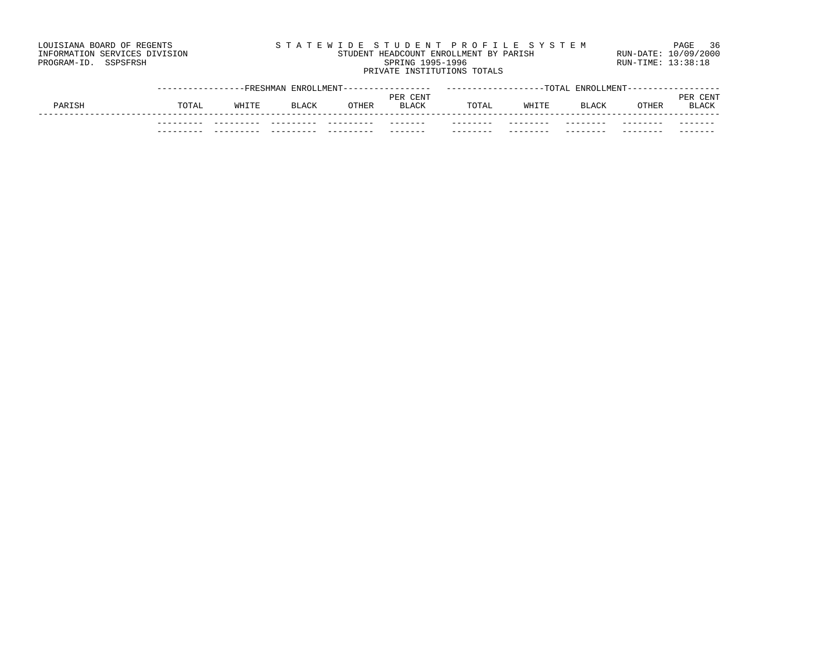## LOUISIANA BOARD OF REGENTS SAND STATEWIDE STUDENT PROFILE SYSTEM PAGE 36 INFORMATION SERVICES DIVISION STUDENT HEADCOUNT ENROLLMENT BY PARISH RUN-DATE: 10/09/2000 PROGRAM-ID. SSPSFRSH SPRING 1995-1996 SPRING 1995-1996 RUN-TIME: 13:38:18 PRIVATE INSTITUTIONS TOTALS

|        |       |       | --FRESHMAN ENROLLMENT |       | ENROLLMENT------<br>TOTAL |       |                 |              |       |              |
|--------|-------|-------|-----------------------|-------|---------------------------|-------|-----------------|--------------|-------|--------------|
|        |       |       |                       |       | PER CENT                  |       |                 |              |       | CENT<br>PER  |
| PARISH | TOTAL | WHITE | <b>BLACK</b>          | OTHER | <b>BLACK</b>              | TOTAL | WHITE           | <b>BLACK</b> | OTHER | <b>BLACK</b> |
|        |       |       |                       |       |                           |       |                 |              |       |              |
|        |       |       |                       |       |                           | ----- | - - - - - - - - | ------       |       |              |
|        |       |       |                       |       |                           | ---   | ----            |              |       | -----        |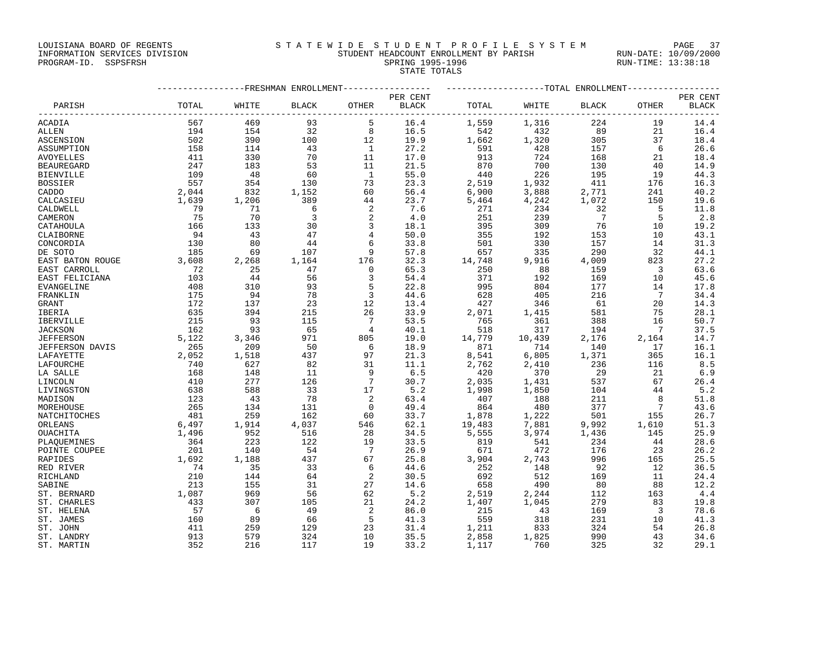LOUISIANA BOARD OF REGENTS STATEWIDE STUDENT PROFILE SYSTEM PAGE 37

## INFORMATION SERVICES DIVISION STUDENT HEADCOUNT ENROLLMENT BY PARISH RUN-DATE: 10/09/2000 PROGRAM-ID. SSPSFRSH SPRING 1995-1996 SPRING 1995-1996 RUN-TIME: 13:38:18 STATE TOTALS

|                         |            | ---------------FRESHMAN ENROLLMENT---------------- |                         |                            |              |                                                                | ------------------TOTAL ENROLLMENT---------------- |                                                                              |                                                    |              |
|-------------------------|------------|----------------------------------------------------|-------------------------|----------------------------|--------------|----------------------------------------------------------------|----------------------------------------------------|------------------------------------------------------------------------------|----------------------------------------------------|--------------|
|                         |            |                                                    |                         |                            | PER CENT     |                                                                |                                                    |                                                                              |                                                    | PER CENT     |
| PARISH                  | TOTAL      | WHITE                                              | <b>BLACK</b>            | OTHER                      | BLACK        | TOTAL                                                          | WHITE                                              | <b>BLACK</b>                                                                 | OTHER                                              | <b>BLACK</b> |
| ACADIA                  | 567        | 469                                                | 93                      | 5                          | 16.4         | 1,559                                                          | 1,316                                              | 224                                                                          | 19                                                 | 14.4         |
| ALLEN                   | 194        | 154                                                | 32                      | 8                          | 16.5         | 542                                                            | 432                                                | 89                                                                           | 21                                                 | 16.4         |
| ASCENSION               | 502        | 390                                                | 100                     | 12                         | 19.9         | 1,662                                                          | 1,320                                              | 305                                                                          | 37                                                 | 18.4         |
| ASSUMPTION              | 158        | 114                                                | 43                      | $\overline{1}$             | 27.2         | 591                                                            | 428                                                | 157                                                                          | 6                                                  | 26.6         |
| AVOYELLES               | 411        | 330                                                | 70                      | 11                         | 17.0         | 913                                                            | 724                                                | 168                                                                          | 21                                                 | 18.4         |
| <b>BEAUREGARD</b>       | 247        | 183                                                | 53                      | 11                         | 21.5         | 870                                                            | 700                                                | 130                                                                          | 40                                                 | 14.9         |
| BIENVILLE               | 109        | 48                                                 | 60                      | $\overline{1}$             | 55.0         | 440                                                            | 226                                                | 195                                                                          | 19                                                 | 44.3         |
| BOSSIER                 | 557        | 354                                                | 130                     | 73                         | 23.3         |                                                                |                                                    | 411                                                                          | 176                                                | 16.3         |
| CADDO                   | 2,044      | $\begin{array}{c} 832 \\ 1,206 \end{array}$        | 1,152                   | 60                         | 56.4         | 2,519<br>6,900<br>5,464                                        | 1,932<br>3,888                                     | 2,771                                                                        | 241                                                | 40.2         |
| CALCASIEU               | 1,639      |                                                    | 389                     | 44                         | 23.7         |                                                                | 4,242                                              | 1,072                                                                        | 150                                                | 19.6         |
| CALDWELL                | 79         | 71                                                 | 6                       | 2                          | 7.6          | 271                                                            | 234                                                | 32                                                                           | $-5$                                               | 11.8         |
| CAMERON                 | 75         | 70                                                 | $\overline{\mathbf{3}}$ | 2                          | 4.0          | 251                                                            | 239                                                | $\overline{7}$                                                               | $-5$                                               | 2.8          |
| CATAHOULA               | 166        | 133                                                | 30                      | $\overline{3}$             | 18.1         | 395                                                            | 309                                                | 76                                                                           | 10                                                 | 19.2         |
| CLAIBORNE               | 94         | 43                                                 | 47                      | $\overline{4}$             | 50.0         | 355                                                            | 192                                                | 153                                                                          | 10                                                 | 43.1         |
| CONCORDIA               | 130        | 80                                                 | 44                      | 6                          | 33.8         | 501                                                            | 330                                                | 157                                                                          | 14                                                 | 31.3         |
| DE SOTO                 | 185        | 69                                                 | 107                     | $\overline{9}$             | 57.8         | 657                                                            | 335                                                | 290                                                                          | 32                                                 | 44.1         |
| EAST BATON ROUGE        | 3,608      | 2,268                                              | 1,164                   | 176                        | 32.3         | 14,748                                                         | 9,916                                              | 4,009                                                                        | 823                                                | 27.2         |
| EAST CARROLL            | 72         | 25                                                 | 47                      | $\overline{0}$             | 65.3         | 250                                                            | 88                                                 | 159                                                                          | $\overline{\phantom{a}}$                           | 63.6         |
| EAST FELICIANA          | 103        | 44                                                 | 56                      | 3                          | 54.4         | 371                                                            | 192                                                | 169                                                                          | 10                                                 | 45.6         |
| EVANGELINE              | 408        | 310                                                | 93                      | 5                          | 22.8         | 995                                                            | 804                                                | 177                                                                          | 14                                                 | 17.8         |
| FRANKLIN                | 175        | 94                                                 | 78                      | $\overline{3}$             | 44.6         | 628                                                            | 405                                                | 216                                                                          | $\overline{7}$                                     | 34.4         |
| GRANT                   | 172        | 137                                                | 23                      | 12                         | 13.4         | 427                                                            | 346                                                | 61                                                                           | 20                                                 | 14.3         |
| IBERIA                  | 635        | 394                                                | 215                     | 26                         | 33.9         | 2,071                                                          | 1,415                                              | 581                                                                          | 75                                                 | 28.1         |
| IBERVILLE               | 215        | 93                                                 | 115                     | $\overline{7}$             | 53.5         | 765                                                            | 361                                                | 388                                                                          | 16                                                 | 50.7         |
| <b>JACKSON</b>          | 162        | 93                                                 | 65                      | $\overline{4}$             | 40.1         | 518                                                            | 317                                                | 194                                                                          | $\overline{7}$                                     | 37.5         |
| <b>JEFFERSON</b>        | 5,122      | 3,346                                              | 971                     | 805                        | 19.0         | 14,779<br>871<br>8,541                                         | 10,439                                             | 2,176                                                                        | 2,164                                              | 14.7         |
| JEFFERSON DAVIS         | 265        | 209                                                | 50                      | 6                          | 18.9         |                                                                | $714$<br>6,805                                     | 140                                                                          | 17                                                 | 16.1         |
| LAFAYETTE               | 2,052      | 1,518                                              | 437                     | 97                         | 21.3         |                                                                |                                                    | 1,371                                                                        | 365                                                | 16.1         |
| LAFOURCHE               | 740        | 627                                                | 82                      | 31                         | 11.1         |                                                                | $2,410$<br>370                                     | 236                                                                          | 116                                                | 8.5          |
| LA SALLE                | 168        | 148                                                | 11                      | - 9                        | 6.5          | $2,762$<br>420<br>2,035<br>1,998<br>1,998                      |                                                    | 29                                                                           | 21                                                 | 6.9          |
| LINCOLN                 | 410        | 277                                                | 126                     | $\overline{7}$             | 30.7         |                                                                | 1,431                                              | 537                                                                          | 67                                                 | 26.4         |
| LIVINGSTON              | 638        | 588                                                | 33                      | 17                         | 5.2          |                                                                | 1,850                                              | 104                                                                          | 44                                                 | 5.2          |
| MADISON                 | 123        | 43                                                 | 78                      | $\overline{\phantom{0}}^2$ | 63.4         | 407                                                            | 188                                                | 211                                                                          | $_{\rm 8}$                                         | 51.8         |
| MOREHOUSE               | 265        | 134                                                | 131                     | $\overline{0}$             | 49.4         | 864                                                            | 480                                                | 377<br>$\label{eq:2.1} \frac{1}{\sqrt{2}}\int_0^1\frac{dx}{\sqrt{2\pi}}\,dx$ | $\overline{7}$                                     | 43.6         |
| NATCHITOCHES            | 481        | 259<br>1,914                                       | 162                     | 60                         | 33.7         | $\begin{array}{c} 1,878 \\ 19,483 \\ 5,555 \\ 919 \end{array}$ | 1,222                                              | 501                                                                          | $\begin{array}{c} 155 \\ 1,610 \\ 145 \end{array}$ | 26.7         |
| ORLEANS                 | 6,497      |                                                    | 4,037                   | 546                        | 62.1         |                                                                | 7,881                                              | 9,992                                                                        |                                                    | 51.3         |
| OUACHITA                | 1,496      | $\begin{array}{c} 952 \\ 223 \end{array}$          | 516<br>122              | 28                         | 34.5         |                                                                | 3,974                                              | 1,436                                                                        |                                                    | 25.9         |
| PLAOUEMINES             | 364<br>201 | 140                                                | 54                      | 19<br>$\overline{7}$       | 33.5         | 819<br>671                                                     | 541<br>472                                         | 234<br>176                                                                   | 44<br>23                                           | 28.6<br>26.2 |
| POINTE COUPEE           | 1,692      | 1,188                                              |                         | 67                         | 26.9<br>25.8 |                                                                | 2,743                                              | 996                                                                          |                                                    | 25.5         |
| RAPIDES                 | 74         |                                                    | 437                     |                            |              | 3,904                                                          |                                                    | 92                                                                           | 165<br>12                                          |              |
| RED RIVER               | 210        | 35<br>144                                          | 33<br>64                | 6<br>2                     | 44.6<br>30.5 | 252<br>692                                                     | 148<br>512                                         | 169                                                                          | 11                                                 | 36.5<br>24.4 |
| RICHLAND                | 213        | 155                                                | 31                      | 27                         | 14.6         | 658                                                            | 490                                                | 80                                                                           | 88                                                 | 12.2         |
| SABINE<br>ST. BERNARD   | 1,087      | 969                                                | 56                      | 62                         | 5.2          |                                                                | 2,244                                              | 112                                                                          | 163                                                | 4.4          |
| ST. CHARLES             | 433        | 307                                                | 105                     | 21                         | 24.2         | $2,519$<br>1,407                                               | 1,045                                              | 279                                                                          | 83                                                 | 19.8         |
|                         | 57         | 6                                                  | 49                      | 2                          | 86.0         | 215                                                            |                                                    | 169                                                                          | $\overline{\phantom{a}}$                           | 78.6         |
| ST. HELENA<br>ST. JAMES | 160        | 89                                                 | 66                      | 5                          | 41.3         | 559                                                            | 43<br>318                                          | 231                                                                          | 10                                                 | 41.3         |
| ST. JOHN                | 411        | 259                                                | 129                     | 23                         | 31.4         |                                                                | 833                                                | 324                                                                          | 54                                                 | 26.8         |
| ST. LANDRY              | 913        | 579                                                | 324                     | 10                         | 35.5         | 1,211                                                          | 1,825                                              | 990                                                                          | 43                                                 | 34.6         |
|                         | 352        | 216                                                |                         | 19                         | 33.2         | 2,858                                                          | 760                                                | 325                                                                          | 32                                                 | 29.1         |
| ST. MARTIN              |            |                                                    | 117                     |                            |              | 1,117                                                          |                                                    |                                                                              |                                                    |              |